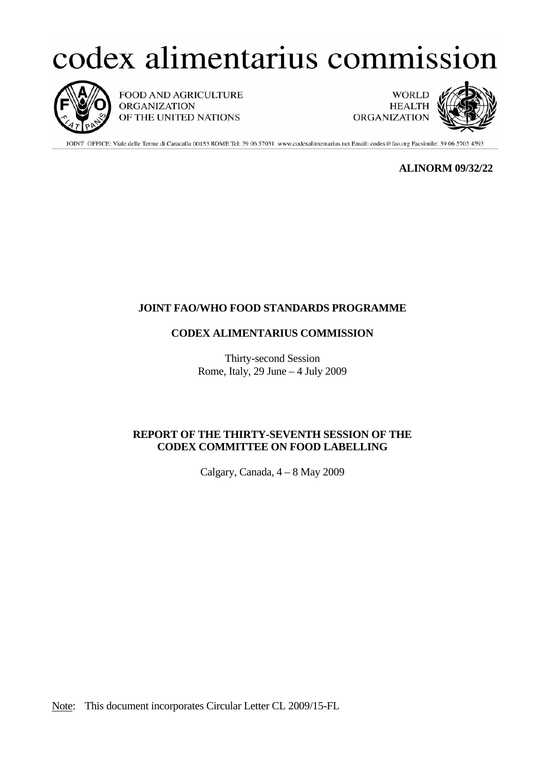# codex alimentarius commission



FOOD AND AGRICULTURE **ORGANIZATION** OF THE UNITED NATIONS

**WORLD HEALTH ORGANIZATION** 



JOINT OFFICE: Viale delle Terme di Caracalla 00153 ROME Tel: 39 06 57051 www.codexalimentarius.net Email: codex@fao.org Facsimile: 39 06 5705 4593

**ALINORM 09/32/22** 

## **JOINT FAO/WHO FOOD STANDARDS PROGRAMME**

## **CODEX ALIMENTARIUS COMMISSION**

Thirty-second Session Rome, Italy, 29 June – 4 July 2009

## **REPORT OF THE THIRTY-SEVENTH SESSION OF THE CODEX COMMITTEE ON FOOD LABELLING**

Calgary, Canada, 4 – 8 May 2009

Note: This document incorporates Circular Letter CL 2009/15-FL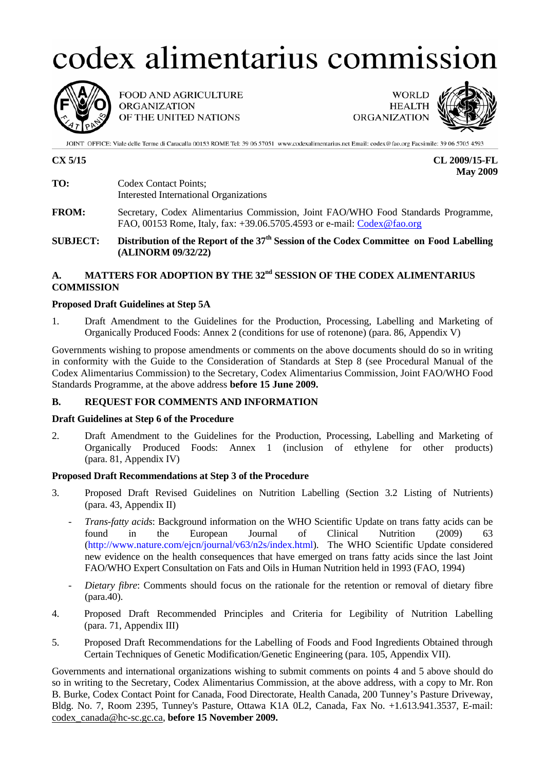# codex alimentarius commission



FOOD AND AGRICULTURE **ORGANIZATION** OF THE UNITED NATIONS

**WORLD HEALTH ORGANIZATION** 



JOINT OFFICE: Viale delle Terme di Caracalla 00153 ROME Tel: 39 06 57051 www.codexalimentarius.net Email: codex@fao.org Facsimile: 39 06 5705 4593

**CX 5/15 CL 2009/15-FL May 2009** 

- **TO:** Codex Contact Points; Interested International Organizations
- **FROM:** Secretary, Codex Alimentarius Commission, Joint FAO/WHO Food Standards Programme, FAO, 00153 Rome, Italy, fax: +39.06.5705.4593 or e-mail: Codex@fao.org

**SUBJECT:** Distribution of the Report of the 37<sup>th</sup> Session of the Codex Committee on Food Labelling **(ALINORM 09/32/22)**

## **A. MATTERS FOR ADOPTION BY THE 32nd SESSION OF THE CODEX ALIMENTARIUS COMMISSION**

## **Proposed Draft Guidelines at Step 5A**

1. Draft Amendment to the Guidelines for the Production, Processing, Labelling and Marketing of Organically Produced Foods: Annex 2 (conditions for use of rotenone) (para. 86, Appendix V)

Governments wishing to propose amendments or comments on the above documents should do so in writing in conformity with the Guide to the Consideration of Standards at Step 8 (see Procedural Manual of the Codex Alimentarius Commission) to the Secretary, Codex Alimentarius Commission, Joint FAO/WHO Food Standards Programme, at the above address **before 15 June 2009.** 

## **B. REQUEST FOR COMMENTS AND INFORMATION**

## **Draft Guidelines at Step 6 of the Procedure**

2. Draft Amendment to the Guidelines for the Production, Processing, Labelling and Marketing of Organically Produced Foods: Annex 1 (inclusion of ethylene for other products) (para. 81, Appendix IV)

## **Proposed Draft Recommendations at Step 3 of the Procedure**

- 3. Proposed Draft Revised Guidelines on Nutrition Labelling (Section 3.2 Listing of Nutrients) (para. 43, Appendix II)
	- *Trans-fatty acids*: Background information on the WHO Scientific Update on trans fatty acids can be found in the European Journal of Clinical Nutrition (2009) 63 (http://www.nature.com/ejcn/journal/v63/n2s/index.html). The WHO Scientific Update considered new evidence on the health consequences that have emerged on trans fatty acids since the last Joint FAO/WHO Expert Consultation on Fats and Oils in Human Nutrition held in 1993 (FAO, 1994)
	- *Dietary fibre*: Comments should focus on the rationale for the retention or removal of dietary fibre (para.40).
- 4. Proposed Draft Recommended Principles and Criteria for Legibility of Nutrition Labelling (para. 71, Appendix III)
- 5. Proposed Draft Recommendations for the Labelling of Foods and Food Ingredients Obtained through Certain Techniques of Genetic Modification/Genetic Engineering (para. 105, Appendix VII).

Governments and international organizations wishing to submit comments on points 4 and 5 above should do so in writing to the Secretary, Codex Alimentarius Commission, at the above address, with a copy to Mr. Ron B. Burke, Codex Contact Point for Canada, Food Directorate, Health Canada, 200 Tunney's Pasture Driveway, Bldg. No. 7, Room 2395, Tunney's Pasture, Ottawa K1A 0L2, Canada, Fax No. +1.613.941.3537, E-mail: codex\_canada@hc-sc.gc.ca, **before 15 November 2009.**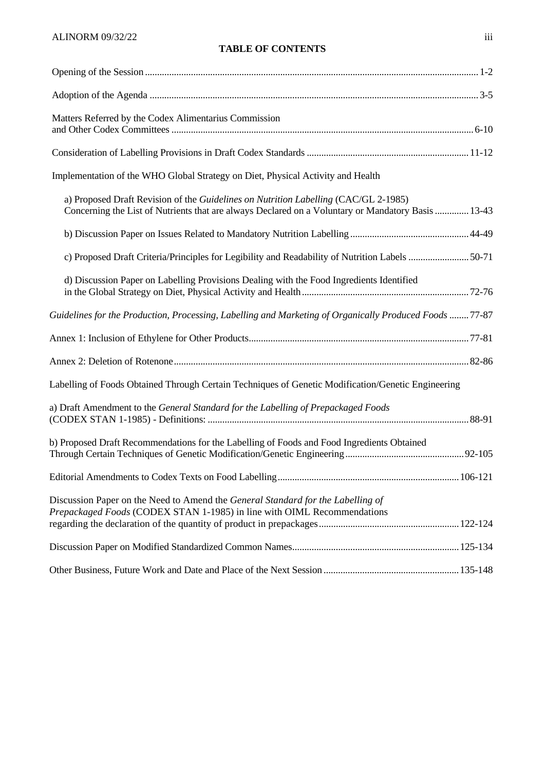## **TABLE OF CONTENTS**

| Matters Referred by the Codex Alimentarius Commission                                                                                                                                     |
|-------------------------------------------------------------------------------------------------------------------------------------------------------------------------------------------|
|                                                                                                                                                                                           |
| Implementation of the WHO Global Strategy on Diet, Physical Activity and Health                                                                                                           |
| a) Proposed Draft Revision of the Guidelines on Nutrition Labelling (CAC/GL 2-1985)<br>Concerning the List of Nutrients that are always Declared on a Voluntary or Mandatory Basis  13-43 |
|                                                                                                                                                                                           |
| c) Proposed Draft Criteria/Principles for Legibility and Readability of Nutrition Labels 50-71                                                                                            |
| d) Discussion Paper on Labelling Provisions Dealing with the Food Ingredients Identified                                                                                                  |
| Guidelines for the Production, Processing, Labelling and Marketing of Organically Produced Foods 77-87                                                                                    |
|                                                                                                                                                                                           |
|                                                                                                                                                                                           |
| Labelling of Foods Obtained Through Certain Techniques of Genetic Modification/Genetic Engineering                                                                                        |
| a) Draft Amendment to the General Standard for the Labelling of Prepackaged Foods                                                                                                         |
| b) Proposed Draft Recommendations for the Labelling of Foods and Food Ingredients Obtained                                                                                                |
|                                                                                                                                                                                           |
| Discussion Paper on the Need to Amend the General Standard for the Labelling of<br>Prepackaged Foods (CODEX STAN 1-1985) in line with OIML Recommendations                                |
|                                                                                                                                                                                           |
|                                                                                                                                                                                           |
|                                                                                                                                                                                           |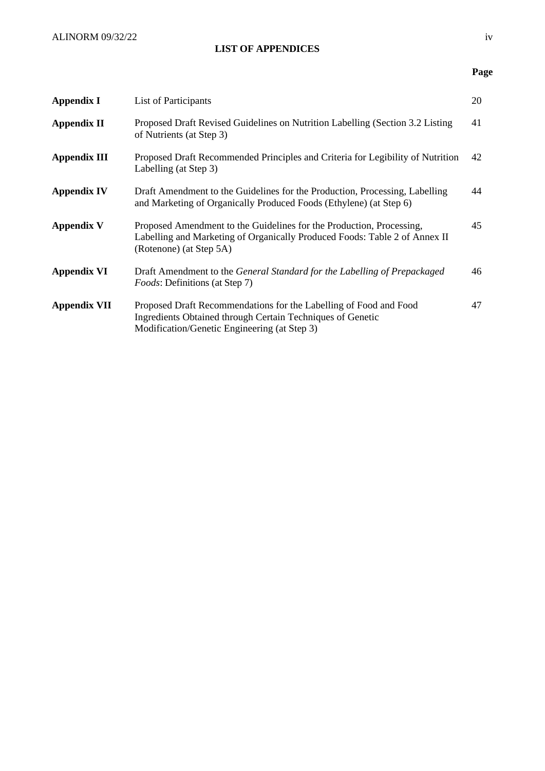## **LIST OF APPENDICES**

## **Page**

| <b>Appendix I</b>   | List of Participants                                                                                                                                                            | 20 |
|---------------------|---------------------------------------------------------------------------------------------------------------------------------------------------------------------------------|----|
| <b>Appendix II</b>  | Proposed Draft Revised Guidelines on Nutrition Labelling (Section 3.2 Listing<br>of Nutrients (at Step 3)                                                                       | 41 |
| <b>Appendix III</b> | Proposed Draft Recommended Principles and Criteria for Legibility of Nutrition<br>Labelling (at Step 3)                                                                         | 42 |
| <b>Appendix IV</b>  | Draft Amendment to the Guidelines for the Production, Processing, Labelling<br>and Marketing of Organically Produced Foods (Ethylene) (at Step 6)                               | 44 |
| <b>Appendix V</b>   | Proposed Amendment to the Guidelines for the Production, Processing,<br>Labelling and Marketing of Organically Produced Foods: Table 2 of Annex II<br>(Rotenone) (at Step 5A)   | 45 |
| <b>Appendix VI</b>  | Draft Amendment to the General Standard for the Labelling of Prepackaged<br><i>Foods:</i> Definitions (at Step 7)                                                               | 46 |
| <b>Appendix VII</b> | Proposed Draft Recommendations for the Labelling of Food and Food<br>Ingredients Obtained through Certain Techniques of Genetic<br>Modification/Genetic Engineering (at Step 3) | 47 |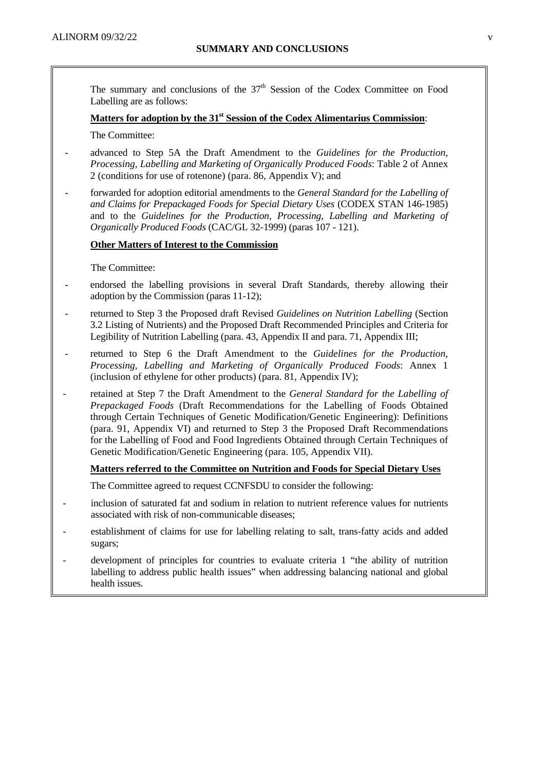The summary and conclusions of the  $37<sup>th</sup>$  Session of the Codex Committee on Food Labelling are as follows:

## Matters for adoption by the 31<sup>st</sup> Session of the Codex Alimentarius Commission:

The Committee:

- advanced to Step 5A the Draft Amendment to the *Guidelines for the Production, Processing, Labelling and Marketing of Organically Produced Foods*: Table 2 of Annex 2 (conditions for use of rotenone) (para. 86, Appendix V); and
- forwarded for adoption editorial amendments to the *General Standard for the Labelling of and Claims for Prepackaged Foods for Special Dietary Uses* (CODEX STAN 146-1985) and to the *Guidelines for the Production, Processing, Labelling and Marketing of Organically Produced Foods* (CAC/GL 32-1999) (paras 107 - 121).

## **Other Matters of Interest to the Commission**

The Committee:

- endorsed the labelling provisions in several Draft Standards, thereby allowing their adoption by the Commission (paras 11-12);
- returned to Step 3 the Proposed draft Revised *Guidelines on Nutrition Labelling* (Section 3.2 Listing of Nutrients) and the Proposed Draft Recommended Principles and Criteria for Legibility of Nutrition Labelling (para. 43, Appendix II and para. 71, Appendix III;
- returned to Step 6 the Draft Amendment to the *Guidelines for the Production, Processing, Labelling and Marketing of Organically Produced Foods*: Annex 1 (inclusion of ethylene for other products) (para. 81, Appendix IV);
- retained at Step 7 the Draft Amendment to the *General Standard for the Labelling of Prepackaged Foods* (Draft Recommendations for the Labelling of Foods Obtained through Certain Techniques of Genetic Modification/Genetic Engineering): Definitions (para. 91, Appendix VI) and returned to Step 3 the Proposed Draft Recommendations for the Labelling of Food and Food Ingredients Obtained through Certain Techniques of Genetic Modification/Genetic Engineering (para. 105, Appendix VII).

## **Matters referred to the Committee on Nutrition and Foods for Special Dietary Uses**

- The Committee agreed to request CCNFSDU to consider the following:
- inclusion of saturated fat and sodium in relation to nutrient reference values for nutrients associated with risk of non-communicable diseases;
- establishment of claims for use for labelling relating to salt, trans-fatty acids and added sugars;
- development of principles for countries to evaluate criteria 1 "the ability of nutrition labelling to address public health issues" when addressing balancing national and global health issues.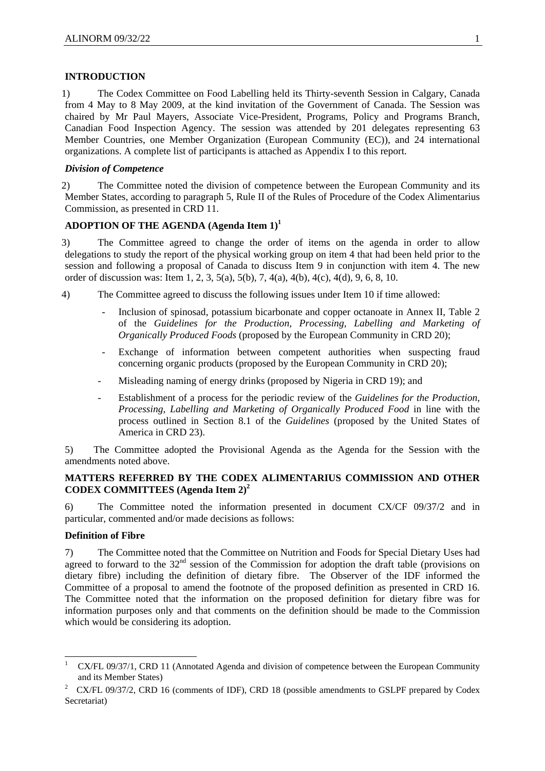#### **INTRODUCTION**

1) The Codex Committee on Food Labelling held its Thirty-seventh Session in Calgary, Canada from 4 May to 8 May 2009, at the kind invitation of the Government of Canada. The Session was chaired by Mr Paul Mayers, Associate Vice-President, Programs, Policy and Programs Branch, Canadian Food Inspection Agency. The session was attended by 201 delegates representing 63 Member Countries, one Member Organization (European Community (EC)), and 24 international organizations. A complete list of participants is attached as Appendix I to this report.

#### *Division of Competence*

2) The Committee noted the division of competence between the European Community and its Member States, according to paragraph 5, Rule II of the Rules of Procedure of the Codex Alimentarius Commission, as presented in CRD 11.

## **ADOPTION OF THE AGENDA (Agenda Item 1)<sup>1</sup>**

3) The Committee agreed to change the order of items on the agenda in order to allow delegations to study the report of the physical working group on item 4 that had been held prior to the session and following a proposal of Canada to discuss Item 9 in conjunction with item  $\hat{4}$ . The new order of discussion was: Item 1, 2, 3, 5(a), 5(b), 7, 4(a), 4(b), 4(c), 4(d), 9, 6, 8, 10.

- 4) The Committee agreed to discuss the following issues under Item 10 if time allowed:
	- Inclusion of spinosad, potassium bicarbonate and copper octanoate in Annex II, Table 2 of the *Guidelines for the Production, Processing, Labelling and Marketing of Organically Produced Foods* (proposed by the European Community in CRD 20);
	- Exchange of information between competent authorities when suspecting fraud concerning organic products (proposed by the European Community in CRD 20);
	- Misleading naming of energy drinks (proposed by Nigeria in CRD 19); and
	- Establishment of a process for the periodic review of the *Guidelines for the Production, Processing, Labelling and Marketing of Organically Produced Food* in line with the process outlined in Section 8.1 of the *Guidelines* (proposed by the United States of America in CRD 23).

5) The Committee adopted the Provisional Agenda as the Agenda for the Session with the amendments noted above.

## **MATTERS REFERRED BY THE CODEX ALIMENTARIUS COMMISSION AND OTHER CODEX COMMITTEES (Agenda Item 2)<sup>2</sup>**

6) The Committee noted the information presented in document CX/CF 09/37/2 and in particular, commented and/or made decisions as follows:

## **Definition of Fibre**

-

7) The Committee noted that the Committee on Nutrition and Foods for Special Dietary Uses had agreed to forward to the 32<sup>nd</sup> session of the Commission for adoption the draft table (provisions on dietary fibre) including the definition of dietary fibre. The Observer of the IDF informed the Committee of a proposal to amend the footnote of the proposed definition as presented in CRD 16. The Committee noted that the information on the proposed definition for dietary fibre was for information purposes only and that comments on the definition should be made to the Commission which would be considering its adoption.

<sup>1</sup> CX/FL 09/37/1, CRD 11 (Annotated Agenda and division of competence between the European Community and its Member States)

<sup>2</sup> CX/FL 09/37/2, CRD 16 (comments of IDF), CRD 18 (possible amendments to GSLPF prepared by Codex Secretariat)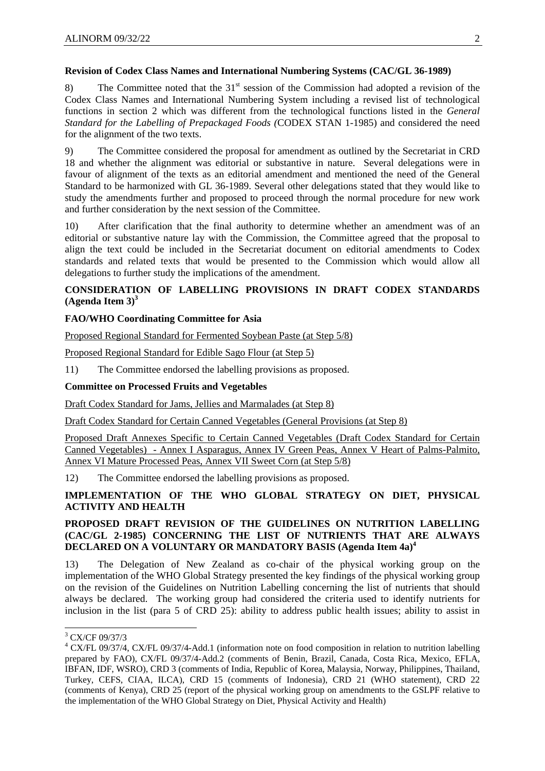## **Revision of Codex Class Names and International Numbering Systems (CAC/GL 36-1989)**

8) The Committee noted that the  $31<sup>st</sup>$  session of the Commission had adopted a revision of the Codex Class Names and International Numbering System including a revised list of technological functions in section 2 which was different from the technological functions listed in the *General Standard for the Labelling of Prepackaged Foods (*CODEX STAN 1-1985) and considered the need for the alignment of the two texts.

9) The Committee considered the proposal for amendment as outlined by the Secretariat in CRD 18 and whether the alignment was editorial or substantive in nature. Several delegations were in favour of alignment of the texts as an editorial amendment and mentioned the need of the General Standard to be harmonized with GL 36-1989. Several other delegations stated that they would like to study the amendments further and proposed to proceed through the normal procedure for new work and further consideration by the next session of the Committee.

10) After clarification that the final authority to determine whether an amendment was of an editorial or substantive nature lay with the Commission, the Committee agreed that the proposal to align the text could be included in the Secretariat document on editorial amendments to Codex standards and related texts that would be presented to the Commission which would allow all delegations to further study the implications of the amendment.

## **CONSIDERATION OF LABELLING PROVISIONS IN DRAFT CODEX STANDARDS (Agenda Item 3)3**

## **FAO/WHO Coordinating Committee for Asia**

Proposed Regional Standard for Fermented Soybean Paste (at Step 5/8)

Proposed Regional Standard for Edible Sago Flour (at Step 5)

11) The Committee endorsed the labelling provisions as proposed.

## **Committee on Processed Fruits and Vegetables**

Draft Codex Standard for Jams, Jellies and Marmalades (at Step 8)

Draft Codex Standard for Certain Canned Vegetables (General Provisions (at Step 8)

Proposed Draft Annexes Specific to Certain Canned Vegetables (Draft Codex Standard for Certain Canned Vegetables) - Annex I Asparagus, Annex IV Green Peas, Annex V Heart of Palms-Palmito, Annex VI Mature Processed Peas, Annex VII Sweet Corn (at Step 5/8)

12) The Committee endorsed the labelling provisions as proposed.

## **IMPLEMENTATION OF THE WHO GLOBAL STRATEGY ON DIET, PHYSICAL ACTIVITY AND HEALTH**

## **PROPOSED DRAFT REVISION OF THE GUIDELINES ON NUTRITION LABELLING (CAC/GL 2-1985) CONCERNING THE LIST OF NUTRIENTS THAT ARE ALWAYS DECLARED ON A VOLUNTARY OR MANDATORY BASIS (Agenda Item 4a)4**

13) The Delegation of New Zealand as co-chair of the physical working group on the implementation of the WHO Global Strategy presented the key findings of the physical working group on the revision of the Guidelines on Nutrition Labelling concerning the list of nutrients that should always be declared. The working group had considered the criteria used to identify nutrients for inclusion in the list (para 5 of CRD 25): ability to address public health issues; ability to assist in

 3 CX/CF 09/37/3

<sup>&</sup>lt;sup>4</sup> CX/FL 09/37/4, CX/FL 09/37/4-Add.1 (information note on food composition in relation to nutrition labelling prepared by FAO), CX/FL 09/37/4-Add.2 (comments of Benin, Brazil, Canada, Costa Rica, Mexico, EFLA, IBFAN, IDF, WSRO), CRD 3 (comments of India, Republic of Korea, Malaysia, Norway, Philippines, Thailand, Turkey, CEFS, CIAA, ILCA), CRD 15 (comments of Indonesia), CRD 21 (WHO statement), CRD 22 (comments of Kenya), CRD 25 (report of the physical working group on amendments to the GSLPF relative to the implementation of the WHO Global Strategy on Diet, Physical Activity and Health)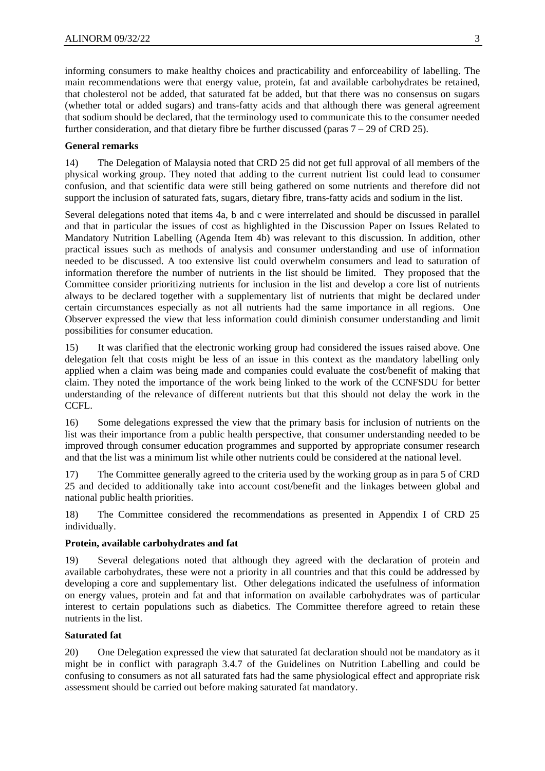informing consumers to make healthy choices and practicability and enforceability of labelling. The main recommendations were that energy value, protein, fat and available carbohydrates be retained, that cholesterol not be added, that saturated fat be added, but that there was no consensus on sugars (whether total or added sugars) and trans-fatty acids and that although there was general agreement that sodium should be declared, that the terminology used to communicate this to the consumer needed further consideration, and that dietary fibre be further discussed (paras  $7 - 29$  of CRD 25).

## **General remarks**

14) The Delegation of Malaysia noted that CRD 25 did not get full approval of all members of the physical working group. They noted that adding to the current nutrient list could lead to consumer confusion, and that scientific data were still being gathered on some nutrients and therefore did not support the inclusion of saturated fats, sugars, dietary fibre, trans-fatty acids and sodium in the list.

Several delegations noted that items 4a, b and c were interrelated and should be discussed in parallel and that in particular the issues of cost as highlighted in the Discussion Paper on Issues Related to Mandatory Nutrition Labelling (Agenda Item 4b) was relevant to this discussion. In addition, other practical issues such as methods of analysis and consumer understanding and use of information needed to be discussed. A too extensive list could overwhelm consumers and lead to saturation of information therefore the number of nutrients in the list should be limited. They proposed that the Committee consider prioritizing nutrients for inclusion in the list and develop a core list of nutrients always to be declared together with a supplementary list of nutrients that might be declared under certain circumstances especially as not all nutrients had the same importance in all regions. One Observer expressed the view that less information could diminish consumer understanding and limit possibilities for consumer education.

15) It was clarified that the electronic working group had considered the issues raised above. One delegation felt that costs might be less of an issue in this context as the mandatory labelling only applied when a claim was being made and companies could evaluate the cost/benefit of making that claim. They noted the importance of the work being linked to the work of the CCNFSDU for better understanding of the relevance of different nutrients but that this should not delay the work in the CCFL.

16) Some delegations expressed the view that the primary basis for inclusion of nutrients on the list was their importance from a public health perspective, that consumer understanding needed to be improved through consumer education programmes and supported by appropriate consumer research and that the list was a minimum list while other nutrients could be considered at the national level.

17) The Committee generally agreed to the criteria used by the working group as in para 5 of CRD 25 and decided to additionally take into account cost/benefit and the linkages between global and national public health priorities.

18) The Committee considered the recommendations as presented in Appendix I of CRD 25 individually.

## **Protein, available carbohydrates and fat**

19) Several delegations noted that although they agreed with the declaration of protein and available carbohydrates, these were not a priority in all countries and that this could be addressed by developing a core and supplementary list. Other delegations indicated the usefulness of information on energy values, protein and fat and that information on available carbohydrates was of particular interest to certain populations such as diabetics. The Committee therefore agreed to retain these nutrients in the list.

## **Saturated fat**

20) One Delegation expressed the view that saturated fat declaration should not be mandatory as it might be in conflict with paragraph 3.4.7 of the Guidelines on Nutrition Labelling and could be confusing to consumers as not all saturated fats had the same physiological effect and appropriate risk assessment should be carried out before making saturated fat mandatory.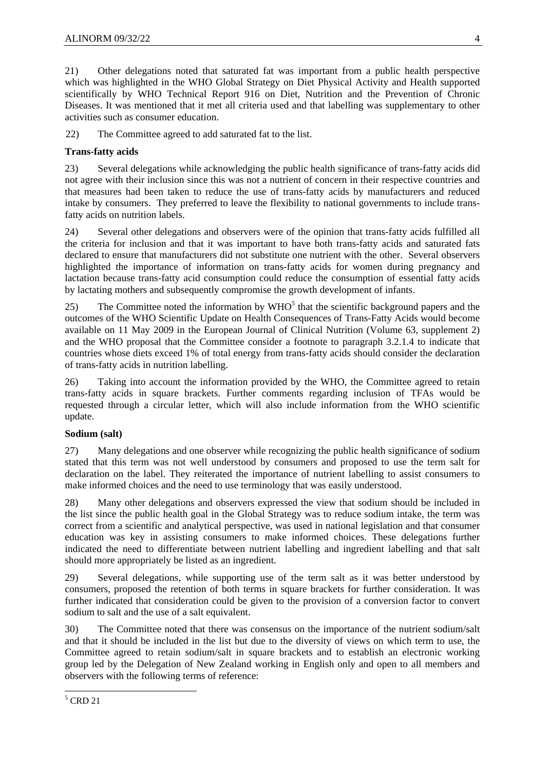21) Other delegations noted that saturated fat was important from a public health perspective which was highlighted in the WHO Global Strategy on Diet Physical Activity and Health supported scientifically by WHO Technical Report 916 on Diet, Nutrition and the Prevention of Chronic Diseases. It was mentioned that it met all criteria used and that labelling was supplementary to other activities such as consumer education.

22) The Committee agreed to add saturated fat to the list.

## **Trans-fatty acids**

23) Several delegations while acknowledging the public health significance of trans-fatty acids did not agree with their inclusion since this was not a nutrient of concern in their respective countries and that measures had been taken to reduce the use of trans-fatty acids by manufacturers and reduced intake by consumers. They preferred to leave the flexibility to national governments to include transfatty acids on nutrition labels.

24) Several other delegations and observers were of the opinion that trans-fatty acids fulfilled all the criteria for inclusion and that it was important to have both trans-fatty acids and saturated fats declared to ensure that manufacturers did not substitute one nutrient with the other. Several observers highlighted the importance of information on trans-fatty acids for women during pregnancy and lactation because trans-fatty acid consumption could reduce the consumption of essential fatty acids by lactating mothers and subsequently compromise the growth development of infants.

25) The Committee noted the information by  $WHO<sup>5</sup>$  that the scientific background papers and the outcomes of the WHO Scientific Update on Health Consequences of Trans-Fatty Acids would become available on 11 May 2009 in the European Journal of Clinical Nutrition (Volume 63, supplement 2) and the WHO proposal that the Committee consider a footnote to paragraph 3.2.1.4 to indicate that countries whose diets exceed 1% of total energy from trans-fatty acids should consider the declaration of trans-fatty acids in nutrition labelling.

26) Taking into account the information provided by the WHO, the Committee agreed to retain trans-fatty acids in square brackets. Further comments regarding inclusion of TFAs would be requested through a circular letter, which will also include information from the WHO scientific update.

## **Sodium (salt)**

27) Many delegations and one observer while recognizing the public health significance of sodium stated that this term was not well understood by consumers and proposed to use the term salt for declaration on the label. They reiterated the importance of nutrient labelling to assist consumers to make informed choices and the need to use terminology that was easily understood.

28) Many other delegations and observers expressed the view that sodium should be included in the list since the public health goal in the Global Strategy was to reduce sodium intake, the term was correct from a scientific and analytical perspective, was used in national legislation and that consumer education was key in assisting consumers to make informed choices. These delegations further indicated the need to differentiate between nutrient labelling and ingredient labelling and that salt should more appropriately be listed as an ingredient.

29) Several delegations, while supporting use of the term salt as it was better understood by consumers, proposed the retention of both terms in square brackets for further consideration. It was further indicated that consideration could be given to the provision of a conversion factor to convert sodium to salt and the use of a salt equivalent.

30) The Committee noted that there was consensus on the importance of the nutrient sodium/salt and that it should be included in the list but due to the diversity of views on which term to use, the Committee agreed to retain sodium/salt in square brackets and to establish an electronic working group led by the Delegation of New Zealand working in English only and open to all members and observers with the following terms of reference:

 $\frac{1}{5}$  CRD 21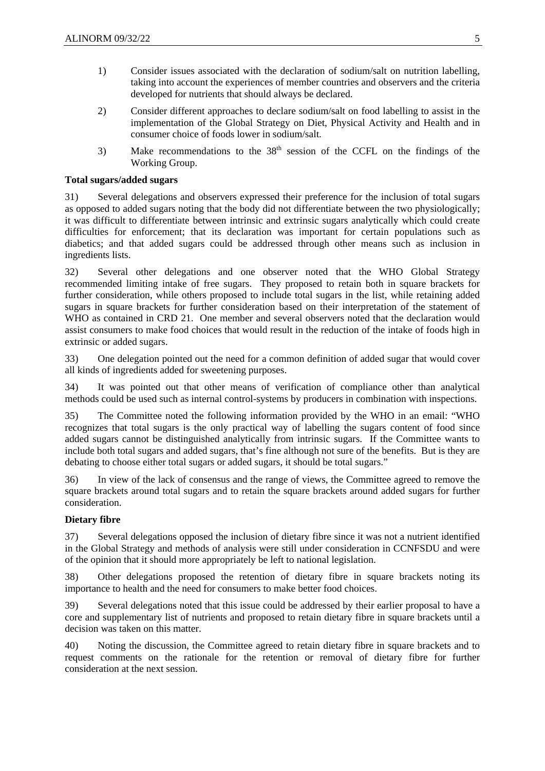- 1) Consider issues associated with the declaration of sodium/salt on nutrition labelling, taking into account the experiences of member countries and observers and the criteria developed for nutrients that should always be declared.
- 2) Consider different approaches to declare sodium/salt on food labelling to assist in the implementation of the Global Strategy on Diet, Physical Activity and Health and in consumer choice of foods lower in sodium/salt.
- 3) Make recommendations to the  $38<sup>th</sup>$  session of the CCFL on the findings of the Working Group.

## **Total sugars/added sugars**

31) Several delegations and observers expressed their preference for the inclusion of total sugars as opposed to added sugars noting that the body did not differentiate between the two physiologically; it was difficult to differentiate between intrinsic and extrinsic sugars analytically which could create difficulties for enforcement; that its declaration was important for certain populations such as diabetics; and that added sugars could be addressed through other means such as inclusion in ingredients lists.

32) Several other delegations and one observer noted that the WHO Global Strategy recommended limiting intake of free sugars. They proposed to retain both in square brackets for further consideration, while others proposed to include total sugars in the list, while retaining added sugars in square brackets for further consideration based on their interpretation of the statement of WHO as contained in CRD 21. One member and several observers noted that the declaration would assist consumers to make food choices that would result in the reduction of the intake of foods high in extrinsic or added sugars.

33) One delegation pointed out the need for a common definition of added sugar that would cover all kinds of ingredients added for sweetening purposes.

34) It was pointed out that other means of verification of compliance other than analytical methods could be used such as internal control-systems by producers in combination with inspections.

35) The Committee noted the following information provided by the WHO in an email: "WHO recognizes that total sugars is the only practical way of labelling the sugars content of food since added sugars cannot be distinguished analytically from intrinsic sugars. If the Committee wants to include both total sugars and added sugars, that's fine although not sure of the benefits. But is they are debating to choose either total sugars or added sugars, it should be total sugars."

36) In view of the lack of consensus and the range of views, the Committee agreed to remove the square brackets around total sugars and to retain the square brackets around added sugars for further consideration.

## **Dietary fibre**

37) Several delegations opposed the inclusion of dietary fibre since it was not a nutrient identified in the Global Strategy and methods of analysis were still under consideration in CCNFSDU and were of the opinion that it should more appropriately be left to national legislation.

38) Other delegations proposed the retention of dietary fibre in square brackets noting its importance to health and the need for consumers to make better food choices.

39) Several delegations noted that this issue could be addressed by their earlier proposal to have a core and supplementary list of nutrients and proposed to retain dietary fibre in square brackets until a decision was taken on this matter.

40) Noting the discussion, the Committee agreed to retain dietary fibre in square brackets and to request comments on the rationale for the retention or removal of dietary fibre for further consideration at the next session.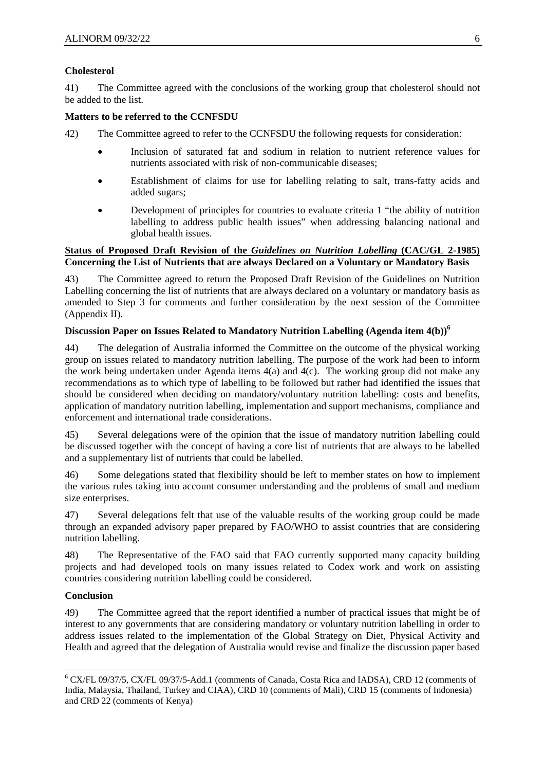## **Cholesterol**

41) The Committee agreed with the conclusions of the working group that cholesterol should not be added to the list.

## **Matters to be referred to the CCNFSDU**

- 42) The Committee agreed to refer to the CCNFSDU the following requests for consideration:
	- Inclusion of saturated fat and sodium in relation to nutrient reference values for nutrients associated with risk of non-communicable diseases;
	- Establishment of claims for use for labelling relating to salt, trans-fatty acids and added sugars;
	- Development of principles for countries to evaluate criteria 1 "the ability of nutrition labelling to address public health issues" when addressing balancing national and global health issues.

## **Status of Proposed Draft Revision of the** *Guidelines on Nutrition Labelling* **(CAC/GL 2-1985) Concerning the List of Nutrients that are always Declared on a Voluntary or Mandatory Basis**

43) The Committee agreed to return the Proposed Draft Revision of the Guidelines on Nutrition Labelling concerning the list of nutrients that are always declared on a voluntary or mandatory basis as amended to Step 3 for comments and further consideration by the next session of the Committee (Appendix II).

## **Discussion Paper on Issues Related to Mandatory Nutrition Labelling (Agenda item 4(b))6**

44) The delegation of Australia informed the Committee on the outcome of the physical working group on issues related to mandatory nutrition labelling. The purpose of the work had been to inform the work being undertaken under Agenda items 4(a) and 4(c). The working group did not make any recommendations as to which type of labelling to be followed but rather had identified the issues that should be considered when deciding on mandatory/voluntary nutrition labelling: costs and benefits, application of mandatory nutrition labelling, implementation and support mechanisms, compliance and enforcement and international trade considerations.

45) Several delegations were of the opinion that the issue of mandatory nutrition labelling could be discussed together with the concept of having a core list of nutrients that are always to be labelled and a supplementary list of nutrients that could be labelled.

46) Some delegations stated that flexibility should be left to member states on how to implement the various rules taking into account consumer understanding and the problems of small and medium size enterprises.

47) Several delegations felt that use of the valuable results of the working group could be made through an expanded advisory paper prepared by FAO/WHO to assist countries that are considering nutrition labelling.

48) The Representative of the FAO said that FAO currently supported many capacity building projects and had developed tools on many issues related to Codex work and work on assisting countries considering nutrition labelling could be considered.

## **Conclusion**

1

49) The Committee agreed that the report identified a number of practical issues that might be of interest to any governments that are considering mandatory or voluntary nutrition labelling in order to address issues related to the implementation of the Global Strategy on Diet, Physical Activity and Health and agreed that the delegation of Australia would revise and finalize the discussion paper based

<sup>6</sup> CX/FL 09/37/5, CX/FL 09/37/5-Add.1 (comments of Canada, Costa Rica and IADSA), CRD 12 (comments of India, Malaysia, Thailand, Turkey and CIAA), CRD 10 (comments of Mali), CRD 15 (comments of Indonesia) and CRD 22 (comments of Kenya)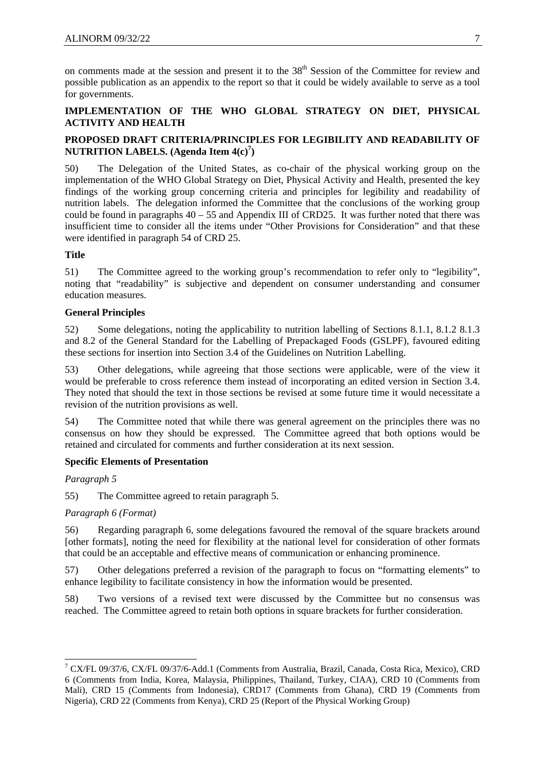on comments made at the session and present it to the 38<sup>th</sup> Session of the Committee for review and possible publication as an appendix to the report so that it could be widely available to serve as a tool for governments.

## **IMPLEMENTATION OF THE WHO GLOBAL STRATEGY ON DIET, PHYSICAL ACTIVITY AND HEALTH**

## **PROPOSED DRAFT CRITERIA/PRINCIPLES FOR LEGIBILITY AND READABILITY OF NUTRITION LABELS. (Agenda Item 4(c)<sup>7</sup> )**

50) The Delegation of the United States, as co-chair of the physical working group on the implementation of the WHO Global Strategy on Diet, Physical Activity and Health, presented the key findings of the working group concerning criteria and principles for legibility and readability of nutrition labels. The delegation informed the Committee that the conclusions of the working group could be found in paragraphs  $40 - 55$  and Appendix III of CRD25. It was further noted that there was insufficient time to consider all the items under "Other Provisions for Consideration" and that these were identified in paragraph 54 of CRD 25.

## **Title**

51) The Committee agreed to the working group's recommendation to refer only to "legibility", noting that "readability" is subjective and dependent on consumer understanding and consumer education measures.

## **General Principles**

52) Some delegations, noting the applicability to nutrition labelling of Sections 8.1.1, 8.1.2 8.1.3 and 8.2 of the General Standard for the Labelling of Prepackaged Foods (GSLPF), favoured editing these sections for insertion into Section 3.4 of the Guidelines on Nutrition Labelling.

53) Other delegations, while agreeing that those sections were applicable, were of the view it would be preferable to cross reference them instead of incorporating an edited version in Section 3.4. They noted that should the text in those sections be revised at some future time it would necessitate a revision of the nutrition provisions as well.

54) The Committee noted that while there was general agreement on the principles there was no consensus on how they should be expressed. The Committee agreed that both options would be retained and circulated for comments and further consideration at its next session.

## **Specific Elements of Presentation**

*Paragraph 5*

-

55) The Committee agreed to retain paragraph 5.

## *Paragraph 6 (Format)*

56) Regarding paragraph 6, some delegations favoured the removal of the square brackets around [other formats], noting the need for flexibility at the national level for consideration of other formats that could be an acceptable and effective means of communication or enhancing prominence.

57) Other delegations preferred a revision of the paragraph to focus on "formatting elements" to enhance legibility to facilitate consistency in how the information would be presented.

58) Two versions of a revised text were discussed by the Committee but no consensus was reached. The Committee agreed to retain both options in square brackets for further consideration.

<sup>7</sup> CX/FL 09/37/6, CX/FL 09/37/6-Add.1 (Comments from Australia, Brazil, Canada, Costa Rica, Mexico), CRD 6 (Comments from India, Korea, Malaysia, Philippines, Thailand, Turkey, CIAA), CRD 10 (Comments from Mali), CRD 15 (Comments from Indonesia), CRD17 (Comments from Ghana), CRD 19 (Comments from Nigeria), CRD 22 (Comments from Kenya), CRD 25 (Report of the Physical Working Group)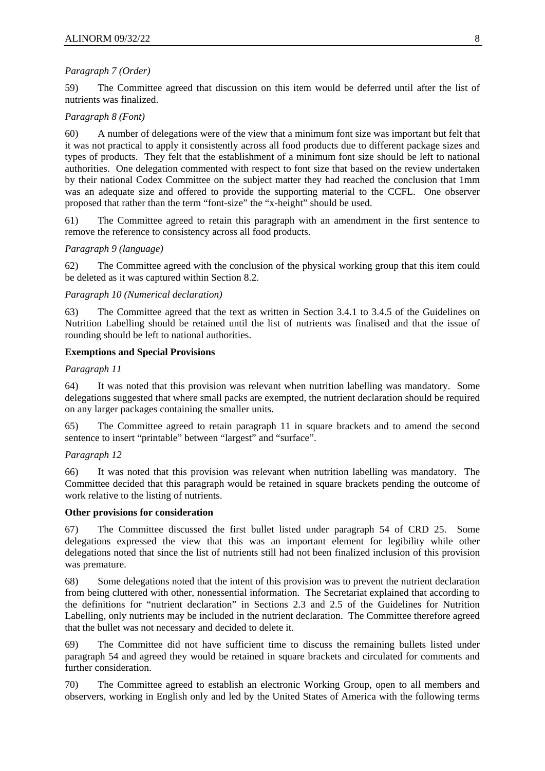## *Paragraph 7 (Order)*

59) The Committee agreed that discussion on this item would be deferred until after the list of nutrients was finalized.

## *Paragraph 8 (Font)*

60) A number of delegations were of the view that a minimum font size was important but felt that it was not practical to apply it consistently across all food products due to different package sizes and types of products. They felt that the establishment of a minimum font size should be left to national authorities. One delegation commented with respect to font size that based on the review undertaken by their national Codex Committee on the subject matter they had reached the conclusion that 1mm was an adequate size and offered to provide the supporting material to the CCFL. One observer proposed that rather than the term "font-size" the "x-height" should be used.

61) The Committee agreed to retain this paragraph with an amendment in the first sentence to remove the reference to consistency across all food products.

## *Paragraph 9 (language)*

62) The Committee agreed with the conclusion of the physical working group that this item could be deleted as it was captured within Section 8.2.

#### *Paragraph 10 (Numerical declaration)*

63) The Committee agreed that the text as written in Section 3.4.1 to 3.4.5 of the Guidelines on Nutrition Labelling should be retained until the list of nutrients was finalised and that the issue of rounding should be left to national authorities.

#### **Exemptions and Special Provisions**

*Paragraph 11*

64) It was noted that this provision was relevant when nutrition labelling was mandatory. Some delegations suggested that where small packs are exempted, the nutrient declaration should be required on any larger packages containing the smaller units.

65) The Committee agreed to retain paragraph 11 in square brackets and to amend the second sentence to insert "printable" between "largest" and "surface".

## *Paragraph 12*

66) It was noted that this provision was relevant when nutrition labelling was mandatory. The Committee decided that this paragraph would be retained in square brackets pending the outcome of work relative to the listing of nutrients.

#### **Other provisions for consideration**

67) The Committee discussed the first bullet listed under paragraph 54 of CRD 25. Some delegations expressed the view that this was an important element for legibility while other delegations noted that since the list of nutrients still had not been finalized inclusion of this provision was premature.

68) Some delegations noted that the intent of this provision was to prevent the nutrient declaration from being cluttered with other, nonessential information. The Secretariat explained that according to the definitions for "nutrient declaration" in Sections 2.3 and 2.5 of the Guidelines for Nutrition Labelling, only nutrients may be included in the nutrient declaration. The Committee therefore agreed that the bullet was not necessary and decided to delete it.

69) The Committee did not have sufficient time to discuss the remaining bullets listed under paragraph 54 and agreed they would be retained in square brackets and circulated for comments and further consideration.

70) The Committee agreed to establish an electronic Working Group, open to all members and observers, working in English only and led by the United States of America with the following terms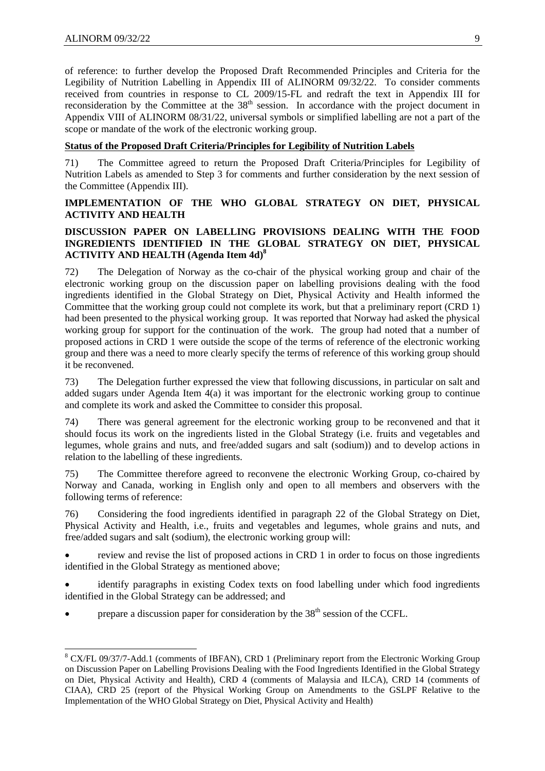-

of reference: to further develop the Proposed Draft Recommended Principles and Criteria for the Legibility of Nutrition Labelling in Appendix III of ALINORM 09/32/22. To consider comments received from countries in response to CL 2009/15-FL and redraft the text in Appendix III for reconsideration by the Committee at the 38<sup>th</sup> session. In accordance with the project document in Appendix VIII of ALINORM 08/31/22, universal symbols or simplified labelling are not a part of the scope or mandate of the work of the electronic working group.

## **Status of the Proposed Draft Criteria/Principles for Legibility of Nutrition Labels**

71) The Committee agreed to return the Proposed Draft Criteria/Principles for Legibility of Nutrition Labels as amended to Step 3 for comments and further consideration by the next session of the Committee (Appendix III).

## **IMPLEMENTATION OF THE WHO GLOBAL STRATEGY ON DIET, PHYSICAL ACTIVITY AND HEALTH**

## **DISCUSSION PAPER ON LABELLING PROVISIONS DEALING WITH THE FOOD INGREDIENTS IDENTIFIED IN THE GLOBAL STRATEGY ON DIET, PHYSICAL ACTIVITY AND HEALTH (Agenda Item 4d)<sup>8</sup>**

72) The Delegation of Norway as the co-chair of the physical working group and chair of the electronic working group on the discussion paper on labelling provisions dealing with the food ingredients identified in the Global Strategy on Diet, Physical Activity and Health informed the Committee that the working group could not complete its work, but that a preliminary report (CRD 1) had been presented to the physical working group. It was reported that Norway had asked the physical working group for support for the continuation of the work. The group had noted that a number of proposed actions in CRD 1 were outside the scope of the terms of reference of the electronic working group and there was a need to more clearly specify the terms of reference of this working group should it be reconvened.

73) The Delegation further expressed the view that following discussions, in particular on salt and added sugars under Agenda Item 4(a) it was important for the electronic working group to continue and complete its work and asked the Committee to consider this proposal.

74) There was general agreement for the electronic working group to be reconvened and that it should focus its work on the ingredients listed in the Global Strategy (i.e. fruits and vegetables and legumes, whole grains and nuts, and free/added sugars and salt (sodium)) and to develop actions in relation to the labelling of these ingredients.

75) The Committee therefore agreed to reconvene the electronic Working Group, co-chaired by Norway and Canada, working in English only and open to all members and observers with the following terms of reference:

76) Considering the food ingredients identified in paragraph 22 of the Global Strategy on Diet, Physical Activity and Health, i.e., fruits and vegetables and legumes, whole grains and nuts, and free/added sugars and salt (sodium), the electronic working group will:

• review and revise the list of proposed actions in CRD 1 in order to focus on those ingredients identified in the Global Strategy as mentioned above;

• identify paragraphs in existing Codex texts on food labelling under which food ingredients identified in the Global Strategy can be addressed; and

prepare a discussion paper for consideration by the  $38<sup>th</sup>$  session of the CCFL.

<sup>&</sup>lt;sup>8</sup> CX/FL 09/37/7-Add.1 (comments of IBFAN), CRD 1 (Preliminary report from the Electronic Working Group on Discussion Paper on Labelling Provisions Dealing with the Food Ingredients Identified in the Global Strategy on Diet, Physical Activity and Health), CRD 4 (comments of Malaysia and ILCA), CRD 14 (comments of CIAA), CRD 25 (report of the Physical Working Group on Amendments to the GSLPF Relative to the Implementation of the WHO Global Strategy on Diet, Physical Activity and Health)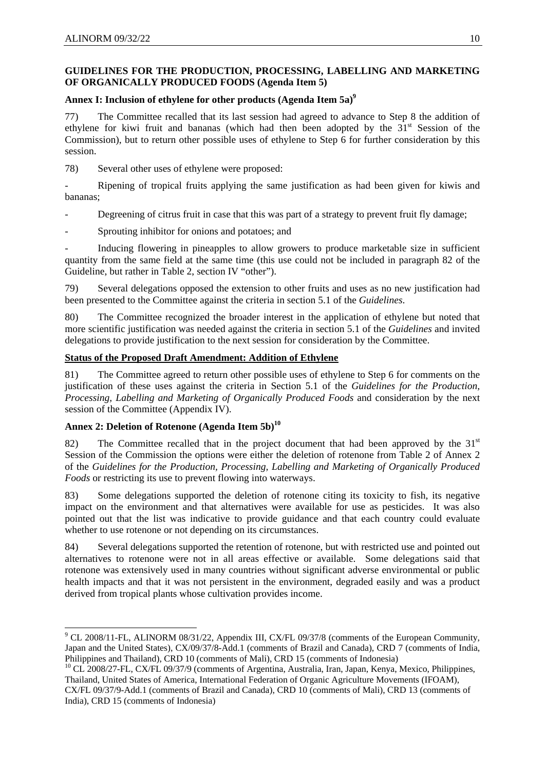## **GUIDELINES FOR THE PRODUCTION, PROCESSING, LABELLING AND MARKETING OF ORGANICALLY PRODUCED FOODS (Agenda Item 5)**

## Annex I: Inclusion of ethylene for other products (Agenda Item 5a)<sup>9</sup>

77) The Committee recalled that its last session had agreed to advance to Step 8 the addition of ethylene for kiwi fruit and bananas (which had then been adopted by the 31<sup>st</sup> Session of the Commission), but to return other possible uses of ethylene to Step 6 for further consideration by this session.

78) Several other uses of ethylene were proposed:

Ripening of tropical fruits applying the same justification as had been given for kiwis and bananas;

Degreening of citrus fruit in case that this was part of a strategy to prevent fruit fly damage;

Sprouting inhibitor for onions and potatoes; and

- Inducing flowering in pineapples to allow growers to produce marketable size in sufficient quantity from the same field at the same time (this use could not be included in paragraph 82 of the Guideline, but rather in Table 2, section IV "other").

79) Several delegations opposed the extension to other fruits and uses as no new justification had been presented to the Committee against the criteria in section 5.1 of the *Guidelines*.

80) The Committee recognized the broader interest in the application of ethylene but noted that more scientific justification was needed against the criteria in section 5.1 of the *Guidelines* and invited delegations to provide justification to the next session for consideration by the Committee.

## **Status of the Proposed Draft Amendment: Addition of Ethylene**

81) The Committee agreed to return other possible uses of ethylene to Step 6 for comments on the justification of these uses against the criteria in Section 5.1 of the *Guidelines for the Production, Processing, Labelling and Marketing of Organically Produced Foods* and consideration by the next session of the Committee (Appendix IV).

## Annex 2: Deletion of Rotenone (Agenda Item 5b)<sup>10</sup>

82) The Committee recalled that in the project document that had been approved by the  $31<sup>st</sup>$ Session of the Commission the options were either the deletion of rotenone from Table 2 of Annex 2 of the *Guidelines for the Production, Processing, Labelling and Marketing of Organically Produced Foods* or restricting its use to prevent flowing into waterways.

83) Some delegations supported the deletion of rotenone citing its toxicity to fish, its negative impact on the environment and that alternatives were available for use as pesticides. It was also pointed out that the list was indicative to provide guidance and that each country could evaluate whether to use rotenone or not depending on its circumstances.

84) Several delegations supported the retention of rotenone, but with restricted use and pointed out alternatives to rotenone were not in all areas effective or available. Some delegations said that rotenone was extensively used in many countries without significant adverse environmental or public health impacts and that it was not persistent in the environment, degraded easily and was a product derived from tropical plants whose cultivation provides income.

<sup>&</sup>lt;sup>9</sup> CL 2008/11-FL, ALINORM 08/31/22, Appendix III, CX/FL 09/37/8 (comments of the European Community, Japan and the United States), CX/09/37/8-Add.1 (comments of Brazil and Canada), CRD 7 (comments of India, Philippines and Thailand), CRD 10 (comments of Mali), CRD 15 (comments of Indonesia)

<sup>&</sup>lt;sup>10</sup> CL 2008/27-FL, CX/FL 09/37/9 (comments of Argentina, Australia, Iran, Japan, Kenya, Mexico, Philippines, Thailand, United States of America, International Federation of Organic Agriculture Movements (IFOAM),

CX/FL 09/37/9-Add.1 (comments of Brazil and Canada), CRD 10 (comments of Mali), CRD 13 (comments of India), CRD 15 (comments of Indonesia)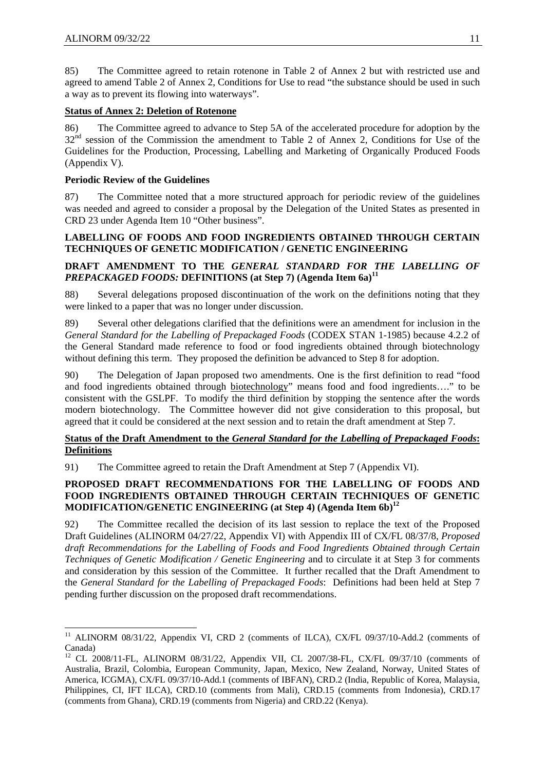1

85) The Committee agreed to retain rotenone in Table 2 of Annex 2 but with restricted use and agreed to amend Table 2 of Annex 2, Conditions for Use to read "the substance should be used in such a way as to prevent its flowing into waterways".

## **Status of Annex 2: Deletion of Rotenone**

86) The Committee agreed to advance to Step 5A of the accelerated procedure for adoption by the 32<sup>nd</sup> session of the Commission the amendment to Table 2 of Annex 2, Conditions for Use of the Guidelines for the Production, Processing, Labelling and Marketing of Organically Produced Foods (Appendix V).

## **Periodic Review of the Guidelines**

87) The Committee noted that a more structured approach for periodic review of the guidelines was needed and agreed to consider a proposal by the Delegation of the United States as presented in CRD 23 under Agenda Item 10 "Other business".

## **LABELLING OF FOODS AND FOOD INGREDIENTS OBTAINED THROUGH CERTAIN TECHNIQUES OF GENETIC MODIFICATION / GENETIC ENGINEERING**

## **DRAFT AMENDMENT TO THE** *GENERAL STANDARD FOR THE LABELLING OF PREPACKAGED FOODS:* **DEFINITIONS (at Step 7) (Agenda Item 6a)<sup>11</sup>**

88) Several delegations proposed discontinuation of the work on the definitions noting that they were linked to a paper that was no longer under discussion.

89) Several other delegations clarified that the definitions were an amendment for inclusion in the *General Standard for the Labelling of Prepackaged Foods* (CODEX STAN 1-1985) because 4.2.2 of the General Standard made reference to food or food ingredients obtained through biotechnology without defining this term. They proposed the definition be advanced to Step 8 for adoption.

90) The Delegation of Japan proposed two amendments. One is the first definition to read "food and food ingredients obtained through biotechnology" means food and food ingredients…." to be consistent with the GSLPF. To modify the third definition by stopping the sentence after the words modern biotechnology. The Committee however did not give consideration to this proposal, but agreed that it could be considered at the next session and to retain the draft amendment at Step 7.

## **Status of the Draft Amendment to the** *General Standard for the Labelling of Prepackaged Foods***: Definitions**

91) The Committee agreed to retain the Draft Amendment at Step 7 (Appendix VI).

## **PROPOSED DRAFT RECOMMENDATIONS FOR THE LABELLING OF FOODS AND FOOD INGREDIENTS OBTAINED THROUGH CERTAIN TECHNIQUES OF GENETIC MODIFICATION/GENETIC ENGINEERING (at Step 4) (Agenda Item 6b)<sup>12</sup>**

92) The Committee recalled the decision of its last session to replace the text of the Proposed Draft Guidelines (ALINORM 04/27/22, Appendix VI) with Appendix III of CX/FL 08/37/8, *Proposed draft Recommendations for the Labelling of Foods and Food Ingredients Obtained through Certain Techniques of Genetic Modification / Genetic Engineering* and to circulate it at Step 3 for comments and consideration by this session of the Committee. It further recalled that the Draft Amendment to the *General Standard for the Labelling of Prepackaged Foods*: Definitions had been held at Step 7 pending further discussion on the proposed draft recommendations.

<sup>&</sup>lt;sup>11</sup> ALINORM 08/31/22, Appendix VI, CRD 2 (comments of ILCA), CX/FL 09/37/10-Add.2 (comments of Canada)

<sup>12</sup> CL 2008/11-FL, ALINORM 08/31/22, Appendix VII, CL 2007/38-FL, CX/FL 09/37/10 (comments of Australia, Brazil, Colombia, European Community, Japan, Mexico, New Zealand, Norway, United States of America, ICGMA), CX/FL 09/37/10-Add.1 (comments of IBFAN), CRD.2 (India, Republic of Korea, Malaysia, Philippines, CI, IFT ILCA), CRD.10 (comments from Mali), CRD.15 (comments from Indonesia), CRD.17 (comments from Ghana), CRD.19 (comments from Nigeria) and CRD.22 (Kenya).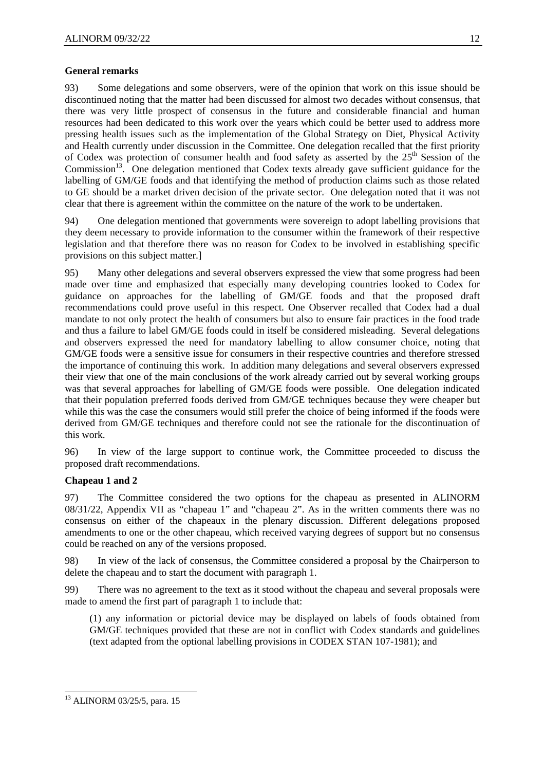## **General remarks**

93) Some delegations and some observers, were of the opinion that work on this issue should be discontinued noting that the matter had been discussed for almost two decades without consensus, that there was very little prospect of consensus in the future and considerable financial and human resources had been dedicated to this work over the years which could be better used to address more pressing health issues such as the implementation of the Global Strategy on Diet, Physical Activity and Health currently under discussion in the Committee. One delegation recalled that the first priority of Codex was protection of consumer health and food safety as asserted by the 25<sup>th</sup> Session of the Commission<sup>13</sup>. One delegation mentioned that Codex texts already gave sufficient guidance for the labelling of GM/GE foods and that identifying the method of production claims such as those related to GE should be a market driven decision of the private sector. One delegation noted that it was not clear that there is agreement within the committee on the nature of the work to be undertaken.

94) One delegation mentioned that governments were sovereign to adopt labelling provisions that they deem necessary to provide information to the consumer within the framework of their respective legislation and that therefore there was no reason for Codex to be involved in establishing specific provisions on this subject matter.]

95) Many other delegations and several observers expressed the view that some progress had been made over time and emphasized that especially many developing countries looked to Codex for guidance on approaches for the labelling of GM/GE foods and that the proposed draft recommendations could prove useful in this respect. One Observer recalled that Codex had a dual mandate to not only protect the health of consumers but also to ensure fair practices in the food trade and thus a failure to label GM/GE foods could in itself be considered misleading. Several delegations and observers expressed the need for mandatory labelling to allow consumer choice, noting that GM/GE foods were a sensitive issue for consumers in their respective countries and therefore stressed the importance of continuing this work. In addition many delegations and several observers expressed their view that one of the main conclusions of the work already carried out by several working groups was that several approaches for labelling of GM/GE foods were possible. One delegation indicated that their population preferred foods derived from GM/GE techniques because they were cheaper but while this was the case the consumers would still prefer the choice of being informed if the foods were derived from GM/GE techniques and therefore could not see the rationale for the discontinuation of this work.

96) In view of the large support to continue work, the Committee proceeded to discuss the proposed draft recommendations.

## **Chapeau 1 and 2**

97) The Committee considered the two options for the chapeau as presented in ALINORM 08/31/22, Appendix VII as "chapeau 1" and "chapeau 2". As in the written comments there was no consensus on either of the chapeaux in the plenary discussion. Different delegations proposed amendments to one or the other chapeau, which received varying degrees of support but no consensus could be reached on any of the versions proposed.

98) In view of the lack of consensus, the Committee considered a proposal by the Chairperson to delete the chapeau and to start the document with paragraph 1.

99) There was no agreement to the text as it stood without the chapeau and several proposals were made to amend the first part of paragraph 1 to include that:

(1) any information or pictorial device may be displayed on labels of foods obtained from GM/GE techniques provided that these are not in conflict with Codex standards and guidelines (text adapted from the optional labelling provisions in CODEX STAN 107-1981); and

-

<sup>13</sup> ALINORM 03/25/5, para. 15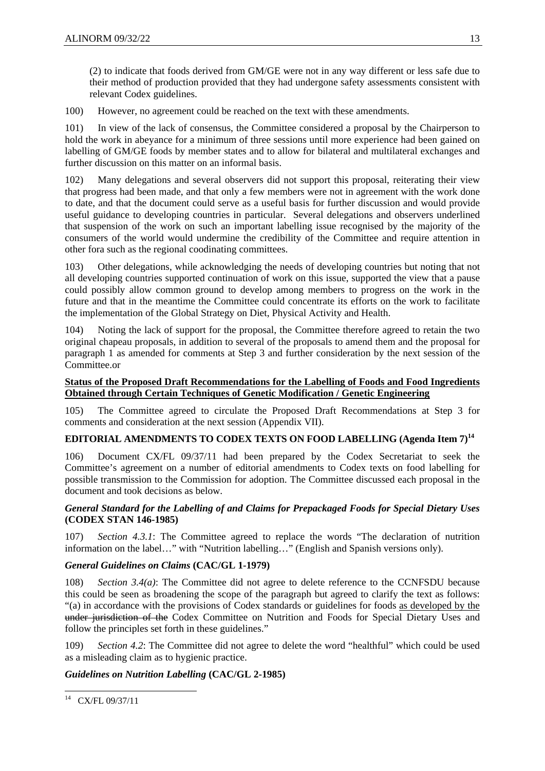(2) to indicate that foods derived from GM/GE were not in any way different or less safe due to their method of production provided that they had undergone safety assessments consistent with relevant Codex guidelines.

100) However, no agreement could be reached on the text with these amendments.

101) In view of the lack of consensus, the Committee considered a proposal by the Chairperson to hold the work in abeyance for a minimum of three sessions until more experience had been gained on labelling of GM/GE foods by member states and to allow for bilateral and multilateral exchanges and further discussion on this matter on an informal basis.

102) Many delegations and several observers did not support this proposal, reiterating their view that progress had been made, and that only a few members were not in agreement with the work done to date, and that the document could serve as a useful basis for further discussion and would provide useful guidance to developing countries in particular. Several delegations and observers underlined that suspension of the work on such an important labelling issue recognised by the majority of the consumers of the world would undermine the credibility of the Committee and require attention in other fora such as the regional coodinating committees.

103) Other delegations, while acknowledging the needs of developing countries but noting that not all developing countries supported continuation of work on this issue, supported the view that a pause could possibly allow common ground to develop among members to progress on the work in the future and that in the meantime the Committee could concentrate its efforts on the work to facilitate the implementation of the Global Strategy on Diet, Physical Activity and Health.

104) Noting the lack of support for the proposal, the Committee therefore agreed to retain the two original chapeau proposals, in addition to several of the proposals to amend them and the proposal for paragraph 1 as amended for comments at Step 3 and further consideration by the next session of the Committee.or

## **Status of the Proposed Draft Recommendations for the Labelling of Foods and Food Ingredients Obtained through Certain Techniques of Genetic Modification / Genetic Engineering**

105) The Committee agreed to circulate the Proposed Draft Recommendations at Step 3 for comments and consideration at the next session (Appendix VII).

## **EDITORIAL AMENDMENTS TO CODEX TEXTS ON FOOD LABELLING (Agenda Item 7)<sup>14</sup>**

106) Document CX/FL 09/37/11 had been prepared by the Codex Secretariat to seek the Committee's agreement on a number of editorial amendments to Codex texts on food labelling for possible transmission to the Commission for adoption. The Committee discussed each proposal in the document and took decisions as below.

## *General Standard for the Labelling of and Claims for Prepackaged Foods for Special Dietary Uses* **(CODEX STAN 146-1985)**

107) *Section 4.3.1*: The Committee agreed to replace the words "The declaration of nutrition information on the label…" with "Nutrition labelling…" (English and Spanish versions only).

## *General Guidelines on Claims* **(CAC/GL 1-1979)**

108) *Section 3.4(a)*: The Committee did not agree to delete reference to the CCNFSDU because this could be seen as broadening the scope of the paragraph but agreed to clarify the text as follows: "(a) in accordance with the provisions of Codex standards or guidelines for foods as developed by the under jurisdiction of the Codex Committee on Nutrition and Foods for Special Dietary Uses and follow the principles set forth in these guidelines."

109) *Section 4.2*: The Committee did not agree to delete the word "healthful" which could be used as a misleading claim as to hygienic practice.

## *Guidelines on Nutrition Labelling* **(CAC/GL 2-1985)**

<sup>-</sup><sup>14</sup> CX/FL 09/37/11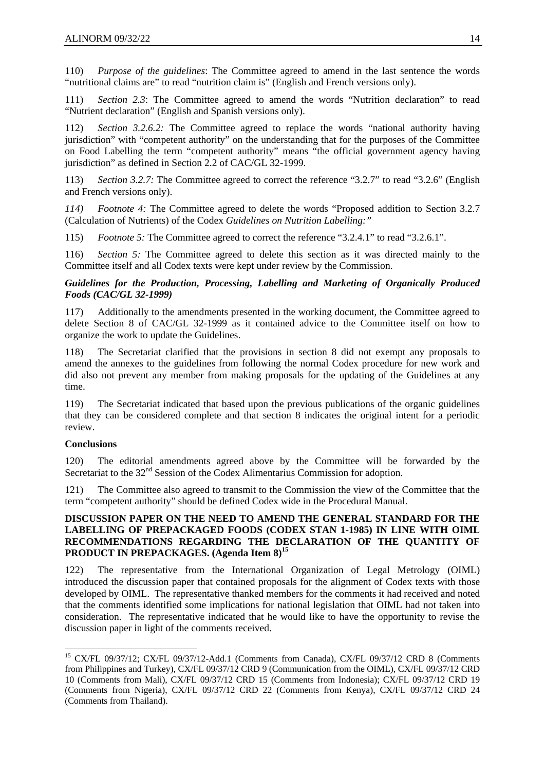110) *Purpose of the guidelines*: The Committee agreed to amend in the last sentence the words "nutritional claims are" to read "nutrition claim is" (English and French versions only).

111) *Section 2.3*: The Committee agreed to amend the words "Nutrition declaration" to read "Nutrient declaration" (English and Spanish versions only).

112) *Section 3.2.6.2:* The Committee agreed to replace the words "national authority having jurisdiction" with "competent authority" on the understanding that for the purposes of the Committee on Food Labelling the term "competent authority" means "the official government agency having jurisdiction" as defined in Section 2.2 of CAC/GL 32-1999.

113) *Section 3.2.7:* The Committee agreed to correct the reference "3.2.7" to read "3.2.6" (English and French versions only).

*114) Footnote 4:* The Committee agreed to delete the words "Proposed addition to Section 3.2.7 (Calculation of Nutrients) of the Codex *Guidelines on Nutrition Labelling:"* 

115) *Footnote 5:* The Committee agreed to correct the reference "3.2.4.1" to read "3.2.6.1".

116) *Section 5:* The Committee agreed to delete this section as it was directed mainly to the Committee itself and all Codex texts were kept under review by the Commission.

## *Guidelines for the Production, Processing, Labelling and Marketing of Organically Produced Foods (CAC/GL 32-1999)*

117) Additionally to the amendments presented in the working document, the Committee agreed to delete Section 8 of CAC/GL 32-1999 as it contained advice to the Committee itself on how to organize the work to update the Guidelines.

118) The Secretariat clarified that the provisions in section 8 did not exempt any proposals to amend the annexes to the guidelines from following the normal Codex procedure for new work and did also not prevent any member from making proposals for the updating of the Guidelines at any time.

119) The Secretariat indicated that based upon the previous publications of the organic guidelines that they can be considered complete and that section 8 indicates the original intent for a periodic review.

## **Conclusions**

-

120) The editorial amendments agreed above by the Committee will be forwarded by the Secretariat to the  $32<sup>nd</sup>$  Session of the Codex Alimentarius Commission for adoption.

121) The Committee also agreed to transmit to the Commission the view of the Committee that the term "competent authority" should be defined Codex wide in the Procedural Manual.

## **DISCUSSION PAPER ON THE NEED TO AMEND THE GENERAL STANDARD FOR THE LABELLING OF PREPACKAGED FOODS (CODEX STAN 1-1985) IN LINE WITH OIML RECOMMENDATIONS REGARDING THE DECLARATION OF THE QUANTITY OF PRODUCT IN PREPACKAGES. (Agenda Item 8)<sup>15</sup>**

122) The representative from the International Organization of Legal Metrology (OIML) introduced the discussion paper that contained proposals for the alignment of Codex texts with those developed by OIML. The representative thanked members for the comments it had received and noted that the comments identified some implications for national legislation that OIML had not taken into consideration. The representative indicated that he would like to have the opportunity to revise the discussion paper in light of the comments received.

<sup>&</sup>lt;sup>15</sup> CX/FL 09/37/12; CX/FL 09/37/12-Add.1 (Comments from Canada), CX/FL 09/37/12 CRD 8 (Comments from Philippines and Turkey), CX/FL 09/37/12 CRD 9 (Communication from the OIML), CX/FL 09/37/12 CRD 10 (Comments from Mali), CX/FL 09/37/12 CRD 15 (Comments from Indonesia); CX/FL 09/37/12 CRD 19 (Comments from Nigeria), CX/FL 09/37/12 CRD 22 (Comments from Kenya), CX/FL 09/37/12 CRD 24 (Comments from Thailand).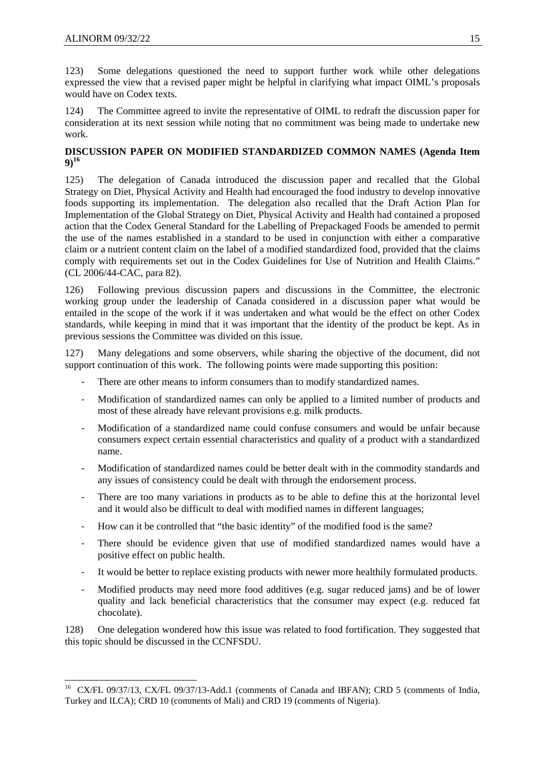1

123) Some delegations questioned the need to support further work while other delegations expressed the view that a revised paper might be helpful in clarifying what impact OIML's proposals would have on Codex texts.

124) The Committee agreed to invite the representative of OIML to redraft the discussion paper for consideration at its next session while noting that no commitment was being made to undertake new work.

## **DISCUSSION PAPER ON MODIFIED STANDARDIZED COMMON NAMES (Agenda Item 9)<sup>16</sup>**

125) The delegation of Canada introduced the discussion paper and recalled that the Global Strategy on Diet, Physical Activity and Health had encouraged the food industry to develop innovative foods supporting its implementation. The delegation also recalled that the Draft Action Plan for Implementation of the Global Strategy on Diet, Physical Activity and Health had contained a proposed action that the Codex General Standard for the Labelling of Prepackaged Foods be amended to permit the use of the names established in a standard to be used in conjunction with either a comparative claim or a nutrient content claim on the label of a modified standardized food, provided that the claims comply with requirements set out in the Codex Guidelines for Use of Nutrition and Health Claims." (CL 2006/44-CAC, para 82).

126) Following previous discussion papers and discussions in the Committee, the electronic working group under the leadership of Canada considered in a discussion paper what would be entailed in the scope of the work if it was undertaken and what would be the effect on other Codex standards, while keeping in mind that it was important that the identity of the product be kept. As in previous sessions the Committee was divided on this issue.

127) Many delegations and some observers, while sharing the objective of the document, did not support continuation of this work. The following points were made supporting this position:

- There are other means to inform consumers than to modify standardized names.
- ‐ Modification of standardized names can only be applied to a limited number of products and most of these already have relevant provisions e.g. milk products.
- ‐ Modification of a standardized name could confuse consumers and would be unfair because consumers expect certain essential characteristics and quality of a product with a standardized name.
- ‐ Modification of standardized names could be better dealt with in the commodity standards and any issues of consistency could be dealt with through the endorsement process.
- There are too many variations in products as to be able to define this at the horizontal level and it would also be difficult to deal with modified names in different languages;
- ‐ How can it be controlled that "the basic identity" of the modified food is the same?
- ‐ There should be evidence given that use of modified standardized names would have a positive effect on public health.
- ‐ It would be better to replace existing products with newer more healthily formulated products.
- ‐ Modified products may need more food additives (e.g. sugar reduced jams) and be of lower quality and lack beneficial characteristics that the consumer may expect (e.g. reduced fat chocolate).

128) One delegation wondered how this issue was related to food fortification. They suggested that this topic should be discussed in the CCNFSDU.

<sup>&</sup>lt;sup>16</sup> CX/FL 09/37/13, CX/FL 09/37/13-Add.1 (comments of Canada and IBFAN); CRD 5 (comments of India, Turkey and ILCA); CRD 10 (comments of Mali) and CRD 19 (comments of Nigeria).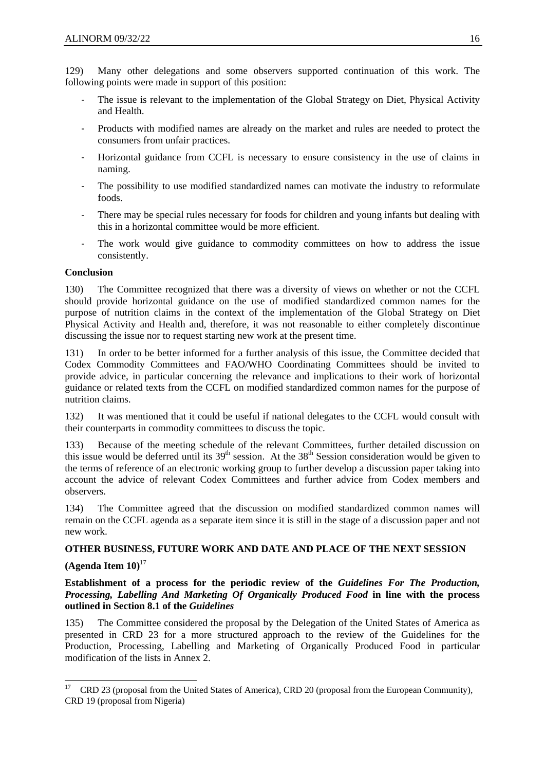129) Many other delegations and some observers supported continuation of this work. The following points were made in support of this position:

- The issue is relevant to the implementation of the Global Strategy on Diet, Physical Activity and Health.
- ‐ Products with modified names are already on the market and rules are needed to protect the consumers from unfair practices.
- ‐ Horizontal guidance from CCFL is necessary to ensure consistency in the use of claims in naming.
- ‐ The possibility to use modified standardized names can motivate the industry to reformulate foods.
- There may be special rules necessary for foods for children and young infants but dealing with this in a horizontal committee would be more efficient.
- The work would give guidance to commodity committees on how to address the issue consistently.

## **Conclusion**

130) The Committee recognized that there was a diversity of views on whether or not the CCFL should provide horizontal guidance on the use of modified standardized common names for the purpose of nutrition claims in the context of the implementation of the Global Strategy on Diet Physical Activity and Health and, therefore, it was not reasonable to either completely discontinue discussing the issue nor to request starting new work at the present time.

131) In order to be better informed for a further analysis of this issue, the Committee decided that Codex Commodity Committees and FAO/WHO Coordinating Committees should be invited to provide advice, in particular concerning the relevance and implications to their work of horizontal guidance or related texts from the CCFL on modified standardized common names for the purpose of nutrition claims.

132) It was mentioned that it could be useful if national delegates to the CCFL would consult with their counterparts in commodity committees to discuss the topic.

133) Because of the meeting schedule of the relevant Committees, further detailed discussion on this issue would be deferred until its  $39<sup>th</sup>$  session. At the  $38<sup>th</sup>$  Session consideration would be given to the terms of reference of an electronic working group to further develop a discussion paper taking into account the advice of relevant Codex Committees and further advice from Codex members and observers.

134) The Committee agreed that the discussion on modified standardized common names will remain on the CCFL agenda as a separate item since it is still in the stage of a discussion paper and not new work.

## **OTHER BUSINESS, FUTURE WORK AND DATE AND PLACE OF THE NEXT SESSION**

## **(Agenda Item 10)**<sup>17</sup>

**Establishment of a process for the periodic review of the** *Guidelines For The Production, Processing, Labelling And Marketing Of Organically Produced Food* **in line with the process outlined in Section 8.1 of the** *Guidelines*

135) The Committee considered the proposal by the Delegation of the United States of America as presented in CRD 23 for a more structured approach to the review of the Guidelines for the Production, Processing, Labelling and Marketing of Organically Produced Food in particular modification of the lists in Annex 2.

<sup>17</sup> 17 CRD 23 (proposal from the United States of America), CRD 20 (proposal from the European Community), CRD 19 (proposal from Nigeria)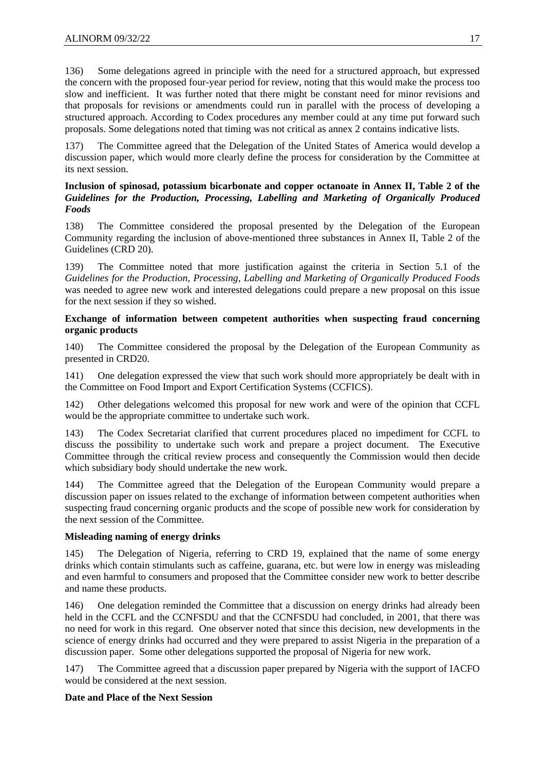136) Some delegations agreed in principle with the need for a structured approach, but expressed the concern with the proposed four-year period for review, noting that this would make the process too slow and inefficient. It was further noted that there might be constant need for minor revisions and that proposals for revisions or amendments could run in parallel with the process of developing a structured approach. According to Codex procedures any member could at any time put forward such proposals. Some delegations noted that timing was not critical as annex 2 contains indicative lists.

137) The Committee agreed that the Delegation of the United States of America would develop a discussion paper, which would more clearly define the process for consideration by the Committee at its next session.

## **Inclusion of spinosad, potassium bicarbonate and copper octanoate in Annex II, Table 2 of the**  *Guidelines for the Production, Processing, Labelling and Marketing of Organically Produced Foods*

138) The Committee considered the proposal presented by the Delegation of the European Community regarding the inclusion of above-mentioned three substances in Annex II, Table 2 of the Guidelines (CRD 20).

139) The Committee noted that more justification against the criteria in Section 5.1 of the *Guidelines for the Production, Processing, Labelling and Marketing of Organically Produced Foods* was needed to agree new work and interested delegations could prepare a new proposal on this issue for the next session if they so wished.

## **Exchange of information between competent authorities when suspecting fraud concerning organic products**

140) The Committee considered the proposal by the Delegation of the European Community as presented in CRD20.

141) One delegation expressed the view that such work should more appropriately be dealt with in the Committee on Food Import and Export Certification Systems (CCFICS).

142) Other delegations welcomed this proposal for new work and were of the opinion that CCFL would be the appropriate committee to undertake such work.

143) The Codex Secretariat clarified that current procedures placed no impediment for CCFL to discuss the possibility to undertake such work and prepare a project document. The Executive Committee through the critical review process and consequently the Commission would then decide which subsidiary body should undertake the new work.

144) The Committee agreed that the Delegation of the European Community would prepare a discussion paper on issues related to the exchange of information between competent authorities when suspecting fraud concerning organic products and the scope of possible new work for consideration by the next session of the Committee.

## **Misleading naming of energy drinks**

145) The Delegation of Nigeria, referring to CRD 19, explained that the name of some energy drinks which contain stimulants such as caffeine, guarana, etc. but were low in energy was misleading and even harmful to consumers and proposed that the Committee consider new work to better describe and name these products.

146) One delegation reminded the Committee that a discussion on energy drinks had already been held in the CCFL and the CCNFSDU and that the CCNFSDU had concluded, in 2001, that there was no need for work in this regard. One observer noted that since this decision, new developments in the science of energy drinks had occurred and they were prepared to assist Nigeria in the preparation of a discussion paper. Some other delegations supported the proposal of Nigeria for new work.

147) The Committee agreed that a discussion paper prepared by Nigeria with the support of IACFO would be considered at the next session.

## **Date and Place of the Next Session**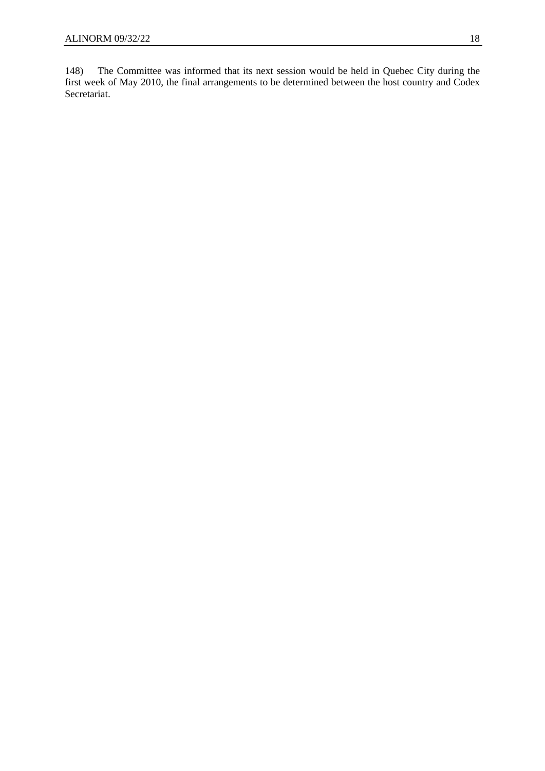148) The Committee was informed that its next session would be held in Quebec City during the first week of May 2010, the final arrangements to be determined between the host country and Codex Secretariat.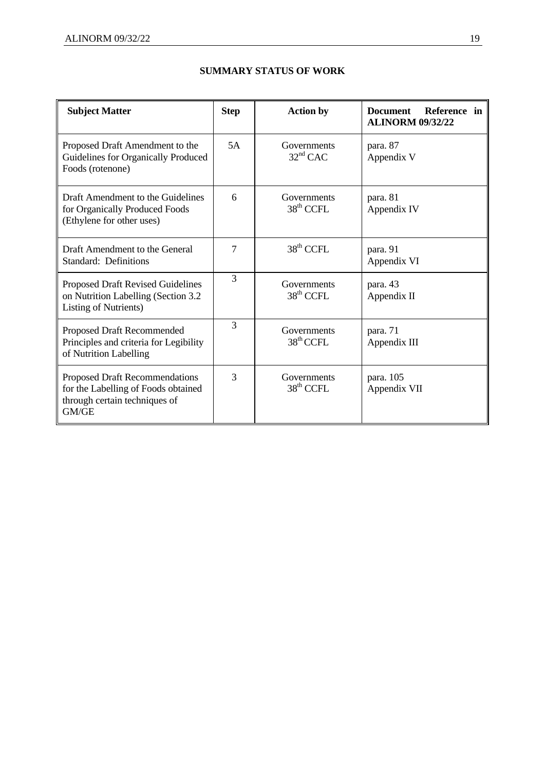| <b>Subject Matter</b>                                                                                            | <b>Step</b> | <b>Action by</b>                     | Reference in<br><b>Document</b><br><b>ALINORM 09/32/22</b> |
|------------------------------------------------------------------------------------------------------------------|-------------|--------------------------------------|------------------------------------------------------------|
| Proposed Draft Amendment to the<br>Guidelines for Organically Produced<br>Foods (rotenone)                       | 5A          | Governments<br>$32nd$ CAC            | para. 87<br>Appendix V                                     |
| Draft Amendment to the Guidelines<br>for Organically Produced Foods<br>(Ethylene for other uses)                 | 6           | Governments<br>38 <sup>th</sup> CCFL | para. 81<br>Appendix IV                                    |
| Draft Amendment to the General<br><b>Standard: Definitions</b>                                                   | 7           | 38 <sup>th</sup> CCFL                | para. 91<br>Appendix VI                                    |
| <b>Proposed Draft Revised Guidelines</b><br>on Nutrition Labelling (Section 3.2)<br><b>Listing of Nutrients)</b> | 3           | Governments<br>$38th$ CCFL           | para. 43<br>Appendix II                                    |
| Proposed Draft Recommended<br>Principles and criteria for Legibility<br>of Nutrition Labelling                   | 3           | Governments<br>$38th$ CCFL           | para. 71<br>Appendix III                                   |
| Proposed Draft Recommendations<br>for the Labelling of Foods obtained<br>through certain techniques of<br>GM/GE  | 3           | Governments<br>$38th$ CCFL           | para. 105<br>Appendix VII                                  |

## **SUMMARY STATUS OF WORK**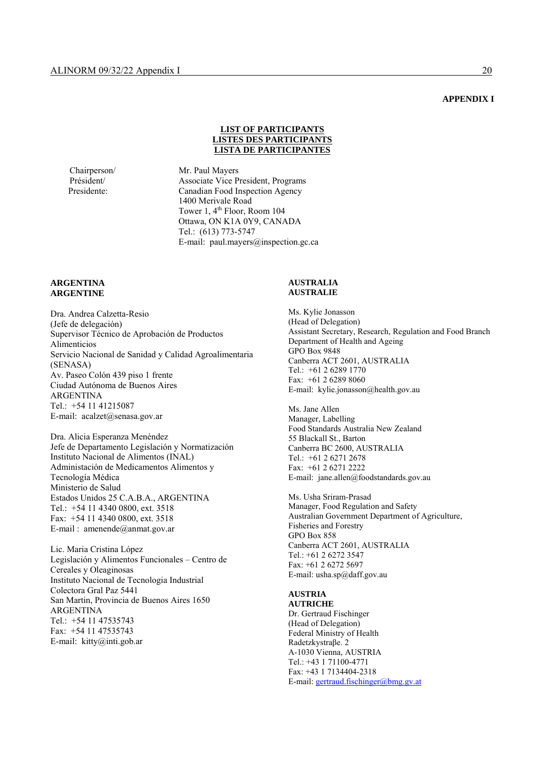#### **APPENDIX I**

#### **LIST OF PARTICIPANTS LISTES DES PARTICIPANTS LISTA DE PARTICIPANTES**

Chairperson/ Mr. Paul Mayers Associate Vice President, Programs Presidente: Canadian Food Inspection Agency 1400 Merivale Road Tower 1, 4<sup>th</sup> Floor, Room 104 Ottawa, ON K1A 0Y9, CANADA Tel.: (613) 773-5747 E-mail: paul.mayers@inspection.gc.ca

#### **ARGENTINA ARGENTINE**

Dra. Andrea Calzetta-Resio (Jefe de delegación) Supervisor Técnico de Aprobación de Productos Alimenticios Servicio Nacional de Sanidad y Calidad Agroalimentaria (SENASA) Av. Paseo Colón 439 piso 1 frente Ciudad Autónoma de Buenos Aires ARGENTINA Tel.: +54 11 41215087 E-mail: acalzet@senasa.gov.ar

Dra. Alicia Esperanza Menéndez Jefe de Departamento Legislación y Normatización Instituto Nacional de Alimentos (INAL) Administación de Medicamentos Alimentos y Tecnología Médica Ministerio de Salud Estados Unidos 25 C.A.B.A., ARGENTINA Tel.: +54 11 4340 0800, ext. 3518 Fax: +54 11 4340 0800, ext. 3518 E-mail : amenende@anmat.gov.ar

Lic. Maria Cristina López Legislación y Alimentos Funcionales – Centro de Cereales y Oleaginosas Instituto Nacional de Tecnologia Industrial Colectora Gral Paz 5441 San Martin, Provincia de Buenos Aires 1650 ARGENTINA Tel.: +54 11 47535743 Fax: +54 11 47535743 E-mail: kitty@inti.gob.ar

#### **AUSTRALIA AUSTRALIE**

Ms. Kylie Jonasson (Head of Delegation) Assistant Secretary, Research, Regulation and Food Branch Department of Health and Ageing GPO Box 9848 Canberra ACT 2601, AUSTRALIA Tel.: +61 2 6289 1770 Fax: +61 2 6289 8060 E-mail: kylie.jonasson@health.gov.au

Ms. Jane Allen Manager, Labelling Food Standards Australia New Zealand 55 Blackall St., Barton Canberra BC 2600, AUSTRALIA Tel.: +61 2 6271 2678 Fax: +61 2 6271 2222 E-mail: jane.allen@foodstandards.gov.au

Ms. Usha Sriram-Prasad Manager, Food Regulation and Safety Australian Government Department of Agriculture, Fisheries and Forestry GPO Box 858 Canberra ACT 2601, AUSTRALIA Tel.: +61 2 6272 3547 Fax: +61 2 6272 5697 E-mail: usha.sp@daff.gov.au

## **AUSTRIA**

**AUTRICHE**  Dr. Gertraud Fischinger (Head of Delegation) Federal Ministry of Health Radetzkystraβe. 2 A-1030 Vienna, AUSTRIA Tel.: +43 1 71100-4771 Fax: +43 1 7134404-2318 E-mail: gertraud.fischinger@bmg.gv.at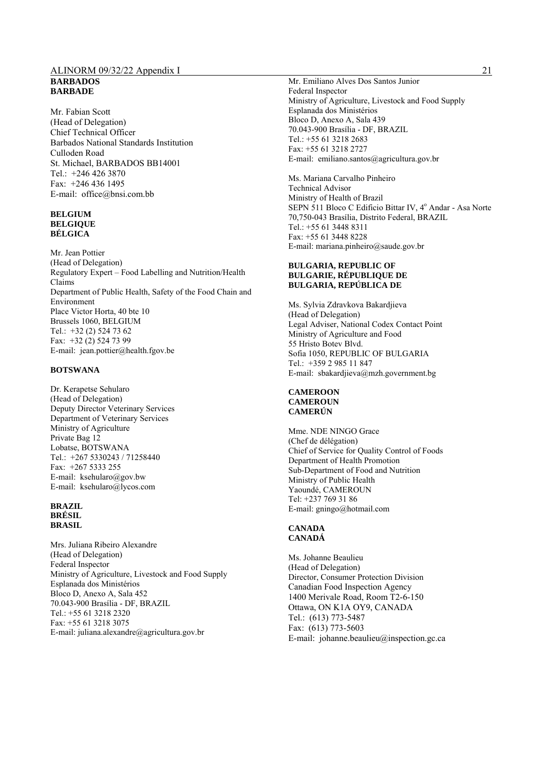#### ALINORM 09/32/22 Appendix I 21 **BARBADOS BARBADE**

Mr. Fabian Scott (Head of Delegation) Chief Technical Officer Barbados National Standards Institution Culloden Road St. Michael, BARBADOS BB14001 Tel.: +246 426 3870 Fax: +246 436 1495 E-mail: office@bnsi.com.bb

#### **BELGIUM BELGIQUE BÉLGICA**

Mr. Jean Pottier (Head of Delegation) Regulatory Expert – Food Labelling and Nutrition/Health Claims Department of Public Health, Safety of the Food Chain and Environment Place Victor Horta, 40 bte 10 Brussels 1060, BELGIUM Tel.: +32 (2) 524 73 62 Fax: +32 (2) 524 73 99 E-mail: jean.pottier@health.fgov.be

#### **BOTSWANA**

Dr. Kerapetse Sehularo (Head of Delegation) Deputy Director Veterinary Services Department of Veterinary Services Ministry of Agriculture Private Bag 12 Lobatse, BOTSWANA Tel.: +267 5330243 / 71258440 Fax: +267 5333 255 E-mail: ksehularo@gov.bw E-mail: ksehularo@lycos.com

## **BRAZIL BRÉSIL**

**BRASIL**

Mrs. Juliana Ribeiro Alexandre (Head of Delegation) Federal Inspector Ministry of Agriculture, Livestock and Food Supply Esplanada dos Ministérios Bloco D, Anexo A, Sala 452 70.043-900 Brasília - DF, BRAZIL Tel.: +55 61 3218 2320 Fax: +55 61 3218 3075 E-mail: juliana.alexandre@agricultura.gov.br

Mr. Emiliano Alves Dos Santos Junior Federal Inspector Ministry of Agriculture, Livestock and Food Supply Esplanada dos Ministérios Bloco D, Anexo A, Sala 439 70.043-900 Brasília - DF, BRAZIL Tel.: +55 61 3218 2683 Fax: +55 61 3218 2727 E-mail: emiliano.santos@agricultura.gov.br

Ms. Mariana Carvalho Pinheiro Technical Advisor Ministry of Health of Brazil SEPN 511 Bloco C Edificio Bittar IV, 4º Andar - Asa Norte 70,750-043 Brasília, Distrito Federal, BRAZIL Tel.: +55 61 3448 8311 Fax: +55 61 3448 8228 E-mail: mariana.pinheiro@saude.gov.br

#### **BULGARIA, REPUBLIC OF BULGARIE, RÉPUBLIQUE DE BULGARIA, REPÚBLICA DE**

Ms. Sylvia Zdravkova Bakardjieva (Head of Delegation) Legal Adviser, National Codex Contact Point Ministry of Agriculture and Food 55 Hristo Botev Blvd. Sofia 1050, REPUBLIC OF BULGARIA Tel.: +359 2 985 11 847 E-mail: sbakardjieva@mzh.government.bg

## **CAMEROON CAMEROUN**

**CAMERÚN** 

Mme. NDE NINGO Grace (Chef de délégation) Chief of Service for Quality Control of Foods Department of Health Promotion Sub-Department of Food and Nutrition Ministry of Public Health Yaoundé, CAMEROUN Tel: +237 769 31 86 E-mail: gningo@hotmail.com

## **CANADA CANADÁ**

Ms. Johanne Beaulieu (Head of Delegation) Director, Consumer Protection Division Canadian Food Inspection Agency 1400 Merivale Road, Room T2-6-150 Ottawa, ON K1A OY9, CANADA Tel.: (613) 773-5487 Fax: (613) 773-5603 E-mail: johanne.beaulieu@inspection.gc.ca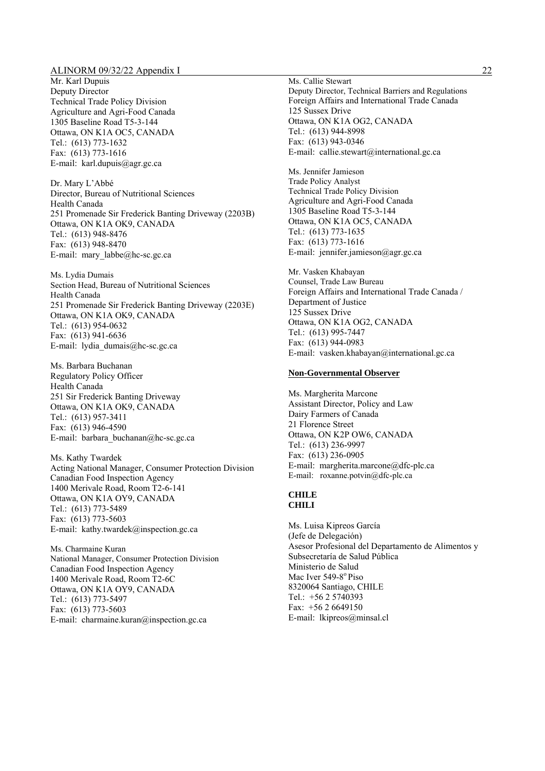Mr. Karl Dupuis Deputy Director Technical Trade Policy Division Agriculture and Agri-Food Canada 1305 Baseline Road T5-3-144 Ottawa, ON K1A OC5, CANADA Tel.: (613) 773-1632 Fax: (613) 773-1616 E-mail: karl.dupuis@agr.gc.ca

Dr. Mary L'Abbé Director, Bureau of Nutritional Sciences Health Canada 251 Promenade Sir Frederick Banting Driveway (2203B) Ottawa, ON K1A OK9, CANADA Tel.: (613) 948-8476 Fax: (613) 948-8470 E-mail: mary\_labbe@hc-sc.gc.ca

Ms. Lydia Dumais Section Head, Bureau of Nutritional Sciences Health Canada 251 Promenade Sir Frederick Banting Driveway (2203E) Ottawa, ON K1A OK9, CANADA Tel.: (613) 954-0632 Fax: (613) 941-6636 E-mail: lydia\_dumais@hc-sc.gc.ca

Ms. Barbara Buchanan Regulatory Policy Officer Health Canada 251 Sir Frederick Banting Driveway Ottawa, ON K1A OK9, CANADA Tel.: (613) 957-3411 Fax: (613) 946-4590 E-mail: barbara buchanan@hc-sc.gc.ca

Ms. Kathy Twardek Acting National Manager, Consumer Protection Division Canadian Food Inspection Agency 1400 Merivale Road, Room T2-6-141 Ottawa, ON K1A OY9, CANADA Tel.: (613) 773-5489 Fax: (613) 773-5603 E-mail: kathy.twardek@inspection.gc.ca

Ms. Charmaine Kuran National Manager, Consumer Protection Division Canadian Food Inspection Agency 1400 Merivale Road, Room T2-6C Ottawa, ON K1A OY9, CANADA Tel.: (613) 773-5497 Fax: (613) 773-5603 E-mail: charmaine.kuran@inspection.gc.ca

Ms. Callie Stewart Deputy Director, Technical Barriers and Regulations Foreign Affairs and International Trade Canada 125 Sussex Drive Ottawa, ON K1A OG2, CANADA Tel.: (613) 944-8998 Fax: (613) 943-0346 E-mail: callie.stewart@international.gc.ca

Ms. Jennifer Jamieson Trade Policy Analyst Technical Trade Policy Division Agriculture and Agri-Food Canada 1305 Baseline Road T5-3-144 Ottawa, ON K1A OC5, CANADA Tel.: (613) 773-1635 Fax: (613) 773-1616 E-mail: jennifer.jamieson@agr.gc.ca

Mr. Vasken Khabayan Counsel, Trade Law Bureau Foreign Affairs and International Trade Canada / Department of Justice 125 Sussex Drive Ottawa, ON K1A OG2, CANADA Tel.: (613) 995-7447 Fax: (613) 944-0983 E-mail: vasken.khabayan@international.gc.ca

#### **Non-Governmental Observer**

Ms. Margherita Marcone Assistant Director, Policy and Law Dairy Farmers of Canada 21 Florence Street Ottawa, ON K2P OW6, CANADA Tel.: (613) 236-9997 Fax: (613) 236-0905 E-mail: margherita.marcone@dfc-plc.ca E-mail: roxanne.potvin@dfc-plc.ca

#### **CHILE CHILI**

Ms. Luisa Kipreos García (Jefe de Delegación) Asesor Profesional del Departamento de Alimentos y Subsecretaría de Salud Pública Ministerio de Salud Mac Iver 549-8<sup>°</sup> Piso 8320064 Santiago, CHILE Tel.: +56 2 5740393 Fax: +56 2 6649150 E-mail: lkipreos@minsal.cl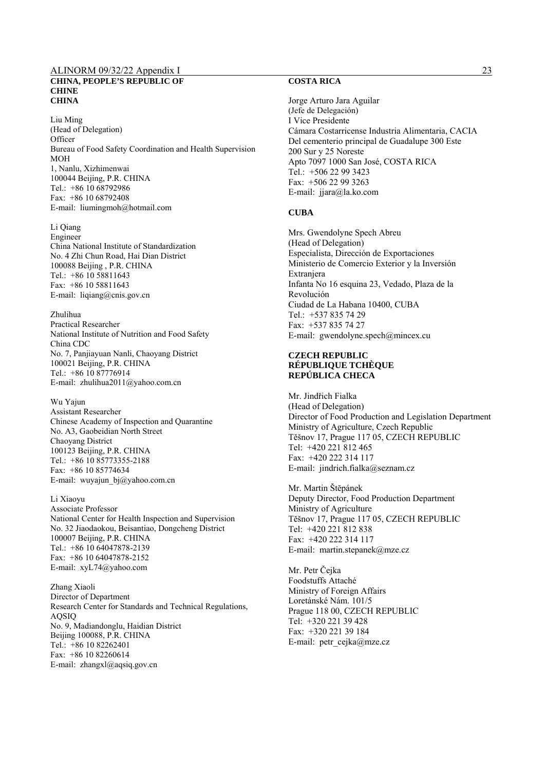#### ALINORM 09/32/22 Appendix I 23 **CHINA, PEOPLE'S REPUBLIC OF CHINE CHINA**

Liu Ming (Head of Delegation) **Officer** Bureau of Food Safety Coordination and Health Supervision MOH 1, Nanlu, Xizhimenwai 100044 Beijing, P.R. CHINA Tel.: +86 10 68792986 Fax: +86 10 68792408 E-mail: liumingmoh@hotmail.com

Li Qiang Engineer China National Institute of Standardization No. 4 Zhi Chun Road, Hai Dian District 100088 Beijing , P.R. CHINA Tel.: +86 10 58811643 Fax: +86 10 58811643 E-mail: liqiang@cnis.gov.cn

Zhulihua Practical Researcher National Institute of Nutrition and Food Safety China CDC No. 7, Panjiayuan Nanli, Chaoyang District 100021 Beijing, P.R. CHINA Tel.: +86 10 87776914 E-mail: zhulihua2011@yahoo.com.cn

Wu Yajun Assistant Researcher Chinese Academy of Inspection and Quarantine No. A3, Gaobeidian North Street Chaoyang District 100123 Beijing, P.R. CHINA Tel.: +86 10 85773355-2188 Fax: +86 10 85774634 E-mail: wuyajun\_bj@yahoo.com.cn

Li Xiaoyu Associate Professor National Center for Health Inspection and Supervision No. 32 Jiaodaokou, Beisantiao, Dongcheng District 100007 Beijing, P.R. CHINA Tel.:  $+86$  10 64047878-2139 Fax: +86 10 64047878-2152 E-mail: xyL74@yahoo.com

Zhang Xiaoli Director of Department Research Center for Standards and Technical Regulations, AQSIQ No. 9, Madiandonglu, Haidian District Beijing 100088, P.R. CHINA Tel.: +86 10 82262401 Fax: +86 10 82260614 E-mail: zhangxl@aqsiq.gov.cn

## **COSTA RICA**

Jorge Arturo Jara Aguilar (Jefe de Delegación) I Vice Presidente Cámara Costarricense Industria Alimentaria, CACIA Del cementerio principal de Guadalupe 300 Este 200 Sur y 25 Noreste Apto 7097 1000 San José, COSTA RICA Tel.: +506 22 99 3423 Fax: +506 22 99 3263 E-mail: jjara@la.ko.com

#### **CUBA**

Mrs. Gwendolyne Spech Abreu (Head of Delegation) Especialista, Dirección de Exportaciones Ministerio de Comercio Exterior y la Inversión Extranjera Infanta No 16 esquina 23, Vedado, Plaza de la Revolución Ciudad de La Habana 10400, CUBA Tel.: +537 835 74 29 Fax: +537 835 74 27 E-mail: gwendolyne.spech@mincex.cu

#### **CZECH REPUBLIC RÉPUBLIQUE TCHÈQUE REPÚBLICA CHECA**

Mr. Jindřich Fialka (Head of Delegation) Director of Food Production and Legislation Department Ministry of Agriculture, Czech Republic Tĕšnov 17, Prague 117 05, CZECH REPUBLIC Tel: +420 221 812 465 Fax: +420 222 314 117 E-mail: jindrich.fialka@seznam.cz

Mr. Martin Štĕpánek Deputy Director, Food Production Department Ministry of Agriculture Tĕšnov 17, Prague 117 05, CZECH REPUBLIC Tel: +420 221 812 838 Fax: +420 222 314 117 E-mail: martin.stepanek@mze.cz

Mr. Petr Čejka Foodstuffs Attaché Ministry of Foreign Affairs Loretánské Nám. 101/5 Prague 118 00, CZECH REPUBLIC Tel: +320 221 39 428 Fax: +320 221 39 184 E-mail: petr\_cejka@mze.cz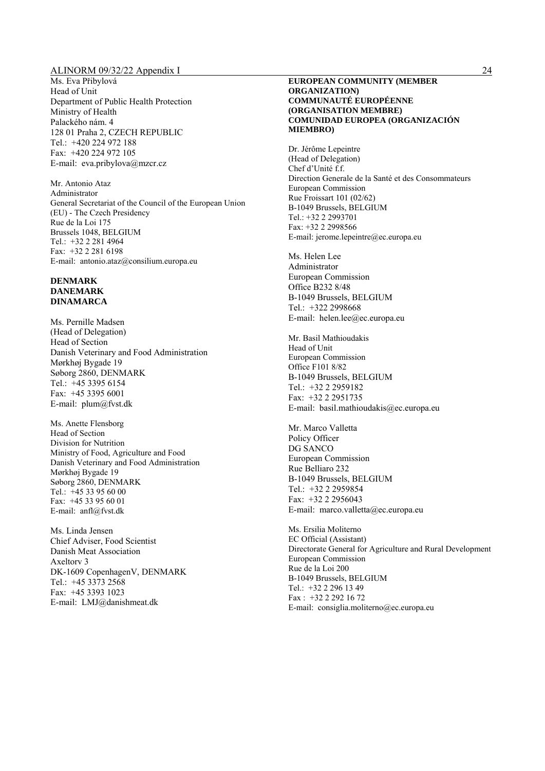Ms. Eva Přibylová Head of Unit Department of Public Health Protection Ministry of Health Palackého nám. 4 128 01 Praha 2, CZECH REPUBLIC Tel.: +420 224 972 188 Fax: +420 224 972 105 E-mail: eva.pribylova@mzcr.cz

Mr. Antonio Ataz Administrator General Secretariat of the Council of the European Union (EU) - The Czech Presidency Rue de la Loi 175 Brussels 1048, BELGIUM Tel.: +32 2 281 4964 Fax: +32 2 281 6198 E-mail: antonio.ataz@consilium.europa.eu

#### **DENMARK DANEMARK DINAMARCA**

Ms. Pernille Madsen (Head of Delegation) Head of Section Danish Veterinary and Food Administration Mørkhøj Bygade 19 Søborg 2860, DENMARK Tel.: +45 3395 6154 Fax: +45 3395 6001 E-mail: plum@fvst.dk

Ms. Anette Flensborg Head of Section Division for Nutrition Ministry of Food, Agriculture and Food Danish Veterinary and Food Administration Mørkhøj Bygade 19 Søborg 2860, DENMARK Tel.:  $+4533956000$ Fax: +45 33 95 60 01 E-mail: anfl@fvst.dk

Ms. Linda Jensen Chief Adviser, Food Scientist Danish Meat Association Axeltorv 3 DK-1609 CopenhagenV, DENMARK Tel.: +45 3373 2568 Fax: +45 3393 1023 E-mail: LMJ@danishmeat.dk

#### **EUROPEAN COMMUNITY (MEMBER ORGANIZATION) COMMUNAUTÉ EUROPÉENNE (ORGANISATION MEMBRE) COMUNIDAD EUROPEA (ORGANIZACIÓN MIEMBRO)**

Dr. Jérôme Lepeintre (Head of Delegation) Chef d'Unité f.f. Direction Generale de la Santé et des Consommateurs European Commission Rue Froissart 101 (02/62) B-1049 Brussels, BELGIUM Tel.: +32 2 2993701 Fax: +32 2 2998566 E-mail: jerome.lepeintre@ec.europa.eu

Ms. Helen Lee Administrator European Commission Office B232 8/48 B-1049 Brussels, BELGIUM Tel.: +322 2998668 E-mail: helen.lee@ec.europa.eu

Mr. Basil Mathioudakis Head of Unit European Commission Office F101 8/82 B-1049 Brussels, BELGIUM Tel.: +32 2 2959182 Fax: +32 2 2951735 E-mail: basil.mathioudakis@ec.europa.eu

Mr. Marco Valletta Policy Officer DG SANCO European Commission Rue Belliaro 232 B-1049 Brussels, BELGIUM Tel.: +32 2 2959854 Fax: +32 2 2956043 E-mail: marco.valletta@ec.europa.eu

Ms. Ersilia Moliterno EC Official (Assistant) Directorate General for Agriculture and Rural Development European Commission Rue de la Loi 200 B-1049 Brussels, BELGIUM Tel.: +32 2 296 13 49 Fax : +32 2 292 16 72 E-mail: consiglia.moliterno@ec.europa.eu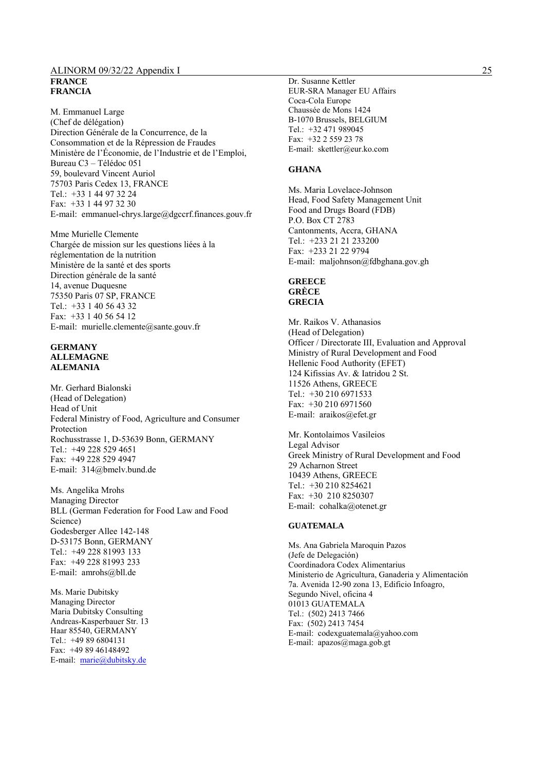### ALINORM 09/32/22 Appendix I 25 **FRANCE FRANCIA**

M. Emmanuel Large (Chef de délégation) Direction Générale de la Concurrence, de la Consommation et de la Répression de Fraudes Ministère de l'Économie, de l'Industrie et de l'Emploi, Bureau C3 – Télédoc 051 59, boulevard Vincent Auriol 75703 Paris Cedex 13, FRANCE Tel.: +33 1 44 97 32 24 Fax: +33 1 44 97 32 30 E-mail: emmanuel-chrys.large@dgccrf.finances.gouv.fr

Mme Murielle Clemente Chargée de mission sur les questions liées à la réglementation de la nutrition Ministère de la santé et des sports Direction générale de la santé 14, avenue Duquesne 75350 Paris 07 SP, FRANCE Tel.: +33 1 40 56 43 32 Fax: +33 1 40 56 54 12 E-mail: murielle.clemente@sante.gouv.fr

#### **GERMANY ALLEMAGNE ALEMANIA**

Mr. Gerhard Bialonski (Head of Delegation) Head of Unit Federal Ministry of Food, Agriculture and Consumer Protection Rochusstrasse 1, D-53639 Bonn, GERMANY Tel.: +49 228 529 4651 Fax: +49 228 529 4947 E-mail: 314@bmelv.bund.de

Ms. Angelika Mrohs Managing Director BLL (German Federation for Food Law and Food Science) Godesberger Allee 142-148 D-53175 Bonn, GERMANY Tel.: +49 228 81993 133 Fax: +49 228 81993 233 E-mail: amrohs@bll.de

Ms. Marie Dubitsky Managing Director Maria Dubitsky Consulting Andreas-Kasperbauer Str. 13 Haar 85540, GERMANY  $Tel + 49896804131$ Fax: +49 89 46148492 E-mail: marie@dubitsky.de

Dr. Susanne Kettler EUR-SRA Manager EU Affairs Coca-Cola Europe Chaussée de Mons 1424 B-1070 Brussels, BELGIUM Tel.: +32 471 989045 Fax: +32 2 559 23 78 E-mail: skettler@eur.ko.com

#### **GHANA**

Ms. Maria Lovelace-Johnson Head, Food Safety Management Unit Food and Drugs Board (FDB) P.O. Box CT 2783 Cantonments, Accra, GHANA Tel.: +233 21 21 233200 Fax: +233 21 22 9794 E-mail: maljohnson@fdbghana.gov.gh

#### **GREECE GRÈCE GRECIA**

Mr. Raikos V. Athanasios (Head of Delegation) Officer / Directorate III, Evaluation and Approval Ministry of Rural Development and Food Hellenic Food Authority (EFET) 124 Kifissias Av. & Iatridou 2 St. 11526 Athens, GREECE Tel.: +30 210 6971533 Fax: +30 210 6971560 E-mail: araikos@efet.gr

Mr. Kontolaimos Vasileios Legal Advisor Greek Ministry of Rural Development and Food 29 Acharnon Street 10439 Athens, GREECE Tel.: +30 210 8254621 Fax: +30 210 8250307 E-mail: cohalka@otenet.gr

#### **GUATEMALA**

Ms. Ana Gabriela Maroquin Pazos (Jefe de Delegación) Coordinadora Codex Alimentarius Ministerio de Agricultura, Ganaderia y Alimentación 7a. Avenida 12-90 zona 13, Edificio Infoagro, Segundo Nivel, oficina 4 01013 GUATEMALA Tel.: (502) 2413 7466 Fax: (502) 2413 7454 E-mail: codexguatemala@yahoo.com E-mail: apazos@maga.gob.gt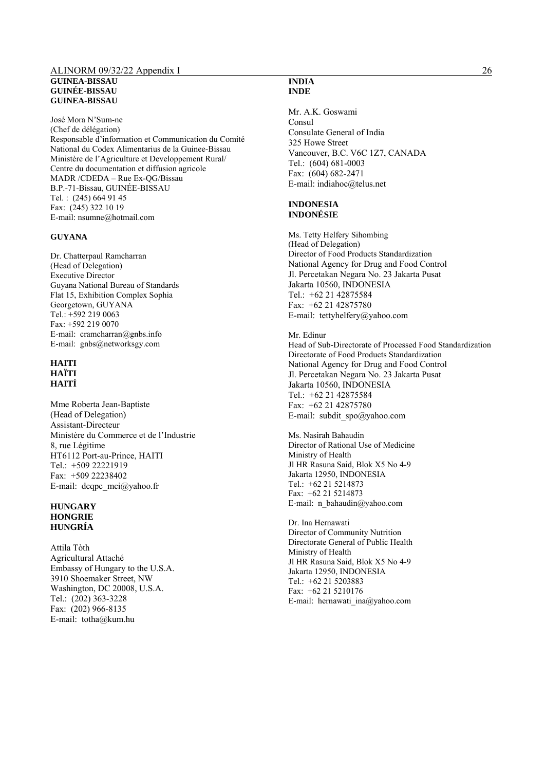#### ALINORM 09/32/22 Appendix I 26 **GUINEA-BISSAU GUINÉE-BISSAU GUINEA-BISSAU**

José Mora N'Sum-ne (Chef de délégation) Responsable d'information et Communication du Comité National du Codex Alimentarius de la Guinee-Bissau Ministère de l'Agriculture et Developpement Rural/ Centre du documentation et diffusion agricole MADR /CDEDA – Rue Ex-QG/Bissau B.P.-71-Bissau, GUINÉE-BISSAU Tel. : (245) 664 91 45 Fax: (245) 322 10 19 E-mail: nsumne@hotmail.com

#### **GUYANA**

Dr. Chatterpaul Ramcharran (Head of Delegation) Executive Director Guyana National Bureau of Standards Flat 15, Exhibition Complex Sophia Georgetown, GUYANA Tel.: +592 219 0063 Fax: +592 219 0070 E-mail: cramcharran@gnbs.info E-mail: gnbs@networksgy.com

#### **HAITI HAÏTI HAITÍ**

Mme Roberta Jean-Baptiste (Head of Delegation) Assistant-Directeur Ministère du Commerce et de l'Industrie 8, rue Légitime HT6112 Port-au-Prince, HAITI Tel.: +509 22221919 Fax: +509 22238402 E-mail: dcqpc\_mci@yahoo.fr

#### **HUNGARY HONGRIE HUNGRÍA**

Attila Tòth Agricultural Attaché Embassy of Hungary to the U.S.A. 3910 Shoemaker Street, NW Washington, DC 20008, U.S.A. Tel.: (202) 363-3228 Fax: (202) 966-8135 E-mail: totha@kum.hu

#### **INDIA INDE**

Mr. A.K. Goswami Consul Consulate General of India 325 Howe Street Vancouver, B.C. V6C 1Z7, CANADA Tel.: (604) 681-0003 Fax: (604) 682-2471 E-mail: indiahoc@telus.net

#### **INDONESIA INDONÉSIE**

Ms. Tetty Helfery Sihombing (Head of Delegation) Director of Food Products Standardization National Agency for Drug and Food Control Jl. Percetakan Negara No. 23 Jakarta Pusat Jakarta 10560, INDONESIA Tel.: +62 21 42875584 Fax: +62 21 42875780 E-mail: tettyhelfery@yahoo.com

Mr. Edinur Head of Sub-Directorate of Processed Food Standardization Directorate of Food Products Standardization National Agency for Drug and Food Control Jl. Percetakan Negara No. 23 Jakarta Pusat Jakarta 10560, INDONESIA Tel.: +62 21 42875584 Fax: +62 21 42875780

E-mail: subdit\_spo@yahoo.com Ms. Nasirah Bahaudin

Director of Rational Use of Medicine Ministry of Health Jl HR Rasuna Said, Blok X5 No 4-9 Jakarta 12950, INDONESIA Tel.: +62 21 5214873 Fax: +62 21 5214873 E-mail: n\_bahaudin@yahoo.com

Dr. Ina Hernawati Director of Community Nutrition Directorate General of Public Health Ministry of Health Jl HR Rasuna Said, Blok X5 No 4-9 Jakarta 12950, INDONESIA Tel.: +62 21 5203883 Fax: +62 21 5210176 E-mail: hernawati\_ina@yahoo.com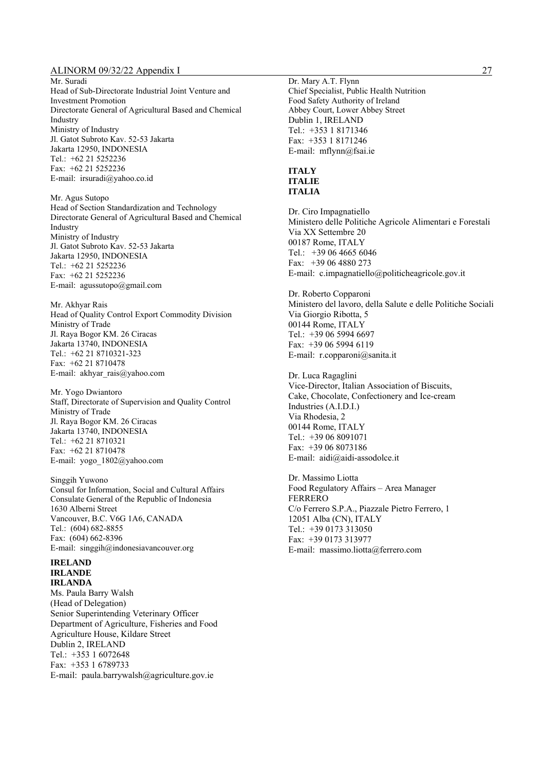Mr. Suradi Head of Sub-Directorate Industrial Joint Venture and Investment Promotion Directorate General of Agricultural Based and Chemical Industry Ministry of Industry Jl. Gatot Subroto Kav. 52-53 Jakarta Jakarta 12950, INDONESIA Tel.: +62 21 5252236 Fax: +62 21 5252236 E-mail: irsuradi@yahoo.co.id

Mr. Agus Sutopo Head of Section Standardization and Technology Directorate General of Agricultural Based and Chemical Industry Ministry of Industry Jl. Gatot Subroto Kav. 52-53 Jakarta Jakarta 12950, INDONESIA Tel.: +62 21 5252236 Fax: +62 21 5252236 E-mail: agussutopo@gmail.com

Mr. Akhyar Rais Head of Quality Control Export Commodity Division Ministry of Trade Jl. Raya Bogor KM. 26 Ciracas Jakarta 13740, INDONESIA Tel.: +62 21 8710321-323 Fax: +62 21 8710478 E-mail: akhyar\_rais@yahoo.com

Mr. Yogo Dwiantoro Staff, Directorate of Supervision and Quality Control Ministry of Trade Jl. Raya Bogor KM. 26 Ciracas Jakarta 13740, INDONESIA Tel.: +62 21 8710321 Fax: +62 21 8710478 E-mail: yogo\_1802@yahoo.com

Singgih Yuwono Consul for Information, Social and Cultural Affairs Consulate General of the Republic of Indonesia 1630 Alberni Street Vancouver, B.C. V6G 1A6, CANADA Tel.: (604) 682-8855 Fax: (604) 662-8396 E-mail: singgih@indonesiavancouver.org

#### **IRELAND IRLANDE IRLANDA**

Ms. Paula Barry Walsh (Head of Delegation) Senior Superintending Veterinary Officer Department of Agriculture, Fisheries and Food Agriculture House, Kildare Street Dublin 2, IRELAND Tel.: +353 1 6072648 Fax: +353 1 6789733 E-mail: paula.barrywalsh@agriculture.gov.ie

Dr. Mary A.T. Flynn Chief Specialist, Public Health Nutrition Food Safety Authority of Ireland Abbey Court, Lower Abbey Street Dublin 1, IRELAND Tel.: +353 1 8171346 Fax: +353 1 8171246 E-mail: mflynn@fsai.ie

#### **ITALY ITALIE ITALIA**

Dr. Ciro Impagnatiello Ministero delle Politiche Agricole Alimentari e Forestali Via XX Settembre 20 00187 Rome, ITALY Tel.: +39 06 4665 6046 Fax: +39 06 4880 273 E-mail: c.impagnatiello@politicheagricole.gov.it

Dr. Roberto Copparoni Ministero del lavoro, della Salute e delle Politiche Sociali Via Giorgio Ribotta, 5 00144 Rome, ITALY Tel.: +39 06 5994 6697 Fax: +39 06 5994 6119 E-mail: r.copparoni@sanita.it

Dr. Luca Ragaglini Vice-Director, Italian Association of Biscuits, Cake, Chocolate, Confectionery and Ice-cream Industries (A.I.D.I.) Via Rhodesia, 2 00144 Rome, ITALY Tel.: +39 06 8091071 Fax: +39 06 8073186 E-mail: aidi@aidi-assodolce.it

Dr. Massimo Liotta Food Regulatory Affairs – Area Manager FERRERO C/o Ferrero S.P.A., Piazzale Pietro Ferrero, 1 12051 Alba (CN), ITALY Tel.: +39 0173 313050 Fax: +39 0173 313977 E-mail: massimo.liotta@ferrero.com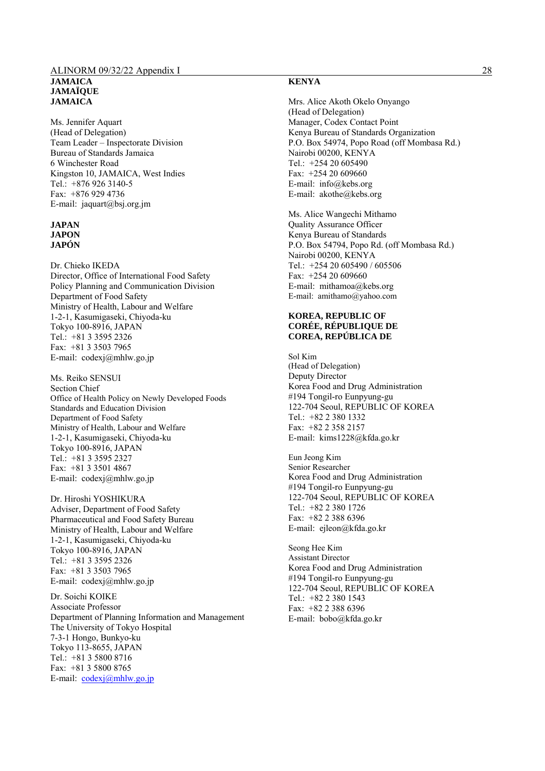#### ALINORM 09/32/22 Appendix I 28 **JAMAICA JAMAÏQUE JAMAICA**

Ms. Jennifer Aquart (Head of Delegation) Team Leader – Inspectorate Division Bureau of Standards Jamaica 6 Winchester Road Kingston 10, JAMAICA, West Indies Tel.: +876 926 3140-5 Fax: +876 929 4736 E-mail: jaquart@bsj.org.jm

#### **JAPAN JAPON JAPÓN**

Dr. Chieko IKEDA Director, Office of International Food Safety Policy Planning and Communication Division Department of Food Safety Ministry of Health, Labour and Welfare 1-2-1, Kasumigaseki, Chiyoda-ku Tokyo 100-8916, JAPAN Tel.: +81 3 3595 2326 Fax: +81 3 3503 7965 E-mail: codexj@mhlw.go.jp

Ms. Reiko SENSUI Section Chief Office of Health Policy on Newly Developed Foods Standards and Education Division Department of Food Safety Ministry of Health, Labour and Welfare 1-2-1, Kasumigaseki, Chiyoda-ku Tokyo 100-8916, JAPAN Tel.: +81 3 3595 2327 Fax: +81 3 3501 4867 E-mail: codexj@mhlw.go.jp

Dr. Hiroshi YOSHIKURA Adviser, Department of Food Safety Pharmaceutical and Food Safety Bureau Ministry of Health, Labour and Welfare 1-2-1, Kasumigaseki, Chiyoda-ku Tokyo 100-8916, JAPAN Tel.: +81 3 3595 2326 Fax: +81 3 3503 7965 E-mail: codexj@mhlw.go.jp

Dr. Soichi KOIKE Associate Professor Department of Planning Information and Management The University of Tokyo Hospital 7-3-1 Hongo, Bunkyo-ku Tokyo 113-8655, JAPAN Tel.: +81 3 5800 8716 Fax: +81 3 5800 8765 E-mail: codexj@mhlw.go.jp

#### **KENYA**

Mrs. Alice Akoth Okelo Onyango (Head of Delegation) Manager, Codex Contact Point Kenya Bureau of Standards Organization P.O. Box 54974, Popo Road (off Mombasa Rd.) Nairobi 00200, KENYA Tel.: +254 20 605490 Fax: +254 20 609660 E-mail: info@kebs.org E-mail: akothe@kebs.org

Ms. Alice Wangechi Mithamo Quality Assurance Officer Kenya Bureau of Standards P.O. Box 54794, Popo Rd. (off Mombasa Rd.) Nairobi 00200, KENYA Tel.: +254 20 605490 / 605506 Fax: +254 20 609660 E-mail: mithamoa@kebs.org E-mail: amithamo@yahoo.com

#### **KOREA, REPUBLIC OF CORÉE, RÉPUBLIQUE DE COREA, REPÚBLICA DE**

Sol Kim (Head of Delegation) Deputy Director Korea Food and Drug Administration #194 Tongil-ro Eunpyung-gu 122-704 Seoul, REPUBLIC OF KOREA Tel.: +82 2 380 1332 Fax: +82 2 358 2157 E-mail: kims1228@kfda.go.kr

Eun Jeong Kim Senior Researcher Korea Food and Drug Administration #194 Tongil-ro Eunpyung-gu 122-704 Seoul, REPUBLIC OF KOREA Tel.: +82 2 380 1726 Fax: +82 2 388 6396 E-mail: ejleon@kfda.go.kr

Seong Hee Kim Assistant Director Korea Food and Drug Administration #194 Tongil-ro Eunpyung-gu 122-704 Seoul, REPUBLIC OF KOREA Tel.: +82 2 380 1543 Fax: +82 2 388 6396 E-mail: bobo@kfda.go.kr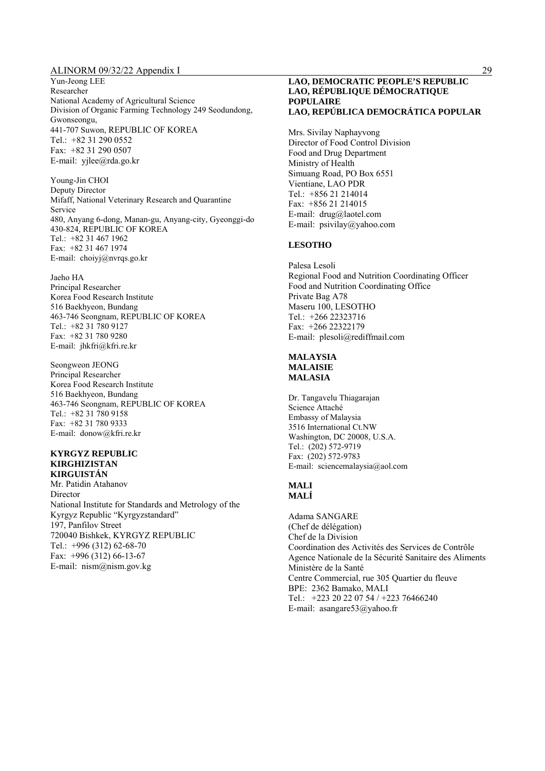Yun-Jeong LEE Researcher National Academy of Agricultural Science Division of Organic Farming Technology 249 Seodundong, Gwonseongu, 441-707 Suwon, REPUBLIC OF KOREA Tel.: +82 31 290 0552 Fax: +82 31 290 0507 E-mail: yjlee@rda.go.kr

Young-Jin CHOI Deputy Director Mifaff, National Veterinary Research and Quarantine Service 480, Anyang 6-dong, Manan-gu, Anyang-city, Gyeonggi-do 430-824, REPUBLIC OF KOREA Tel.: +82 31 467 1962 Fax: +82 31 467 1974 E-mail: choiyj@nvrqs.go.kr

Jaeho HA Principal Researcher Korea Food Research Institute 516 Baekhyeon, Bundang 463-746 Seongnam, REPUBLIC OF KOREA Tel.: +82 31 780 9127 Fax: +82 31 780 9280 E-mail: jhkfri@kfri.re.kr

Seongweon JEONG Principal Researcher Korea Food Research Institute 516 Baekhyeon, Bundang 463-746 Seongnam, REPUBLIC OF KOREA Tel.: +82 31 780 9158 Fax: +82 31 780 9333 E-mail: donow@kfri.re.kr

#### **KYRGYZ REPUBLIC KIRGHIZISTAN KIRGUISTÁN**

Mr. Patidin Atahanov Director National Institute for Standards and Metrology of the Kyrgyz Republic "Kyrgyzstandard" 197, Panfilov Street 720040 Bishkek, KYRGYZ REPUBLIC Tel.: +996 (312) 62-68-70 Fax: +996 (312) 66-13-67 E-mail: nism@nism.gov.kg

#### **LAO, DEMOCRATIC PEOPLE'S REPUBLIC LAO, RÉPUBLIQUE DÉMOCRATIQUE POPULAIRE LAO, REPÚBLICA DEMOCRÁTICA POPULAR**

Mrs. Sivilay Naphayvong Director of Food Control Division Food and Drug Department Ministry of Health Simuang Road, PO Box 6551 Vientiane, LAO PDR Tel.: +856 21 214014 Fax: +856 21 214015 E-mail: drug@laotel.com E-mail: psivilay@yahoo.com

#### **LESOTHO**

Palesa Lesoli Regional Food and Nutrition Coordinating Officer Food and Nutrition Coordinating Office Private Bag A78 Maseru 100, LESOTHO Tel.: +266 22323716 Fax: +266 22322179 E-mail: plesoli@rediffmail.com

#### **MALAYSIA MALAISIE MALASIA**

Dr. Tangavelu Thiagarajan Science Attaché Embassy of Malaysia 3516 International Ct.NW Washington, DC 20008, U.S.A. Tel.: (202) 572-9719 Fax: (202) 572-9783 E-mail: sciencemalaysia@aol.com

#### **MALI MALÍ**

Adama SANGARE (Chef de délégation) Chef de la Division Coordination des Activités des Services de Contrôle Agence Nationale de la Sécurité Sanitaire des Aliments Ministère de la Santé Centre Commercial, rue 305 Quartier du fleuve BPE: 2362 Bamako, MALI Tel.: +223 20 22 07 54 / +223 76466240 E-mail: asangare53@yahoo.fr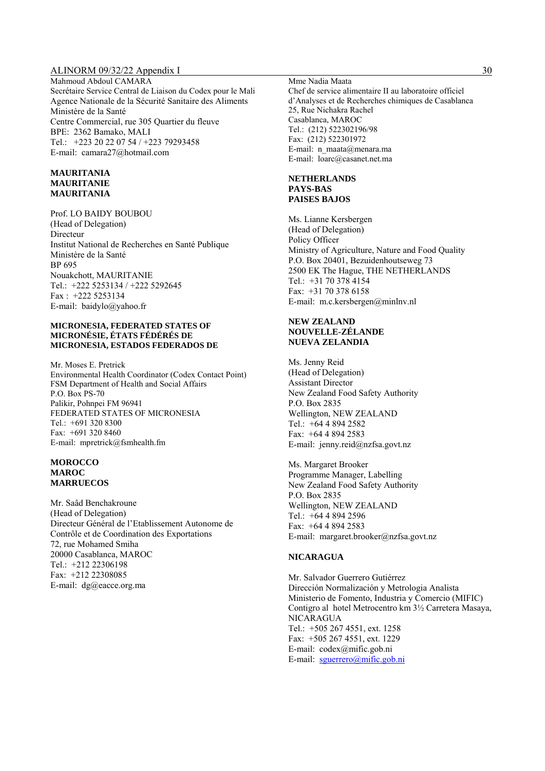Mahmoud Abdoul CAMARA Secrétaire Service Central de Liaison du Codex pour le Mali Agence Nationale de la Sécurité Sanitaire des Aliments Ministère de la Santé Centre Commercial, rue 305 Quartier du fleuve BPE: 2362 Bamako, MALI Tel.: +223 20 22 07 54 / +223 79293458 E-mail: camara27@hotmail.com

#### **MAURITANIA MAURITANIE MAURITANIA**

Prof. LO BAIDY BOUBOU (Head of Delegation) Directeur Institut National de Recherches en Santé Publique Ministère de la Santé BP 695 Nouakchott, MAURITANIE Tel.: +222 5253134 / +222 5292645 Fax : +222 5253134 E-mail: baidylo@yahoo.fr

#### **MICRONESIA, FEDERATED STATES OF MICRONÉSIE, ÉTATS FÉDÉRÉS DE MICRONESIA, ESTADOS FEDERADOS DE**

Mr. Moses E. Pretrick Environmental Health Coordinator (Codex Contact Point) FSM Department of Health and Social Affairs P.O. Box PS-70 Palikir, Pohnpei FM 96941 FEDERATED STATES OF MICRONESIA Tel.: +691 320 8300 Fax: +691 320 8460 E-mail: mpretrick@fsmhealth.fm

#### **MOROCCO MAROC MARRUECOS**

Mr. Saâd Benchakroune (Head of Delegation) Directeur Général de l'Etablissement Autonome de Contrôle et de Coordination des Exportations 72, rue Mohamed Smiha 20000 Casablanca, MAROC Tel.: +212 22306198 Fax: +212 22308085 E-mail: dg@eacce.org.ma

Mme Nadia Maata Chef de service alimentaire II au laboratoire officiel d'Analyses et de Recherches chimiques de Casablanca 25, Rue Nichakra Rachel Casablanca, MAROC Tel.: (212) 522302196/98 Fax: (212) 522301972 E-mail: n\_maata@menara.ma E-mail: loarc@casanet.net.ma

#### **NETHERLANDS PAYS-BAS PAISES BAJOS**

Ms. Lianne Kersbergen (Head of Delegation) Policy Officer Ministry of Agriculture, Nature and Food Quality P.O. Box 20401, Bezuidenhoutseweg 73 2500 EK The Hague, THE NETHERLANDS Tel.: +31 70 378 4154 Fax: +31 70 378 6158 E-mail: m.c.kersbergen@minlnv.nl

#### **NEW ZEALAND NOUVELLE-ZÉLANDE NUEVA ZELANDIA**

Ms. Jenny Reid (Head of Delegation) Assistant Director New Zealand Food Safety Authority P.O. Box 2835 Wellington, NEW ZEALAND Tel.: +64 4 894 2582 Fax: +64 4 894 2583 E-mail: jenny.reid@nzfsa.govt.nz

Ms. Margaret Brooker Programme Manager, Labelling New Zealand Food Safety Authority P.O. Box 2835 Wellington, NEW ZEALAND Tel.: +64 4 894 2596 Fax: +64 4 894 2583 E-mail: margaret.brooker@nzfsa.govt.nz

#### **NICARAGUA**

Mr. Salvador Guerrero Gutiérrez Dirección Normalización y Metrologia Analista Ministerio de Fomento, Industria y Comercio (MIFIC) Contigro al hotel Metrocentro km 3½ Carretera Masaya, NICARAGUA Tel.: +505 267 4551, ext. 1258 Fax: +505 267 4551, ext. 1229 E-mail: codex@mific.gob.ni E-mail: sguerrero@mific.gob.ni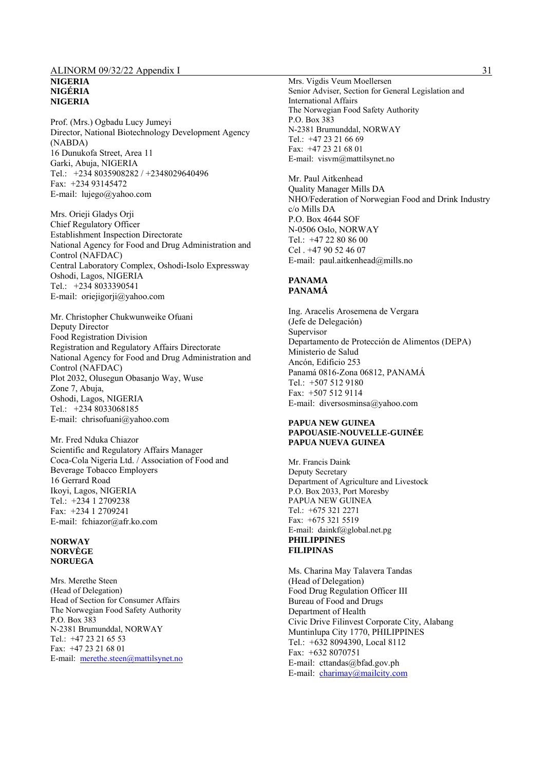#### ALINORM 09/32/22 Appendix I 31 **NIGERIA NIGÉRIA NIGERIA**

Prof. (Mrs.) Ogbadu Lucy Jumeyi Director, National Biotechnology Development Agency (NABDA) 16 Dunukofa Street, Area 11 Garki, Abuja, NIGERIA Tel.: +234 8035908282 / +2348029640496 Fax: +234 93145472 E-mail: lujego@yahoo.com

Mrs. Orieji Gladys Orji Chief Regulatory Officer Establishment Inspection Directorate National Agency for Food and Drug Administration and Control (NAFDAC) Central Laboratory Complex, Oshodi-Isolo Expressway Oshodi, Lagos, NIGERIA Tel.: +234 8033390541 E-mail: oriejigorji@yahoo.com

Mr. Christopher Chukwunweike Ofuani Deputy Director Food Registration Division Registration and Regulatory Affairs Directorate National Agency for Food and Drug Administration and Control (NAFDAC) Plot 2032, Olusegun Obasanjo Way, Wuse Zone 7, Abuja, Oshodi, Lagos, NIGERIA Tel.: +234 8033068185 E-mail: chrisofuani@yahoo.com

Mr. Fred Nduka Chiazor Scientific and Regulatory Affairs Manager Coca-Cola Nigeria Ltd. / Association of Food and Beverage Tobacco Employers 16 Gerrard Road Ikoyi, Lagos, NIGERIA Tel.: +234 1 2709238 Fax: +234 1 2709241 E-mail: fchiazor@afr.ko.com

#### **NORWAY NORVÈGE NORUEGA**

Mrs. Merethe Steen (Head of Delegation) Head of Section for Consumer Affairs The Norwegian Food Safety Authority P.O. Box 383 N-2381 Brumunddal, NORWAY Tel.: +47 23 21 65 53 Fax: +47 23 21 68 01 E-mail: merethe.steen@mattilsynet.no

Mrs. Vigdis Veum Moellersen Senior Adviser, Section for General Legislation and International Affairs The Norwegian Food Safety Authority P.O. Box 383 N-2381 Brumunddal, NORWAY Tel.: +47 23 21 66 69 Fax: +47 23 21 68 01 E-mail: visvm@mattilsynet.no

Mr. Paul Aitkenhead Quality Manager Mills DA NHO/Federation of Norwegian Food and Drink Industry c/o Mills DA P.O. Box 4644 SOF N-0506 Oslo, NORWAY Tel.: +47 22 80 86 00 Cel . +47 90 52 46 07 E-mail: paul.aitkenhead@mills.no

#### **PANAMA PANAMÁ**

Ing. Aracelis Arosemena de Vergara (Jefe de Delegación) Supervisor Departamento de Protección de Alimentos (DEPA) Ministerio de Salud Ancón, Edificio 253 Panamá 0816-Zona 06812, PANAMÁ Tel.: +507 512 9180 Fax: +507 512 9114 E-mail: diversosminsa@yahoo.com

#### **PAPUA NEW GUINEA PAPOUASIE-NOUVELLE-GUINÉE PAPUA NUEVA GUINEA**

Mr. Francis Daink Deputy Secretary Department of Agriculture and Livestock P.O. Box 2033, Port Moresby PAPUA NEW GUINEA Tel.: +675 321 2271 Fax: +675 321 5519 E-mail: dainkf@global.net.pg **PHILIPPINES FILIPINAS** 

Ms. Charina May Talavera Tandas (Head of Delegation) Food Drug Regulation Officer III Bureau of Food and Drugs Department of Health Civic Drive Filinvest Corporate City, Alabang Muntinlupa City 1770, PHILIPPINES Tel.: +632 8094390, Local 8112 Fax: +632 8070751 E-mail: cttandas@bfad.gov.ph E-mail: charimay@mailcity.com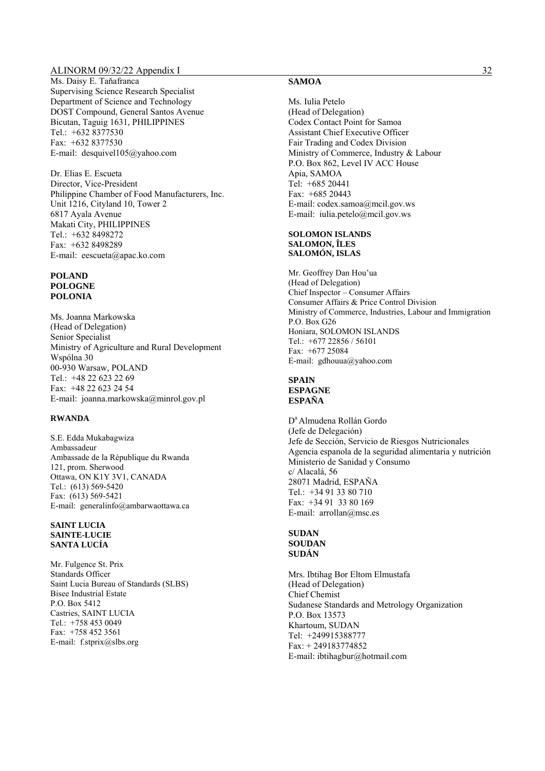Ms. Daisy E. Taňafranca Supervising Science Research Specialist Department of Science and Technology DOST Compound, General Santos Avenue Bicutan, Taguig 1631, PHILIPPINES Tel.: +632 8377530 Fax: +632 8377530 E-mail: desquivel105@yahoo.com

Dr. Elias E. Escueta Director, Vice-President Philippine Chamber of Food Manufacturers, Inc. Unit 1216, Cityland 10, Tower 2 6817 Ayala Avenue Makati City, PHILIPPINES Tel.: +632 8498272 Fax: +632 8498289 E-mail: eescueta@apac.ko.com

#### **POLAND POLOGNE POLONIA**

Ms. Joanna Markowska (Head of Delegation) Senior Specialist Ministry of Agriculture and Rural Development Wspólna 30 00-930 Warsaw, POLAND Tel.: +48 22 623 22 69 Fax: +48 22 623 24 54 E-mail: joanna.markowska@minrol.gov.pl

#### **RWANDA**

S.E. Edda Mukabagwiza Ambassadeur Ambassade de la République du Rwanda 121, prom. Sherwood Ottawa, ON K1Y 3V1, CANADA Tel.: (613) 569-5420 Fax: (613) 569-5421 E-mail: generalinfo@ambarwaottawa.ca

#### **SAINT LUCIA SAINTE-LUCIE SANTA LUCÍA**

Mr. Fulgence St. Prix Standards Officer Saint Lucia Bureau of Standards (SLBS) Bisee Industrial Estate P.O. Box 5412 Castries, SAINT LUCIA Tel.: +758 453 0049 Fax: +758 452 3561 E-mail: f.stprix@slbs.org

#### **SAMOA**

Ms. Iulia Petelo (Head of Delegation) Codex Contact Point for Samoa Assistant Chief Executive Officer Fair Trading and Codex Division Ministry of Commerce, Industry & Labour P.O. Box 862, Level IV ACC House Apia, SAMOA Tel: +685 20441 Fax: +685 20443 E-mail: codex.samoa@mcil.gov.ws E-mail: iulia.petelo@mcil.gov.ws

#### **SOLOMON ISLANDS SALOMON, ÎLES SALOMÓN, ISLAS**

Mr. Geoffrey Dan Hou'ua (Head of Delegation) Chief Inspector – Consumer Affairs Consumer Affairs & Price Control Division Ministry of Commerce, Industries, Labour and Immigration P.O. Box G26 Honiara, SOLOMON ISLANDS Tel.: +677 22856 / 56101 Fax: +677 25084 E-mail: gdhouua@yahoo.com

## **SPAIN**

**ESPAGNE ESPAÑA** 

D<sup>a</sup> Almudena Rollán Gordo (Jefe de Delegación) Jefe de Sección, Servicio de Riesgos Nutricionales Agencia espanola de la seguridad alimentaria y nutrición Ministerio de Sanidad y Consumo c/ Alacalá, 56 28071 Madrid, ESPAŇA Tel.: +34 91 33 80 710 Fax: +34 91 33 80 169 E-mail: arrollan@msc.es

#### **SUDAN SOUDAN SUDÁN**

Mrs. Ibtihag Bor Eltom Elmustafa (Head of Delegation) Chief Chemist Sudanese Standards and Metrology Organization P.O. Box 13573 Khartoum, SUDAN Tel: +249915388777 Fax: + 249183774852 E-mail: ibtihagbur@hotmail.com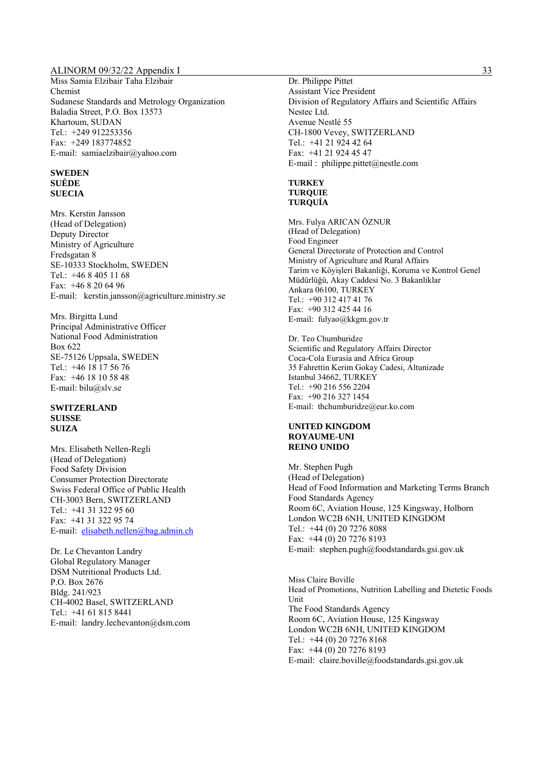Miss Samia Elzibair Taha Elzibair Chemist Sudanese Standards and Metrology Organization Baladia Street, P.O. Box 13573 Khartoum, SUDAN Tel.: +249 912253356 Fax: +249 183774852 E-mail: samiaelzibair@yahoo.com

#### **SWEDEN SUÈDE SUECIA**

Mrs. Kerstin Jansson (Head of Delegation) Deputy Director Ministry of Agriculture Fredsgatan 8 SE-10333 Stockholm, SWEDEN Tel.: +46 8 405 11 68 Fax: +46 8 20 64 96 E-mail: kerstin.jansson@agriculture.ministry.se

Mrs. Birgitta Lund Principal Administrative Officer National Food Administration Box 622 SE-75126 Uppsala, SWEDEN Tel.: +46 18 17 56 76 Fax: +46 18 10 58 48 E-mail: bilu@slv.se

#### **SWITZERLAND SUISSE SUIZA**

Mrs. Elisabeth Nellen-Regli (Head of Delegation) Food Safety Division Consumer Protection Directorate Swiss Federal Office of Public Health CH-3003 Bern, SWITZERLAND Tel.: +41 31 322 95 60 Fax: +41 31 322 95 74 E-mail: elisabeth.nellen@bag.admin.ch

Dr. Le Chevanton Landry Global Regulatory Manager DSM Nutritional Products Ltd. P.O. Box 2676 Bldg. 241/923 CH-4002 Basel, SWITZERLAND Tel.: +41 61 815 8441 E-mail: landry.lechevanton@dsm.com

Dr. Philippe Pittet Assistant Vice President Division of Regulatory Affairs and Scientific Affairs Nestec Ltd. Avenue Nestlé 55 CH-1800 Vevey, SWITZERLAND Tel.: +41 21 924 42 64 Fax: +41 21 924 45 47 E-mail : philippe.pittet@nestle.com

#### **TURKEY TURQUIE TURQUÍA**

Mrs. Fulya ARICAN ÖZNUR (Head of Delegation) Food Engineer General Directorate of Protection and Control Ministry of Agriculture and Rural Affairs Tarim ve Köyişleri Bakanliği, Koruma ve Kontrol Genel Müdürlüğü, Akay Caddesi No. 3 Bakanliklar Ankara 06100, TURKEY Tel.: +90 312 417 41 76 Fax: +90 312 425 44 16 E-mail: fulyao@kkgm.gov.tr

Dr. Teo Chumburidze Scientific and Regulatory Affairs Director Coca-Cola Eurasia and Africa Group 35 Fahrettin Kerim Gokay Cadesi, Altunizade Istanbul 34662, TURKEY Tel.: +90 216 556 2204 Fax: +90 216 327 1454 E-mail: thchumburidze@eur.ko.com

#### **UNITED KINGDOM ROYAUME-UNI REINO UNIDO**

Mr. Stephen Pugh (Head of Delegation) Head of Food Information and Marketing Terms Branch Food Standards Agency Room 6C, Aviation House, 125 Kingsway, Holborn London WC2B 6NH, UNITED KINGDOM Tel.: +44 (0) 20 7276 8088 Fax: +44 (0) 20 7276 8193 E-mail: stephen.pugh@foodstandards.gsi.gov.uk

Miss Claire Boville Head of Promotions, Nutrition Labelling and Dietetic Foods Unit The Food Standards Agency Room 6C, Aviation House, 125 Kingsway London WC2B 6NH, UNITED KINGDOM Tel.: +44 (0) 20 7276 8168 Fax: +44 (0) 20 7276 8193 E-mail: claire.boville@foodstandards.gsi.gov.uk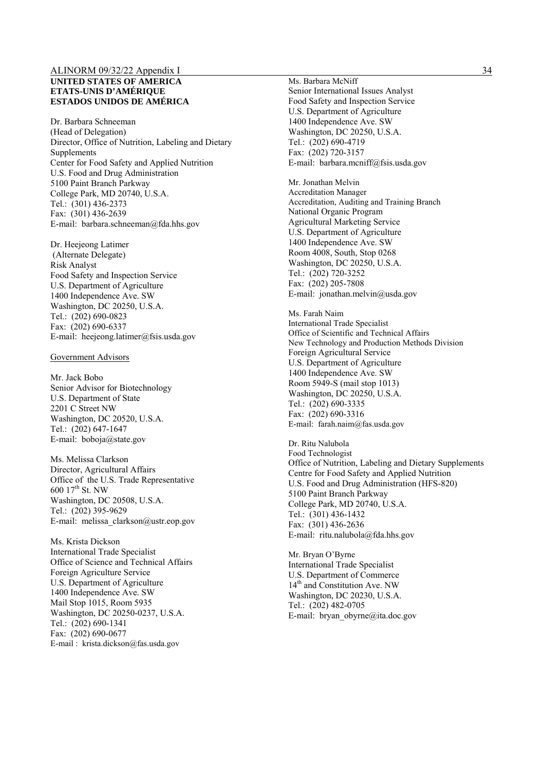#### **UNITED STATES OF AMERICA ETATS-UNIS D'AMÉRIQUE ESTADOS UNIDOS DE AMÉRICA**

Dr. Barbara Schneeman (Head of Delegation) Director, Office of Nutrition, Labeling and Dietary Supplements Center for Food Safety and Applied Nutrition U.S. Food and Drug Administration 5100 Paint Branch Parkway College Park, MD 20740, U.S.A. Tel.: (301) 436-2373 Fax: (301) 436-2639 E-mail: barbara.schneeman@fda.hhs.gov

Dr. Heejeong Latimer (Alternate Delegate) Risk Analyst Food Safety and Inspection Service U.S. Department of Agriculture 1400 Independence Ave. SW Washington, DC 20250, U.S.A. Tel.: (202) 690-0823 Fax: (202) 690-6337 E-mail: heejeong.latimer@fsis.usda.gov

#### Government Advisors

Mr. Jack Bobo Senior Advisor for Biotechnology U.S. Department of State 2201 C Street NW Washington, DC 20520, U.S.A. Tel.: (202) 647-1647 E-mail: boboja@state.gov

Ms. Melissa Clarkson Director, Agricultural Affairs Office of the U.S. Trade Representative 600 17th St. NW Washington, DC 20508, U.S.A. Tel.: (202) 395-9629 E-mail: melissa\_clarkson@ustr.eop.gov

Ms. Krista Dickson International Trade Specialist Office of Science and Technical Affairs Foreign Agriculture Service U.S. Department of Agriculture 1400 Independence Ave. SW Mail Stop 1015, Room 5935 Washington, DC 20250-0237, U.S.A. Tel.: (202) 690-1341 Fax: (202) 690-0677 E-mail : krista.dickson@fas.usda.gov

Ms. Barbara McNiff Senior International Issues Analyst Food Safety and Inspection Service U.S. Department of Agriculture 1400 Independence Ave. SW Washington, DC 20250, U.S.A. Tel.: (202) 690-4719 Fax: (202) 720-3157 E-mail: barbara.mcniff@fsis.usda.gov

Mr. Jonathan Melvin Accreditation Manager Accreditation, Auditing and Training Branch National Organic Program Agricultural Marketing Service U.S. Department of Agriculture 1400 Independence Ave. SW Room 4008, South, Stop 0268 Washington, DC 20250, U.S.A. Tel.: (202) 720-3252 Fax: (202) 205-7808 E-mail: jonathan.melvin@usda.gov

Ms. Farah Naim International Trade Specialist Office of Scientific and Technical Affairs New Technology and Production Methods Division Foreign Agricultural Service U.S. Department of Agriculture 1400 Independence Ave. SW Room 5949-S (mail stop 1013) Washington, DC 20250, U.S.A. Tel.: (202) 690-3335 Fax: (202) 690-3316 E-mail: farah.naim@fas.usda.gov

Dr. Ritu Nalubola Food Technologist Office of Nutrition, Labeling and Dietary Supplements Centre for Food Safety and Applied Nutrition U.S. Food and Drug Administration (HFS-820) 5100 Paint Branch Parkway College Park, MD 20740, U.S.A. Tel.: (301) 436-1432 Fax: (301) 436-2636 E-mail: ritu.nalubola@fda.hhs.gov

Mr. Bryan O'Byrne International Trade Specialist U.S. Department of Commerce 14<sup>th</sup> and Constitution Ave. NW Washington, DC 20230, U.S.A. Tel.: (202) 482-0705 E-mail: bryan\_obyrne@ita.doc.gov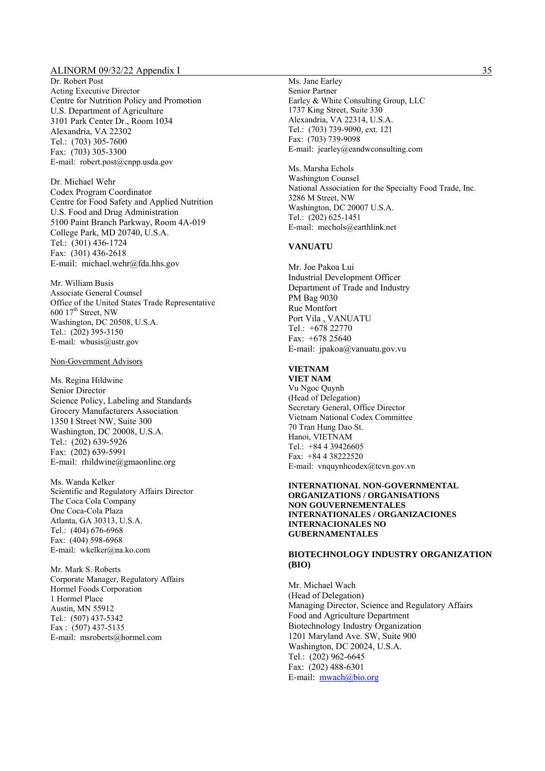Dr. Robert Post Acting Executive Director Centre for Nutrition Policy and Promotion U.S. Department of Agriculture 3101 Park Center Dr., Room 1034 Alexandria, VA 22302 Tel.: (703) 305-7600 Fax: (703) 305-3300 E-mail: robert.post@cnpp.usda.gov

Dr. Michael Wehr Codex Program Coordinator Centre for Food Safety and Applied Nutrition U.S. Food and Drug Administration 5100 Paint Branch Parkway, Room 4A-019 College Park, MD 20740, U.S.A. Tel.: (301) 436-1724 Fax: (301) 436-2618 E-mail: michael.wehr@fda.hhs.gov

Mr. William Busis Associate General Counsel Office of the United States Trade Representative  $600$   $17<sup>th</sup>$  Street, NW Washington, DC 20508, U.S.A. Tel.: (202) 395-3150 E-mail: wbusis@ustr.gov

#### Non-Government Advisors

Ms. Regina Hildwine Senior Director Science Policy, Labeling and Standards Grocery Manufacturers Association 1350 I Street NW, Suite 300 Washington, DC 20008, U.S.A. Tel.: (202) 639-5926 Fax: (202) 639-5991 E-mail: rhildwine@gmaonline.org

Ms. Wanda Kelker Scientific and Regulatory Affairs Director The Coca Cola Company One Coca-Cola Plaza Atlanta, GA 30313, U.S.A. Tel.: (404) 676-6968 Fax: (404) 598-6968 E-mail: wkelker@na.ko.com

Mr. Mark S. Roberts Corporate Manager, Regulatory Affairs Hormel Foods Corporation 1 Hormel Place Austin, MN 55912 Tel.: (507) 437-5342 Fax : (507) 437-5135 E-mail: msroberts@hormel.com

Ms. Jane Earley Senior Partner Earley & White Consulting Group, LLC 1737 King Street, Suite 330 Alexandria, VA 22314, U.S.A. Tel.: (703) 739-9090, ext. 121 Fax: (703) 739-9098 E-mail: jearley@eandwconsulting.com

Ms. Marsha Echols Washington Counsel National Association for the Specialty Food Trade, Inc. 3286 M Street, NW Washington, DC 20007 U.S.A. Tel.: (202) 625-1451 E-mail: mechols@earthlink.net

#### **VANUATU**

Mr. Joe Pakoa Lui Industrial Development Officer Department of Trade and Industry PM Bag 9030 Rue Montfort Port Vila , VANUATU Tel.: +678 22770 Fax: +678 25640 E-mail: jpakoa@vanuatu.gov.vu

## **VIETNAM**

**VIET NAM**  Vu Ngoc Quynh (Head of Delegation) Secretary General, Office Director Vietnam National Codex Committee 70 Tran Hung Dao St. Hanoi, VIETNAM Tel.: +84 4 39426605 Fax: +84 4 38222520 E-mail: vnquynhcodex@tcvn.gov.vn

#### **INTERNATIONAL NON-GOVERNMENTAL ORGANIZATIONS / ORGANISATIONS NON GOUVERNEMENTALES INTERNATIONALES / ORGANIZACIONES INTERNACIONALES NO GUBERNAMENTALES**

#### **BIOTECHNOLOGY INDUSTRY ORGANIZATION (BIO)**

Mr. Michael Wach (Head of Delegation) Managing Director, Science and Regulatory Affairs Food and Agriculture Department Biotechnology Industry Organization 1201 Maryland Ave. SW, Suite 900 Washington, DC 20024, U.S.A. Tel.: (202) 962-6645 Fax: (202) 488-6301 E-mail: mwach@bio.org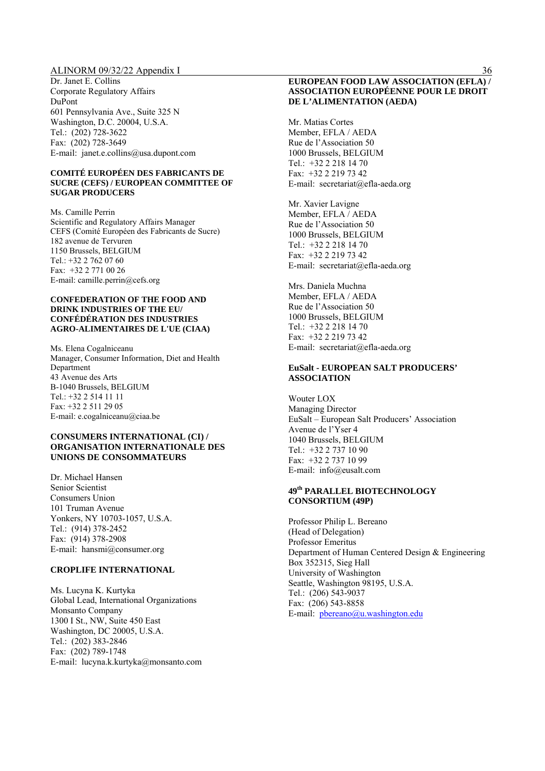Dr. Janet E. Collins Corporate Regulatory Affairs DuPont 601 Pennsylvania Ave., Suite 325 N Washington, D.C. 20004, U.S.A. Tel.: (202) 728-3622 Fax: (202) 728-3649 E-mail: janet.e.collins@usa.dupont.com

#### **COMITÉ EUROPÉEN DES FABRICANTS DE SUCRE (CEFS) / EUROPEAN COMMITTEE OF SUGAR PRODUCERS**

Ms. Camille Perrin Scientific and Regulatory Affairs Manager CEFS (Comité Européen des Fabricants de Sucre) 182 avenue de Tervuren 1150 Brussels, BELGIUM Tel.: +32 2 762 07 60 Fax: +32 2 771 00 26 E-mail: camille.perrin@cefs.org

#### **CONFEDERATION OF THE FOOD AND DRINK INDUSTRIES OF THE EU/ CONFÉDÉRATION DES INDUSTRIES AGRO-ALIMENTAIRES DE L'UE (CIAA)**

Ms. Elena Cogalniceanu Manager, Consumer Information, Diet and Health Department 43 Avenue des Arts B-1040 Brussels, BELGIUM Tel.: +32 2 514 11 11 Fax: +32 2 511 29 05 E-mail: e.cogalniceanu@ciaa.be

#### **CONSUMERS INTERNATIONAL (CI) / ORGANISATION INTERNATIONALE DES UNIONS DE CONSOMMATEURS**

Dr. Michael Hansen Senior Scientist Consumers Union 101 Truman Avenue Yonkers, NY 10703-1057, U.S.A. Tel.: (914) 378-2452 Fax: (914) 378-2908 E-mail: hansmi@consumer.org

#### **CROPLIFE INTERNATIONAL**

Ms. Lucyna K. Kurtyka Global Lead, International Organizations Monsanto Company 1300 I St., NW, Suite 450 East Washington, DC 20005, U.S.A. Tel.: (202) 383-2846 Fax: (202) 789-1748 E-mail: lucyna.k.kurtyka@monsanto.com

#### **EUROPEAN FOOD LAW ASSOCIATION (EFLA) / ASSOCIATION EUROPÉENNE POUR LE DROIT DE L'ALIMENTATION (AEDA)**

Mr. Matias Cortes Member, EFLA / AEDA Rue de l'Association 50 1000 Brussels, BELGIUM Tel.: +32 2 218 14 70 Fax: +32 2 219 73 42 E-mail: secretariat@efla-aeda.org

Mr. Xavier Lavigne Member, EFLA / AEDA Rue de l'Association 50 1000 Brussels, BELGIUM Tel.: +32 2 218 14 70 Fax: +32 2 219 73 42 E-mail: secretariat@efla-aeda.org

Mrs. Daniela Muchna Member, EFLA / AEDA Rue de l'Association 50 1000 Brussels, BELGIUM Tel.: +32 2 218 14 70 Fax: +32 2 219 73 42 E-mail: secretariat@efla-aeda.org

#### **EuSalt - EUROPEAN SALT PRODUCERS' ASSOCIATION**

Wouter LOX Managing Director EuSalt – European Salt Producers' Association Avenue de l'Yser 4 1040 Brussels, BELGIUM Tel.: +32 2 737 10 90 Fax: +32 2 737 10 99 E-mail: info@eusalt.com

#### **49th PARALLEL BIOTECHNOLOGY CONSORTIUM (49P)**

Professor Philip L. Bereano (Head of Delegation) Professor Emeritus Department of Human Centered Design & Engineering Box 352315, Sieg Hall University of Washington Seattle, Washington 98195, U.S.A. Tel.: (206) 543-9037 Fax: (206) 543-8858 E-mail: pbereano@u.washington.edu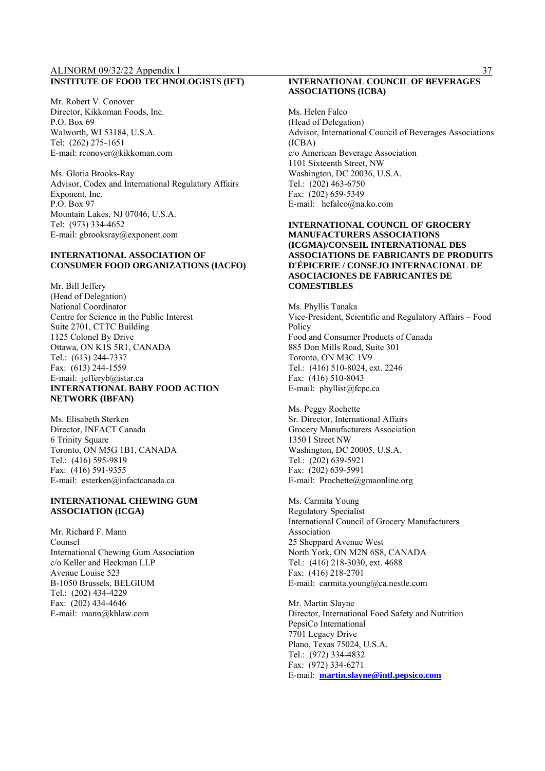#### ALINORM 09/32/22 Appendix I 37 **INSTITUTE OF FOOD TECHNOLOGISTS (IFT)**

Mr. Robert V. Conover Director, Kikkoman Foods, Inc. P.O. Box 69 Walworth, WI 53184, U.S.A. Tel: (262) 275-1651 E-mail: rconover@kikkoman.com

Ms. Gloria Brooks-Ray Advisor, Codex and International Regulatory Affairs Exponent, Inc. P.O. Box 97 Mountain Lakes, NJ 07046, U.S.A. Tel: (973) 334-4652 E-mail: gbrooksray@exponent.com

## **INTERNATIONAL ASSOCIATION OF CONSUMER FOOD ORGANIZATIONS (IACFO)**

Mr. Bill Jeffery (Head of Delegation) National Coordinator Centre for Science in the Public Interest Suite 2701, CTTC Building 1125 Colonel By Drive Ottawa, ON K1S 5R1, CANADA Tel.: (613) 244-7337 Fax: (613) 244-1559 E-mail: jefferyb@istar.ca **INTERNATIONAL BABY FOOD ACTION NETWORK (IBFAN)**

Ms. Elisabeth Sterken Director, INFACT Canada 6 Trinity Square Toronto, ON M5G 1B1, CANADA Tel.: (416) 595-9819 Fax: (416) 591-9355 E-mail: esterken@infactcanada.ca

#### **INTERNATIONAL CHEWING GUM ASSOCIATION (ICGA)**

Mr. Richard F. Mann Counsel International Chewing Gum Association c/o Keller and Heckman LLP Avenue Louise 523 B-1050 Brussels, BELGIUM Tel.: (202) 434-4229 Fax: (202) 434-4646 E-mail: mann@khlaw.com

#### **INTERNATIONAL COUNCIL OF BEVERAGES ASSOCIATIONS (ICBA)**

Ms. Helen Falco (Head of Delegation) Advisor, International Council of Beverages Associations (ICBA) c/o American Beverage Association 1101 Sixteenth Street, NW Washington, DC 20036, U.S.A. Tel.: (202) 463-6750 Fax: (202) 659-5349 E-mail: hefalco@na.ko.com

#### **INTERNATIONAL COUNCIL OF GROCERY MANUFACTURERS ASSOCIATIONS (ICGMA)/CONSEIL INTERNATIONAL DES ASSOCIATIONS DE FABRICANTS DE PRODUITS D'ÉPICERIE / CONSEJO INTERNACIONAL DE ASOCIACIONES DE FABRICANTES DE COMESTIBLES**

Ms. Phyllis Tanaka Vice-President, Scientific and Regulatory Affairs – Food Policy Food and Consumer Products of Canada 885 Don Mills Road, Suite 301 Toronto, ON M3C 1V9 Tel.: (416) 510-8024, ext. 2246 Fax: (416) 510-8043 E-mail: phyllist@fcpc.ca

Ms. Peggy Rochette Sr. Director, International Affairs Grocery Manufacturers Association 1350 I Street NW Washington, DC 20005, U.S.A. Tel.: (202) 639-5921 Fax: (202) 639-5991 E-mail: Prochette@gmaonline.org

Ms. Carmita Young Regulatory Specialist International Council of Grocery Manufacturers Association 25 Sheppard Avenue West North York, ON M2N 6S8, CANADA Tel.: (416) 218-3030, ext. 4688 Fax: (416) 218-2701 E-mail: carmita.young@ca.nestle.com

Mr. Martin Slayne Director, International Food Safety and Nutrition PepsiCo International 7701 Legacy Drive Plano, Texas 75024, U.S.A. Tel.: (972) 334-4832 Fax: (972) 334-6271 E-mail: **martin.slayne@intl.pepsico.com**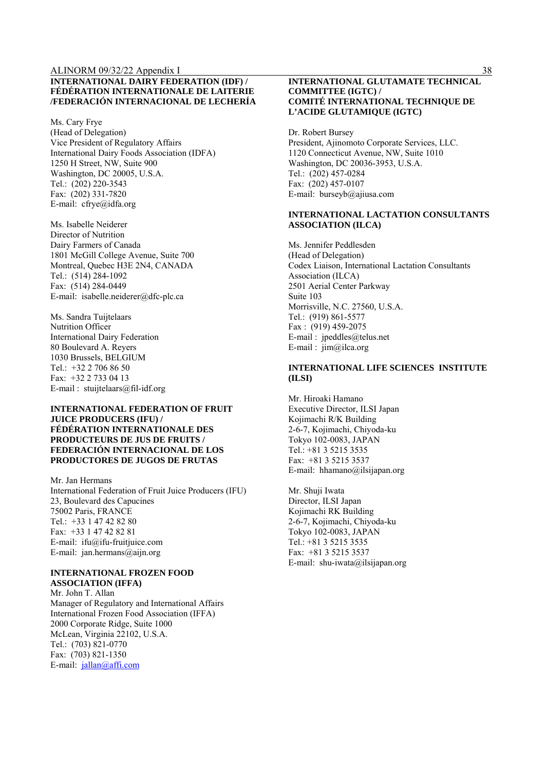#### **INTERNATIONAL DAIRY FEDERATION (IDF) / FÉDÉRATION INTERNATIONALE DE LAITERIE /FEDERACIÓN INTERNACIONAL DE LECHERÍA**

Ms. Cary Frye (Head of Delegation) Vice President of Regulatory Affairs International Dairy Foods Association (IDFA) 1250 H Street, NW, Suite 900 Washington, DC 20005, U.S.A. Tel.: (202) 220-3543 Fax: (202) 331-7820 E-mail: cfrye@idfa.org

Ms. Isabelle Neiderer Director of Nutrition Dairy Farmers of Canada 1801 McGill College Avenue, Suite 700 Montreal, Quebec H3E 2N4, CANADA Tel.: (514) 284-1092 Fax: (514) 284-0449 E-mail: isabelle.neiderer@dfc-plc.ca

Ms. Sandra Tuijtelaars Nutrition Officer International Dairy Federation 80 Boulevard A. Reyers 1030 Brussels, BELGIUM Tel.:  $+32.2$  706 86 50 Fax: +32 2 733 04 13 E-mail : stuijtelaars@fil-idf.org

#### **INTERNATIONAL FEDERATION OF FRUIT JUICE PRODUCERS (IFU) / FÉDÉRATION INTERNATIONALE DES PRODUCTEURS DE JUS DE FRUITS / FEDERACIÓN INTERNACIONAL DE LOS PRODUCTORES DE JUGOS DE FRUTAS**

Mr. Jan Hermans International Federation of Fruit Juice Producers (IFU) 23, Boulevard des Capucines 75002 Paris, FRANCE Tel.: +33 1 47 42 82 80 Fax: +33 1 47 42 82 81 E-mail: ifu@ifu-fruitjuice.com E-mail: jan.hermans@aijn.org

#### **INTERNATIONAL FROZEN FOOD ASSOCIATION (IFFA)**

Mr. John T. Allan Manager of Regulatory and International Affairs International Frozen Food Association (IFFA) 2000 Corporate Ridge, Suite 1000 McLean, Virginia 22102, U.S.A. Tel.: (703) 821-0770 Fax: (703) 821-1350 E-mail: jallan@affi.com

#### **INTERNATIONAL GLUTAMATE TECHNICAL COMMITTEE (IGTC) / COMITÉ INTERNATIONAL TECHNIQUE DE L'ACIDE GLUTAMIQUE (IGTC)**

Dr. Robert Bursey President, Ajinomoto Corporate Services, LLC. 1120 Connecticut Avenue, NW, Suite 1010 Washington, DC 20036-3953, U.S.A. Tel.: (202) 457-0284 Fax: (202) 457-0107 E-mail: burseyb@ajiusa.com

#### **INTERNATIONAL LACTATION CONSULTANTS ASSOCIATION (ILCA)**

Ms. Jennifer Peddlesden (Head of Delegation) Codex Liaison, International Lactation Consultants Association (ILCA) 2501 Aerial Center Parkway Suite 103 Morrisville, N.C. 27560, U.S.A. Tel.: (919) 861-5577 Fax : (919) 459-2075 E-mail : jpeddles@telus.net E-mail : jim@ilca.org

#### **INTERNATIONAL LIFE SCIENCES INSTITUTE (ILSI)**

Mr. Hiroaki Hamano Executive Director, ILSI Japan Kojimachi R/K Building 2-6-7, Kojimachi, Chiyoda-ku Tokyo 102-0083, JAPAN Tel.: +81 3 5215 3535 Fax: +81 3 5215 3537 E-mail: hhamano@ilsijapan.org

Mr. Shuji Iwata Director, ILSI Japan Kojimachi RK Building 2-6-7, Kojimachi, Chiyoda-ku Tokyo 102-0083, JAPAN Tel.: +81 3 5215 3535 Fax: +81 3 5215 3537 E-mail: shu-iwata@ilsijapan.org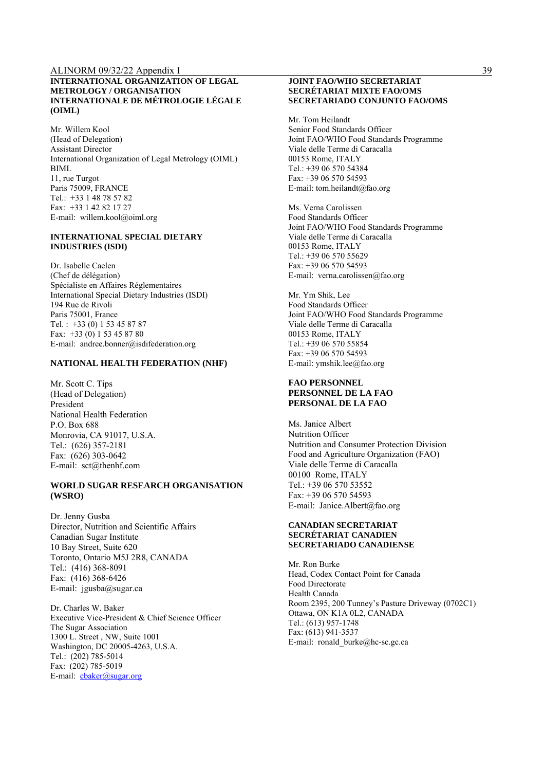#### **INTERNATIONAL ORGANIZATION OF LEGAL METROLOGY / ORGANISATION INTERNATIONALE DE MÉTROLOGIE LÉGALE (OIML)**

Mr. Willem Kool (Head of Delegation) Assistant Director International Organization of Legal Metrology (OIML) BIML 11, rue Turgot Paris 75009, FRANCE Tel.: +33 1 48 78 57 82 Fax: +33 1 42 82 17 27 E-mail: willem.kool@oiml.org

#### **INTERNATIONAL SPECIAL DIETARY INDUSTRIES (ISDI)**

Dr. Isabelle Caelen (Chef de délégation) Spécialiste en Affaires Réglementaires International Special Dietary Industries (ISDI) 194 Rue de Rivoli Paris 75001, France Tel. : +33 (0) 1 53 45 87 87 Fax: +33 (0) 1 53 45 87 80 E-mail: andree.bonner@isdifederation.org

#### **NATIONAL HEALTH FEDERATION (NHF)**

Mr. Scott C. Tips (Head of Delegation) President National Health Federation P.O. Box 688 Monrovia, CA 91017, U.S.A. Tel.: (626) 357-2181 Fax: (626) 303-0642 E-mail: sct@thenhf.com

#### **WORLD SUGAR RESEARCH ORGANISATION (WSRO)**

Dr. Jenny Gusba Director, Nutrition and Scientific Affairs Canadian Sugar Institute 10 Bay Street, Suite 620 Toronto, Ontario M5J 2R8, CANADA Tel.: (416) 368-8091 Fax: (416) 368-6426 E-mail: jgusba@sugar.ca

Dr. Charles W. Baker Executive Vice-President & Chief Science Officer The Sugar Association 1300 L. Street , NW, Suite 1001 Washington, DC 20005-4263, U.S.A. Tel.: (202) 785-5014 Fax: (202) 785-5019 E-mail: cbaker@sugar.org

#### **JOINT FAO/WHO SECRETARIAT SECRÉTARIAT MIXTE FAO/OMS SECRETARIADO CONJUNTO FAO/OMS**

Mr. Tom Heilandt Senior Food Standards Officer Joint FAO/WHO Food Standards Programme Viale delle Terme di Caracalla 00153 Rome, ITALY Tel.: +39 06 570 54384 Fax: +39 06 570 54593 E-mail: tom.heilandt@fao.org

Ms. Verna Carolissen Food Standards Officer Joint FAO/WHO Food Standards Programme Viale delle Terme di Caracalla 00153 Rome, ITALY Tel.: +39 06 570 55629 Fax: +39 06 570 54593 E-mail: verna.carolissen@fao.org

Mr. Ym Shik, Lee Food Standards Officer Joint FAO/WHO Food Standards Programme Viale delle Terme di Caracalla 00153 Rome, ITALY Tel.: +39 06 570 55854 Fax: +39 06 570 54593 E-mail: ymshik.lee@fao.org

#### **FAO PERSONNEL PERSONNEL DE LA FAO PERSONAL DE LA FAO**

Ms. Janice Albert Nutrition Officer Nutrition and Consumer Protection Division Food and Agriculture Organization (FAO) Viale delle Terme di Caracalla 00100 Rome, ITALY Tel.: +39 06 570 53552 Fax: +39 06 570 54593 E-mail: Janice.Albert@fao.org

#### **CANADIAN SECRETARIAT SECRÉTARIAT CANADIEN SECRETARIADO CANADIENSE**

Mr. Ron Burke Head, Codex Contact Point for Canada Food Directorate Health Canada Room 2395, 200 Tunney's Pasture Driveway (0702C1) Ottawa, ON K1A 0L2, CANADA Tel.: (613) 957-1748 Fax: (613) 941-3537 E-mail: ronald\_burke@hc-sc.gc.ca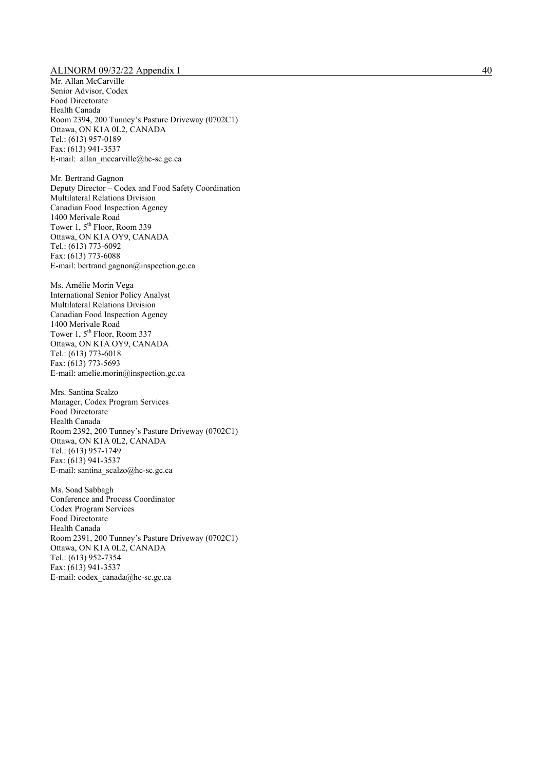Mr. Allan McCarville Senior Advisor, Codex Food Directorate Health Canada Room 2394, 200 Tunney's Pasture Driveway (0702C1) Ottawa, ON K1A 0L2, CANADA Tel.: (613) 957-0189 Fax: (613) 941-3537 E-mail: allan mccarville@hc-sc.gc.ca

Mr. Bertrand Gagnon Deputy Director – Codex and Food Safety Coordination Multilateral Relations Division Canadian Food Inspection Agency 1400 Merivale Road Tower 1, 5<sup>th</sup> Floor, Room 339 Ottawa, ON K1A OY9, CANADA Tel.: (613) 773-6092 Fax: (613) 773-6088 E-mail: bertrand.gagnon@inspection.gc.ca

Ms. Amélie Morin Vega International Senior Policy Analyst Multilateral Relations Division Canadian Food Inspection Agency 1400 Merivale Road Tower 1, 5<sup>th</sup> Floor, Room 337 Ottawa, ON K1A OY9, CANADA Tel.: (613) 773-6018 Fax: (613) 773-5693 E-mail: amelie.morin@inspection.gc.ca

Mrs. Santina Scalzo Manager, Codex Program Services Food Directorate Health Canada Room 2392, 200 Tunney's Pasture Driveway (0702C1) Ottawa, ON K1A 0L2, CANADA Tel.: (613) 957-1749 Fax: (613) 941-3537 E-mail: santina\_scalzo@hc-sc.gc.ca

Ms. Soad Sabbagh Conference and Process Coordinator Codex Program Services Food Directorate Health Canada Room 2391, 200 Tunney's Pasture Driveway (0702C1) Ottawa, ON K1A 0L2, CANADA Tel.: (613) 952-7354 Fax: (613) 941-3537 E-mail: codex\_canada@hc-sc.gc.ca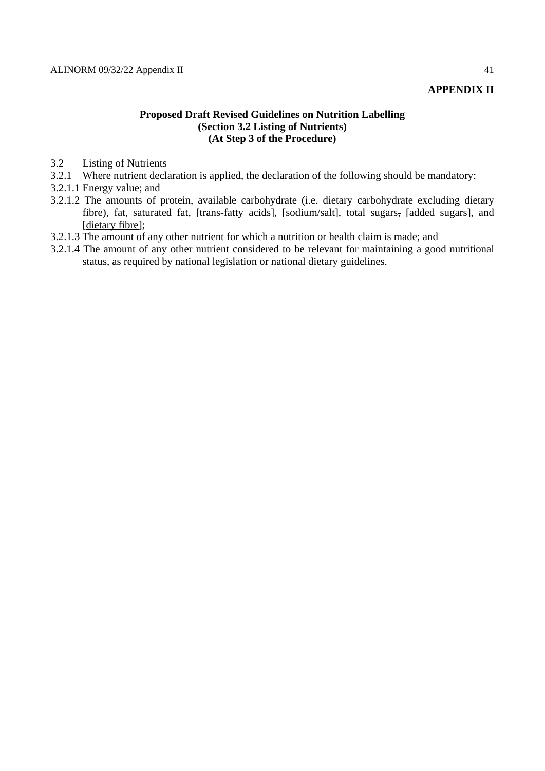## **APPENDIX II**

## **Proposed Draft Revised Guidelines on Nutrition Labelling (Section 3.2 Listing of Nutrients) (At Step 3 of the Procedure)**

- 3.2 Listing of Nutrients
- 3.2.1 Where nutrient declaration is applied, the declaration of the following should be mandatory:
- 3.2.1.1 Energy value; and
- 3.2.1.2 The amounts of protein, available carbohydrate (i.e. dietary carbohydrate excluding dietary fibre), fat, saturated fat, [trans-fatty acids], [sodium/salt], total sugars, [added sugars], and [dietary fibre];
- 3.2.1.3 The amount of any other nutrient for which a nutrition or health claim is made; and
- 3.2.1.4 The amount of any other nutrient considered to be relevant for maintaining a good nutritional status, as required by national legislation or national dietary guidelines.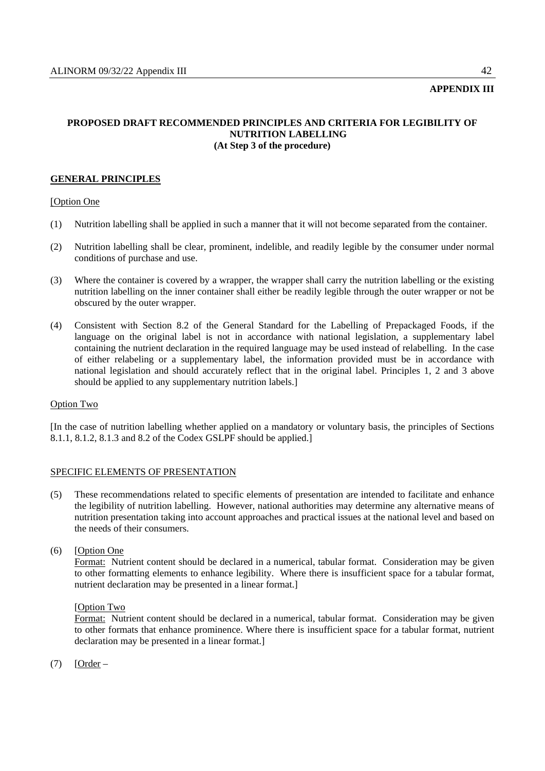## **APPENDIX III**

## **PROPOSED DRAFT RECOMMENDED PRINCIPLES AND CRITERIA FOR LEGIBILITY OF NUTRITION LABELLING (At Step 3 of the procedure)**

## **GENERAL PRINCIPLES**

## [Option One

- (1) Nutrition labelling shall be applied in such a manner that it will not become separated from the container.
- (2) Nutrition labelling shall be clear, prominent, indelible, and readily legible by the consumer under normal conditions of purchase and use.
- (3) Where the container is covered by a wrapper, the wrapper shall carry the nutrition labelling or the existing nutrition labelling on the inner container shall either be readily legible through the outer wrapper or not be obscured by the outer wrapper.
- (4) Consistent with Section 8.2 of the General Standard for the Labelling of Prepackaged Foods, if the language on the original label is not in accordance with national legislation, a supplementary label containing the nutrient declaration in the required language may be used instead of relabelling. In the case of either relabeling or a supplementary label, the information provided must be in accordance with national legislation and should accurately reflect that in the original label. Principles 1, 2 and 3 above should be applied to any supplementary nutrition labels.]

## Option Two

[In the case of nutrition labelling whether applied on a mandatory or voluntary basis, the principles of Sections 8.1.1, 8.1.2, 8.1.3 and 8.2 of the Codex GSLPF should be applied.]

## SPECIFIC ELEMENTS OF PRESENTATION

- (5) These recommendations related to specific elements of presentation are intended to facilitate and enhance the legibility of nutrition labelling. However, national authorities may determine any alternative means of nutrition presentation taking into account approaches and practical issues at the national level and based on the needs of their consumers.
- (6) [Option One

 Format: Nutrient content should be declared in a numerical, tabular format. Consideration may be given to other formatting elements to enhance legibility. Where there is insufficient space for a tabular format, nutrient declaration may be presented in a linear format.]

### [Option Two

 Format: Nutrient content should be declared in a numerical, tabular format. Consideration may be given to other formats that enhance prominence. Where there is insufficient space for a tabular format, nutrient declaration may be presented in a linear format.]

 $(7)$  [Order –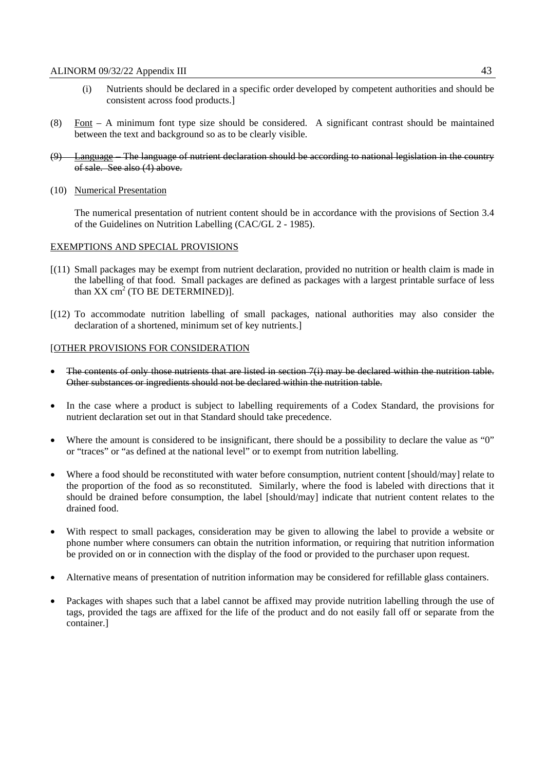- (i) Nutrients should be declared in a specific order developed by competent authorities and should be consistent across food products.]
- (8) Font A minimum font type size should be considered. A significant contrast should be maintained between the text and background so as to be clearly visible.
- (9) Language The language of nutrient declaration should be according to national legislation in the country of sale. See also (4) above.
- (10) Numerical Presentation

 The numerical presentation of nutrient content should be in accordance with the provisions of Section 3.4 of the Guidelines on Nutrition Labelling (CAC/GL 2 - 1985).

#### EXEMPTIONS AND SPECIAL PROVISIONS

- [(11) Small packages may be exempt from nutrient declaration, provided no nutrition or health claim is made in the labelling of that food. Small packages are defined as packages with a largest printable surface of less than  $XX \text{ cm}^2$  (TO BE DETERMINED)].
- [(12) To accommodate nutrition labelling of small packages, national authorities may also consider the declaration of a shortened, minimum set of key nutrients.]

#### [OTHER PROVISIONS FOR CONSIDERATION

- The contents of only those nutrients that are listed in section 7(i) may be declared within the nutrition table. Other substances or ingredients should not be declared within the nutrition table.
- In the case where a product is subject to labelling requirements of a Codex Standard, the provisions for nutrient declaration set out in that Standard should take precedence.
- Where the amount is considered to be insignificant, there should be a possibility to declare the value as "0" or "traces" or "as defined at the national level" or to exempt from nutrition labelling.
- Where a food should be reconstituted with water before consumption, nutrient content [should/may] relate to the proportion of the food as so reconstituted. Similarly, where the food is labeled with directions that it should be drained before consumption, the label [should/may] indicate that nutrient content relates to the drained food.
- With respect to small packages, consideration may be given to allowing the label to provide a website or phone number where consumers can obtain the nutrition information, or requiring that nutrition information be provided on or in connection with the display of the food or provided to the purchaser upon request.
- Alternative means of presentation of nutrition information may be considered for refillable glass containers.
- Packages with shapes such that a label cannot be affixed may provide nutrition labelling through the use of tags, provided the tags are affixed for the life of the product and do not easily fall off or separate from the container.]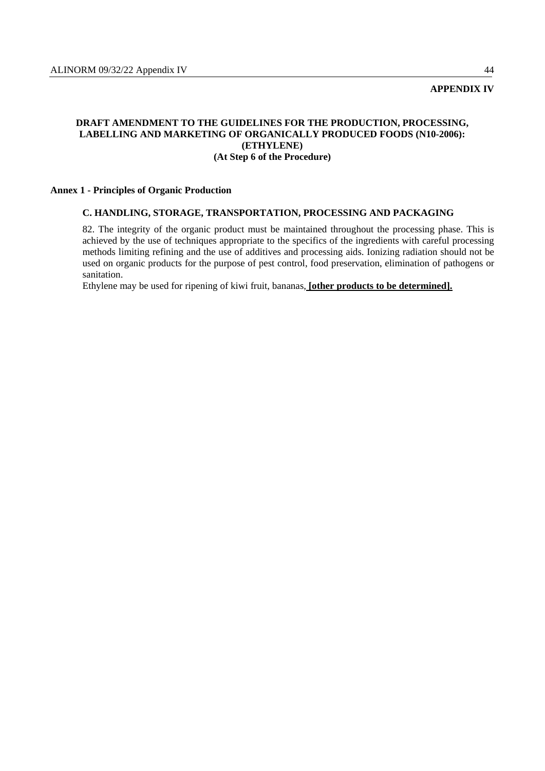## **APPENDIX IV**

## **DRAFT AMENDMENT TO THE GUIDELINES FOR THE PRODUCTION, PROCESSING, LABELLING AND MARKETING OF ORGANICALLY PRODUCED FOODS (N10-2006): (ETHYLENE) (At Step 6 of the Procedure)**

#### **Annex 1 - Principles of Organic Production**

#### **C. HANDLING, STORAGE, TRANSPORTATION, PROCESSING AND PACKAGING**

82. The integrity of the organic product must be maintained throughout the processing phase. This is achieved by the use of techniques appropriate to the specifics of the ingredients with careful processing methods limiting refining and the use of additives and processing aids. Ionizing radiation should not be used on organic products for the purpose of pest control, food preservation, elimination of pathogens or sanitation.

Ethylene may be used for ripening of kiwi fruit, bananas, **[other products to be determined].**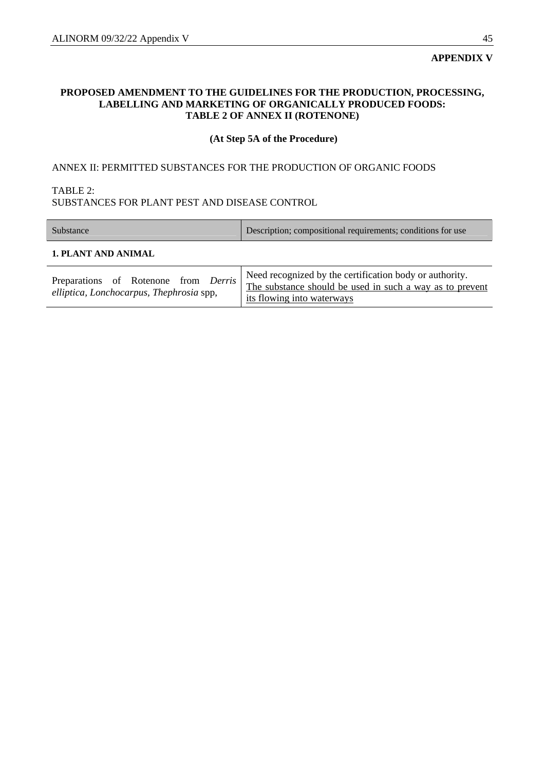## **PROPOSED AMENDMENT TO THE GUIDELINES FOR THE PRODUCTION, PROCESSING, LABELLING AND MARKETING OF ORGANICALLY PRODUCED FOODS: TABLE 2 OF ANNEX II (ROTENONE)**

## **(At Step 5A of the Procedure)**

## ANNEX II: PERMITTED SUBSTANCES FOR THE PRODUCTION OF ORGANIC FOODS

## TABLE 2:

## SUBSTANCES FOR PLANT PEST AND DISEASE CONTROL

| Substance                                                                        | Description; compositional requirements; conditions for use                                                                                       |  |  |  |  |
|----------------------------------------------------------------------------------|---------------------------------------------------------------------------------------------------------------------------------------------------|--|--|--|--|
| 1. PLANT AND ANIMAL                                                              |                                                                                                                                                   |  |  |  |  |
| Preparations of Rotenone from Derris<br>elliptica, Lonchocarpus, Thephrosia spp, | Need recognized by the certification body or authority.<br>The substance should be used in such a way as to prevent<br>its flowing into waterways |  |  |  |  |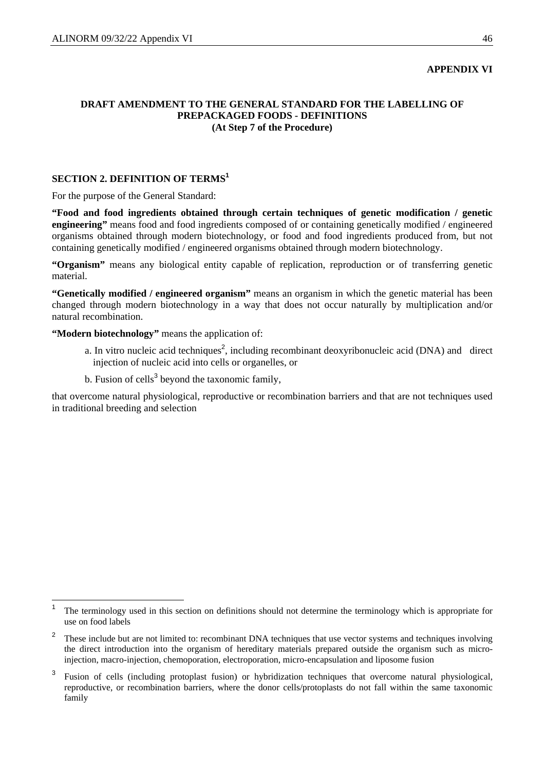## **APPENDIX VI**

## **DRAFT AMENDMENT TO THE GENERAL STANDARD FOR THE LABELLING OF PREPACKAGED FOODS - DEFINITIONS (At Step 7 of the Procedure)**

## **SECTION 2. DEFINITION OF TERMS<sup>1</sup>**

For the purpose of the General Standard:

**"Food and food ingredients obtained through certain techniques of genetic modification / genetic engineering"** means food and food ingredients composed of or containing genetically modified / engineered organisms obtained through modern biotechnology, or food and food ingredients produced from, but not containing genetically modified / engineered organisms obtained through modern biotechnology.

**"Organism"** means any biological entity capable of replication, reproduction or of transferring genetic material.

**"Genetically modified / engineered organism"** means an organism in which the genetic material has been changed through modern biotechnology in a way that does not occur naturally by multiplication and/or natural recombination.

**"Modern biotechnology"** means the application of:

a. In vitro nucleic acid techniques<sup>2</sup>, including recombinant deoxyribonucleic acid (DNA) and direct injection of nucleic acid into cells or organelles, or

b. Fusion of cells<sup>3</sup> beyond the taxonomic family,

that overcome natural physiological, reproductive or recombination barriers and that are not techniques used in traditional breeding and selection

<sup>1</sup> The terminology used in this section on definitions should not determine the terminology which is appropriate for use on food labels

<sup>2</sup> These include but are not limited to: recombinant DNA techniques that use vector systems and techniques involving the direct introduction into the organism of hereditary materials prepared outside the organism such as microinjection, macro-injection, chemoporation, electroporation, micro-encapsulation and liposome fusion

<sup>3</sup> Fusion of cells (including protoplast fusion) or hybridization techniques that overcome natural physiological, reproductive, or recombination barriers, where the donor cells/protoplasts do not fall within the same taxonomic family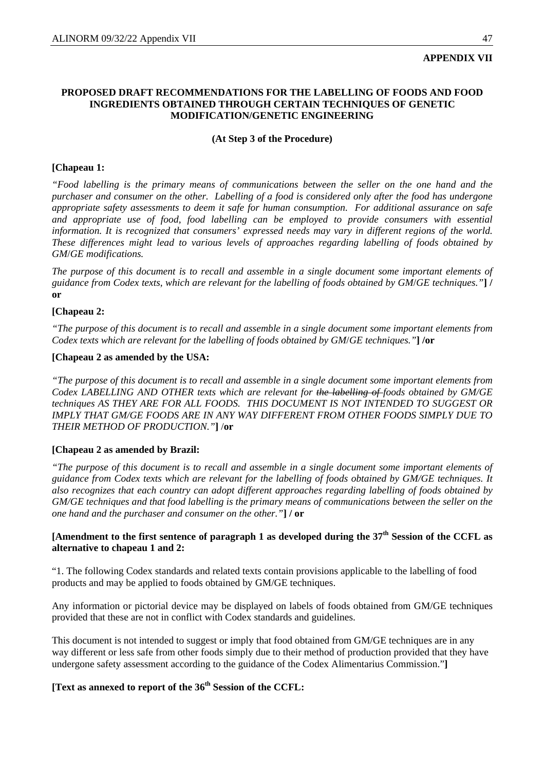## **APPENDIX VII**

## **PROPOSED DRAFT RECOMMENDATIONS FOR THE LABELLING OF FOODS AND FOOD INGREDIENTS OBTAINED THROUGH CERTAIN TECHNIQUES OF GENETIC MODIFICATION/GENETIC ENGINEERING**

## **(At Step 3 of the Procedure)**

## **[Chapeau 1:**

*"Food labelling is the primary means of communications between the seller on the one hand and the purchaser and consumer on the other. Labelling of a food is considered only after the food has undergone appropriate safety assessments to deem it safe for human consumption. For additional assurance on safe and appropriate use of food, food labelling can be employed to provide consumers with essential information. It is recognized that consumers' expressed needs may vary in different regions of the world. These differences might lead to various levels of approaches regarding labelling of foods obtained by GM*/*GE modifications.* 

*The purpose of this document is to recall and assemble in a single document some important elements of guidance from Codex texts, which are relevant for the labelling of foods obtained by GM*/*GE techniques."***] / or**

## **[Chapeau 2:**

*"The purpose of this document is to recall and assemble in a single document some important elements from Codex texts which are relevant for the labelling of foods obtained by GM*/*GE techniques."***] /or**

## **[Chapeau 2 as amended by the USA:**

*"The purpose of this document is to recall and assemble in a single document some important elements from Codex LABELLING AND OTHER texts which are relevant for the labelling of foods obtained by GM/GE techniques AS THEY ARE FOR ALL FOODS. THIS DOCUMENT IS NOT INTENDED TO SUGGEST OR IMPLY THAT GM/GE FOODS ARE IN ANY WAY DIFFERENT FROM OTHER FOODS SIMPLY DUE TO THEIR METHOD OF PRODUCTION."***]** /**or** 

## **[Chapeau 2 as amended by Brazil:**

*"The purpose of this document is to recall and assemble in a single document some important elements of guidance from Codex texts which are relevant for the labelling of foods obtained by GM/GE techniques. It also recognizes that each country can adopt different approaches regarding labelling of foods obtained by GM/GE techniques and that food labelling is the primary means of communications between the seller on the one hand and the purchaser and consumer on the other."***] / or**

## **[Amendment to the first sentence of paragraph 1 as developed during the 37th Session of the CCFL as alternative to chapeau 1 and 2:**

"1. The following Codex standards and related texts contain provisions applicable to the labelling of food products and may be applied to foods obtained by GM/GE techniques.

Any information or pictorial device may be displayed on labels of foods obtained from GM/GE techniques provided that these are not in conflict with Codex standards and guidelines.

This document is not intended to suggest or imply that food obtained from GM/GE techniques are in any way different or less safe from other foods simply due to their method of production provided that they have undergone safety assessment according to the guidance of the Codex Alimentarius Commission."**]**

## **[Text as annexed to report of the 36<sup>th</sup> Session of the CCFL:**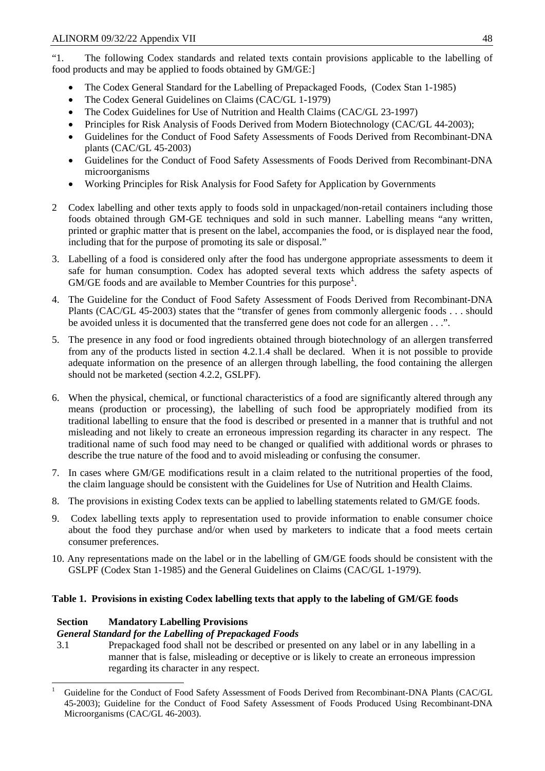"1. The following Codex standards and related texts contain provisions applicable to the labelling of food products and may be applied to foods obtained by GM/GE:]

- The Codex General Standard for the Labelling of Prepackaged Foods, (Codex Stan 1-1985)
- The Codex General Guidelines on Claims (CAC/GL 1-1979)
- The Codex Guidelines for Use of Nutrition and Health Claims (CAC/GL 23-1997)
- Principles for Risk Analysis of Foods Derived from Modern Biotechnology (CAC/GL 44-2003);
- Guidelines for the Conduct of Food Safety Assessments of Foods Derived from Recombinant-DNA plants (CAC/GL 45-2003)
- Guidelines for the Conduct of Food Safety Assessments of Foods Derived from Recombinant-DNA microorganisms
- Working Principles for Risk Analysis for Food Safety for Application by Governments
- 2 Codex labelling and other texts apply to foods sold in unpackaged/non-retail containers including those foods obtained through GM-GE techniques and sold in such manner. Labelling means "any written, printed or graphic matter that is present on the label, accompanies the food, or is displayed near the food, including that for the purpose of promoting its sale or disposal."
- 3. Labelling of a food is considered only after the food has undergone appropriate assessments to deem it safe for human consumption. Codex has adopted several texts which address the safety aspects of  $GM/GE$  foods and are available to Member Countries for this purpose<sup>1</sup>.
- 4. The Guideline for the Conduct of Food Safety Assessment of Foods Derived from Recombinant-DNA Plants (CAC/GL 45-2003) states that the "transfer of genes from commonly allergenic foods . . . should be avoided unless it is documented that the transferred gene does not code for an allergen . . .".
- 5. The presence in any food or food ingredients obtained through biotechnology of an allergen transferred from any of the products listed in section 4.2.1.4 shall be declared. When it is not possible to provide adequate information on the presence of an allergen through labelling, the food containing the allergen should not be marketed (section 4.2.2, GSLPF).
- 6. When the physical, chemical, or functional characteristics of a food are significantly altered through any means (production or processing), the labelling of such food be appropriately modified from its traditional labelling to ensure that the food is described or presented in a manner that is truthful and not misleading and not likely to create an erroneous impression regarding its character in any respect. The traditional name of such food may need to be changed or qualified with additional words or phrases to describe the true nature of the food and to avoid misleading or confusing the consumer.
- 7. In cases where GM/GE modifications result in a claim related to the nutritional properties of the food, the claim language should be consistent with the Guidelines for Use of Nutrition and Health Claims.
- 8. The provisions in existing Codex texts can be applied to labelling statements related to GM/GE foods.
- 9. Codex labelling texts apply to representation used to provide information to enable consumer choice about the food they purchase and/or when used by marketers to indicate that a food meets certain consumer preferences.
- 10. Any representations made on the label or in the labelling of GM/GE foods should be consistent with the GSLPF (Codex Stan 1-1985) and the General Guidelines on Claims (CAC/GL 1-1979).

## **Table 1. Provisions in existing Codex labelling texts that apply to the labeling of GM/GE foods**

## **Section Mandatory Labelling Provisions**

## *General Standard for the Labelling of Prepackaged Foods*

3.1 Prepackaged food shall not be described or presented on any label or in any labelling in a manner that is false, misleading or deceptive or is likely to create an erroneous impression regarding its character in any respect.

<sup>1</sup> Guideline for the Conduct of Food Safety Assessment of Foods Derived from Recombinant-DNA Plants (CAC/GL 45-2003); Guideline for the Conduct of Food Safety Assessment of Foods Produced Using Recombinant-DNA Microorganisms (CAC/GL 46-2003).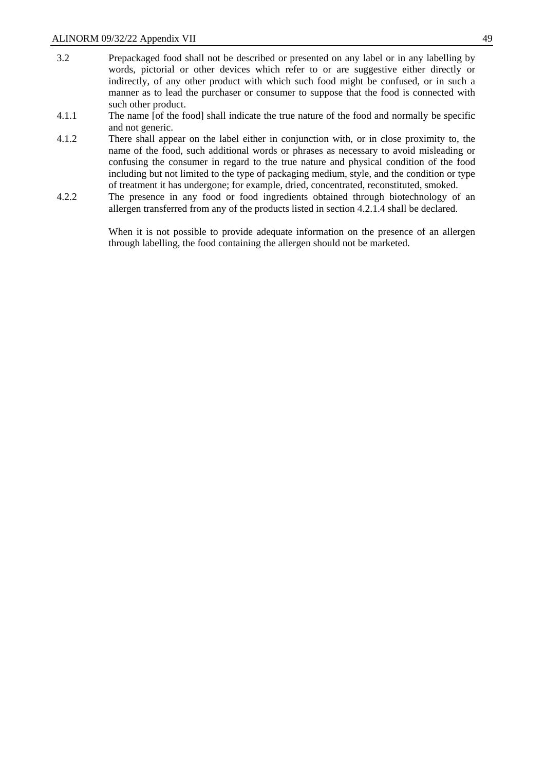- 3.2 Prepackaged food shall not be described or presented on any label or in any labelling by words, pictorial or other devices which refer to or are suggestive either directly or indirectly, of any other product with which such food might be confused, or in such a manner as to lead the purchaser or consumer to suppose that the food is connected with such other product.
- 4.1.1 The name [of the food] shall indicate the true nature of the food and normally be specific and not generic.
- 4.1.2 There shall appear on the label either in conjunction with, or in close proximity to, the name of the food, such additional words or phrases as necessary to avoid misleading or confusing the consumer in regard to the true nature and physical condition of the food including but not limited to the type of packaging medium, style, and the condition or type of treatment it has undergone; for example, dried, concentrated, reconstituted, smoked.
- 4.2.2 The presence in any food or food ingredients obtained through biotechnology of an allergen transferred from any of the products listed in section 4.2.1.4 shall be declared.

When it is not possible to provide adequate information on the presence of an allergen through labelling, the food containing the allergen should not be marketed.